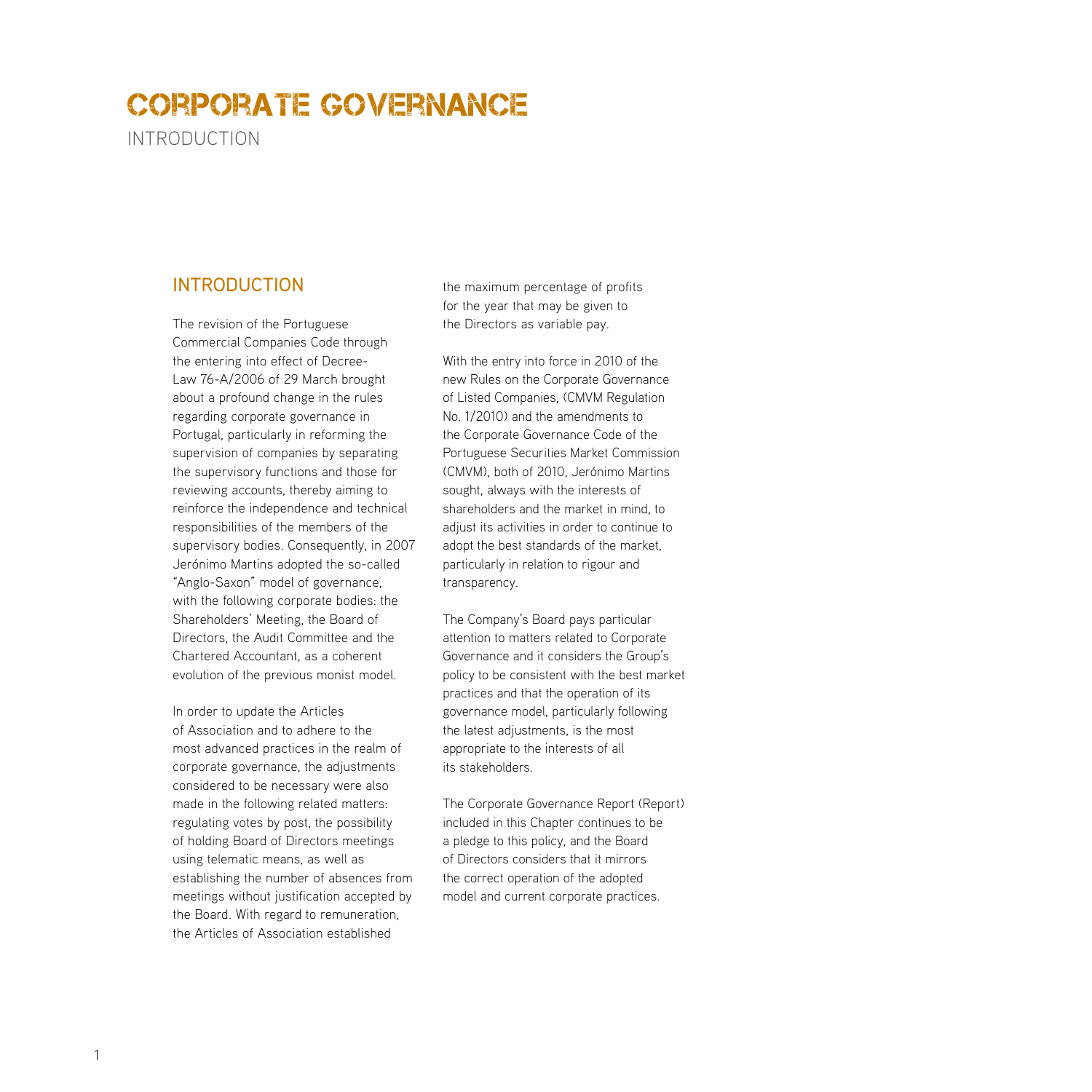Introduction

## **INTRODUCTION**

The revision of the Portuguese Commercial Companies Code through the entering into effect of Decree-Law 76-A/2006 of 29 March brought about a profound change in the rules regarding corporate governance in Portugal, particularly in reforming the supervision of companies by separating the supervisory functions and those for reviewing accounts, thereby aiming to reinforce the independence and technical responsibilities of the members of the supervisory bodies. Consequently, in 2007 Jerónimo Martins adopted the so-called "Anglo-Saxon" model of governance, with the following corporate bodies: the Shareholders' Meeting, the Board of Directors, the Audit Committee and the Chartered Accountant, as a coherent evolution of the previous monist model.

In order to update the Articles of Association and to adhere to the most advanced practices in the realm of corporate governance, the adjustments considered to be necessary were also made in the following related matters: regulating votes by post, the possibility of holding Board of Directors meetings using telematic means, as well as establishing the number of absences from meetings without justification accepted by the Board. With regard to remuneration, the Articles of Association established

the maximum percentage of profits for the year that may be given to the Directors as variable pay.

With the entry into force in 2010 of the new Rules on the Corporate Governance of Listed Companies, (CMVM Regulation No. 1/2010) and the amendments to the Corporate Governance Code of the Portuguese Securities Market Commission (CMVM), both of 2010, Jerónimo Martins sought, always with the interests of shareholders and the market in mind, to adjust its activities in order to continue to adopt the best standards of the market, particularly in relation to rigour and transparency.

The Company's Board pays particular attention to matters related to Corporate Governance and it considers the Group's policy to be consistent with the best market practices and that the operation of its governance model, particularly following the latest adjustments, is the most appropriate to the interests of all its stakeholders.

The Corporate Governance Report (Report) included in this Chapter continues to be a pledge to this policy, and the Board of Directors considers that it mirrors the correct operation of the adopted model and current corporate practices.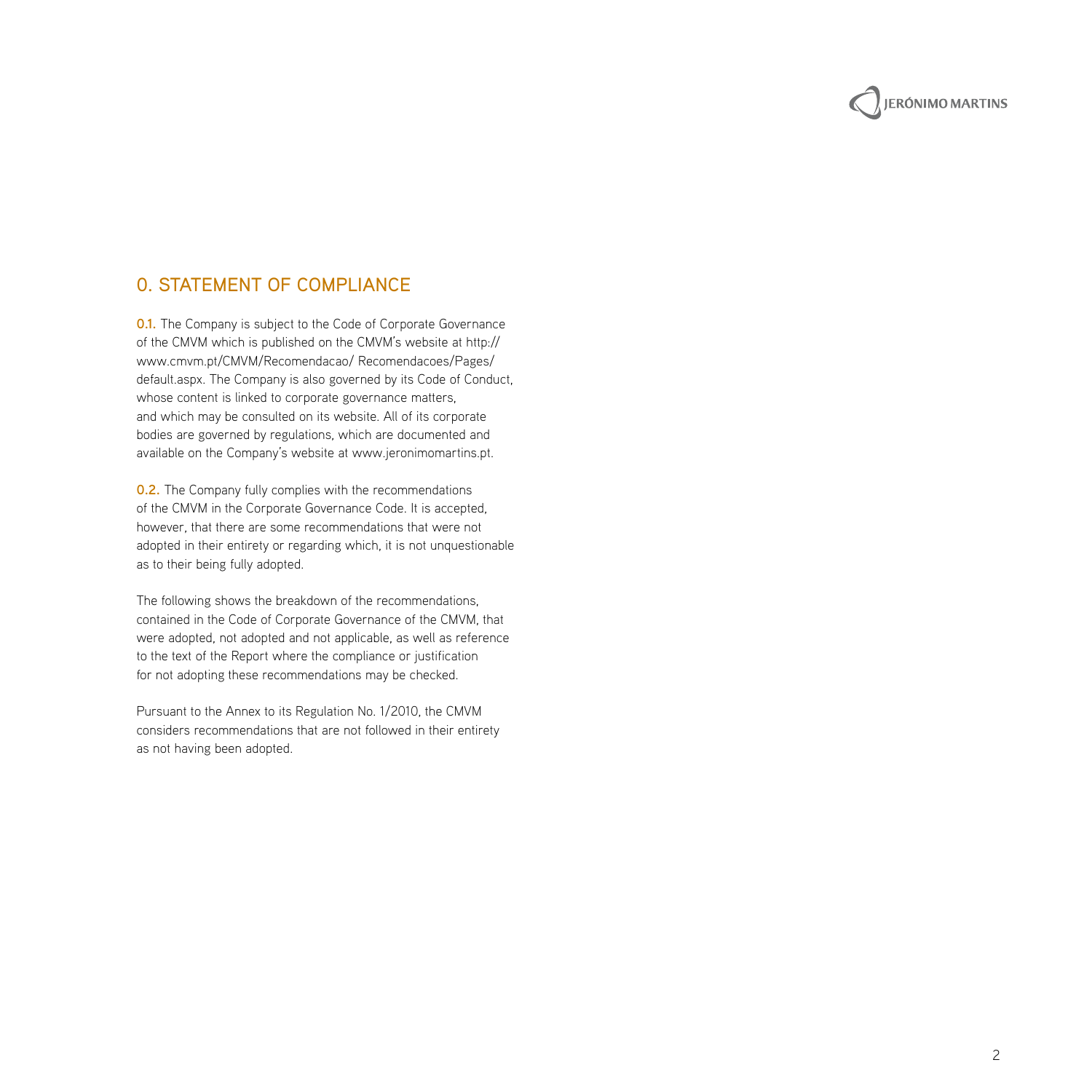

## 0. Statement of Compliance

**0.1.** The Company is subject to the Code of Corporate Governance of the CMVM which is published on the CMVM's website at http:// www.cmvm.pt/CMVM/Recomendacao/ Recomendacoes/Pages/ default.aspx. The Company is also governed by its Code of Conduct, whose content is linked to corporate governance matters, and which may be consulted on its website. All of its corporate bodies are governed by regulations, which are documented and available on the Company's website at www.jeronimomartins.pt.

**0.2.** The Company fully complies with the recommendations of the CMVM in the Corporate Governance Code. It is accepted, however, that there are some recommendations that were not adopted in their entirety or regarding which, it is not unquestionable as to their being fully adopted.

The following shows the breakdown of the recommendations, contained in the Code of Corporate Governance of the CMVM, that were adopted, not adopted and not applicable, as well as reference to the text of the Report where the compliance or justification for not adopting these recommendations may be checked.

Pursuant to the Annex to its Regulation No. 1/2010, the CMVM considers recommendations that are not followed in their entirety as not having been adopted.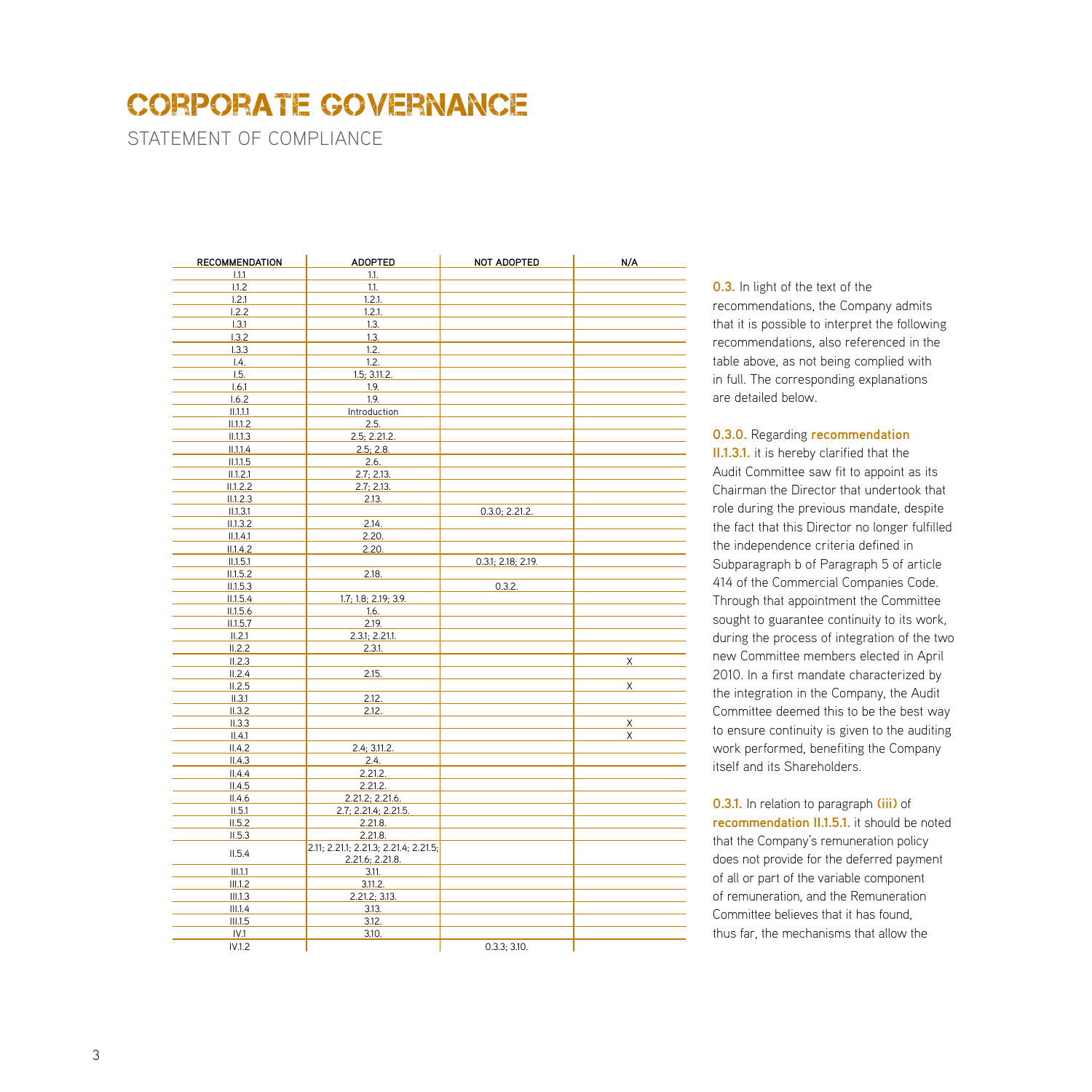STATEMENT OF COMPLIANCE

| <b>RECOMMENDATION</b> | <b>ADOPTED</b>                        | NOT ADOPTED        | N/A |
|-----------------------|---------------------------------------|--------------------|-----|
| 1.1.1                 | 1.1.                                  |                    |     |
| 1.1.2                 | 1.1.                                  |                    |     |
| 1.2.1                 | 1.2.1.                                |                    |     |
| 1.2.2                 | 1.2.1.                                |                    |     |
| 1.3.1                 | 1.3.                                  |                    |     |
| 1.3.2                 | 1.3.                                  |                    |     |
| 1.3.3                 | 1.2.                                  |                    |     |
| 1.4.                  | 1.2.                                  |                    |     |
| 1.5.                  | 1.5; 3.11.2.                          |                    |     |
| 1.6.1                 | 1.9.                                  |                    |     |
| 1.6.2                 | 1.9.                                  |                    |     |
| 11.1.1.1              | Introduction                          |                    |     |
| II.1.1.2              | 2.5.                                  |                    |     |
| II.1.1.3              | 2.5; 2.21.2.                          |                    |     |
| II.1.1.4              | 2.5; 2.8.                             |                    |     |
| II.1.1.5              | 2.6.                                  |                    |     |
| II.1.2.1              | 2.7; 2.13.                            |                    |     |
| II.1.2.2              | 2.7; 2.13.                            |                    |     |
| II.1.2.3              | 2.13.                                 |                    |     |
| II.1.3.1              |                                       | 0.3.0; 2.21.2.     |     |
| II.1.3.2              | 2.14.                                 |                    |     |
| II.1.4.1              | 2.20.                                 |                    |     |
| II.1.4.2              | 2.20.                                 |                    |     |
| II.1.5.1              |                                       | 0.3.1; 2.18; 2.19. |     |
| II.1.5.2              | 2.18.                                 |                    |     |
| II.1.5.3              |                                       | 0.3.2.             |     |
| II.1.5.4              | 1.7; 1.8; 2.19; 3.9.                  |                    |     |
| II.1.5.6              | 1.6.                                  |                    |     |
| II.1.5.7              | 2.19.                                 |                    |     |
| II.2.1                | 2.3.1; 2.21.1.                        |                    |     |
| II.2.2                | 2.3.1.                                |                    |     |
| II.2.3                |                                       |                    | X   |
| II.2.4                | 2.15.                                 |                    |     |
| II.2.5                |                                       |                    | X   |
| II.3.1                | 2.12.                                 |                    |     |
| II.3.2                | 2.12.                                 |                    |     |
| II.3.3                |                                       |                    | X   |
| II.4.1                |                                       |                    | X   |
| II.4.2                | 2.4; 3.11.2.                          |                    |     |
| II.4.3                | 2.4.                                  |                    |     |
| II.4.4                | 2.21.2.                               |                    |     |
| II.4.5                | 2.21.2.                               |                    |     |
| II.4.6                | 2.21.2; 2.21.6.                       |                    |     |
| II.5.1                | 2.7; 2.21.4; 2.21.5.                  |                    |     |
| II.5.2                | 2.21.8.                               |                    |     |
| II.5.3                | 2.21.8.                               |                    |     |
|                       | 2.11; 2.21.1; 2.21.3; 2.21.4; 2.21.5; |                    |     |
| II.5.4                | 2.21.6; 2.21.8.                       |                    |     |
| III.1.1               | 3.11.                                 |                    |     |
| III.1.2               | 3.11.2.                               |                    |     |
| III.1.3               | 2.21.2; 3.13.                         |                    |     |
| III.1.4               | 3.13.                                 |                    |     |
| III.1.5               | 3.12.                                 |                    |     |
| IV.1                  | 3.10.                                 |                    |     |
| IV.1.2                |                                       | 0.3.3:3.10.        |     |

**0.3.** In light of the text of the recommendations, the Company admits that it is possible to interpret the following recommendations, also referenced in the table above, as not being complied with in full. The corresponding explanations are detailed below.

#### **0.3.0.** Regarding **recommendation**

**II.1.3.1.** it is hereby clarified that the Audit Committee saw fit to appoint as its Chairman the Director that undertook that role during the previous mandate, despite the fact that this Director no longer fulfilled the independence criteria defined in Subparagraph b of Paragraph 5 of article 414 of the Commercial Companies Code. Through that appointment the Committee sought to guarantee continuity to its work, during the process of integration of the two new Committee members elected in April 2010. In a first mandate characterized by the integration in the Company, the Audit Committee deemed this to be the best way to ensure continuity is given to the auditing work performed, benefiting the Company itself and its Shareholders.

**0.3.1.** In relation to paragraph **(iii)** of **recommendation II.1.5.1.** it should be noted that the Company's remuneration policy does not provide for the deferred payment of all or part of the variable component of remuneration, and the Remuneration Committee believes that it has found, thus far, the mechanisms that allow the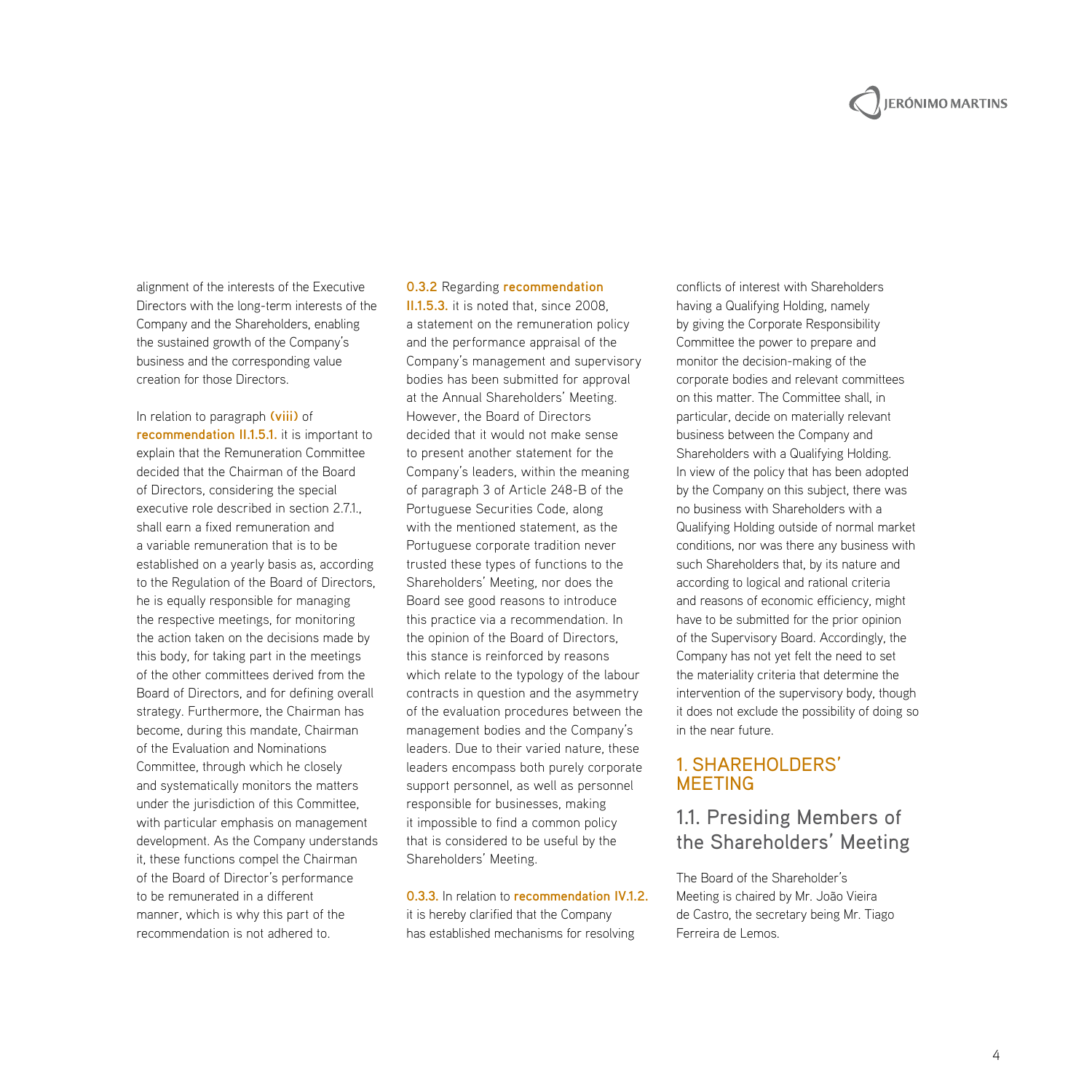## **JERÓNIMO MARTINS**

alignment of the interests of the Executive Directors with the long-term interests of the Company and the Shareholders, enabling the sustained growth of the Company's business and the corresponding value creation for those Directors.

In relation to paragraph **(viii)** of **recommendation II.1.5.1.** it is important to explain that the Remuneration Committee decided that the Chairman of the Board of Directors, considering the special executive role described in section 2.7.1., shall earn a fixed remuneration and a variable remuneration that is to be established on a yearly basis as, according to the Regulation of the Board of Directors, he is equally responsible for managing the respective meetings, for monitoring the action taken on the decisions made by this body, for taking part in the meetings of the other committees derived from the Board of Directors, and for defining overall strategy. Furthermore, the Chairman has become, during this mandate, Chairman of the Evaluation and Nominations Committee, through which he closely and systematically monitors the matters under the jurisdiction of this Committee, with particular emphasis on management development. As the Company understands it, these functions compel the Chairman of the Board of Director's performance to be remunerated in a different manner, which is why this part of the recommendation is not adhered to.

#### **0.3.2** Regarding **recommendation**

**II.1.5.3.** it is noted that, since 2008, a statement on the remuneration policy and the performance appraisal of the Company's management and supervisory bodies has been submitted for approval at the Annual Shareholders' Meeting. However, the Board of Directors decided that it would not make sense to present another statement for the Company's leaders, within the meaning of paragraph 3 of Article 248-B of the Portuguese Securities Code, along with the mentioned statement, as the Portuguese corporate tradition never trusted these types of functions to the Shareholders' Meeting, nor does the Board see good reasons to introduce this practice via a recommendation. In the opinion of the Board of Directors, this stance is reinforced by reasons which relate to the typology of the labour contracts in question and the asymmetry of the evaluation procedures between the management bodies and the Company's leaders. Due to their varied nature, these leaders encompass both purely corporate support personnel, as well as personnel responsible for businesses, making it impossible to find a common policy that is considered to be useful by the Shareholders' Meeting.

## **0.3.3.** In relation to **recommendation IV.1.2.**

it is hereby clarified that the Company has established mechanisms for resolving

conflicts of interest with Shareholders having a Qualifying Holding, namely by giving the Corporate Responsibility Committee the power to prepare and monitor the decision-making of the corporate bodies and relevant committees on this matter. The Committee shall, in particular, decide on materially relevant business between the Company and Shareholders with a Qualifying Holding. In view of the policy that has been adopted by the Company on this subject, there was no business with Shareholders with a Qualifying Holding outside of normal market conditions, nor was there any business with such Shareholders that, by its nature and according to logical and rational criteria and reasons of economic efficiency, might have to be submitted for the prior opinion of the Supervisory Board. Accordingly, the Company has not yet felt the need to set the materiality criteria that determine the intervention of the supervisory body, though it does not exclude the possibility of doing so in the near future.

#### 1**.** Shareholders' **MEETING**

## 1.1. Presiding Members of the Shareholders' Meeting

The Board of the Shareholder's Meeting is chaired by Mr. João Vieira de Castro, the secretary being Mr. Tiago Ferreira de Lemos.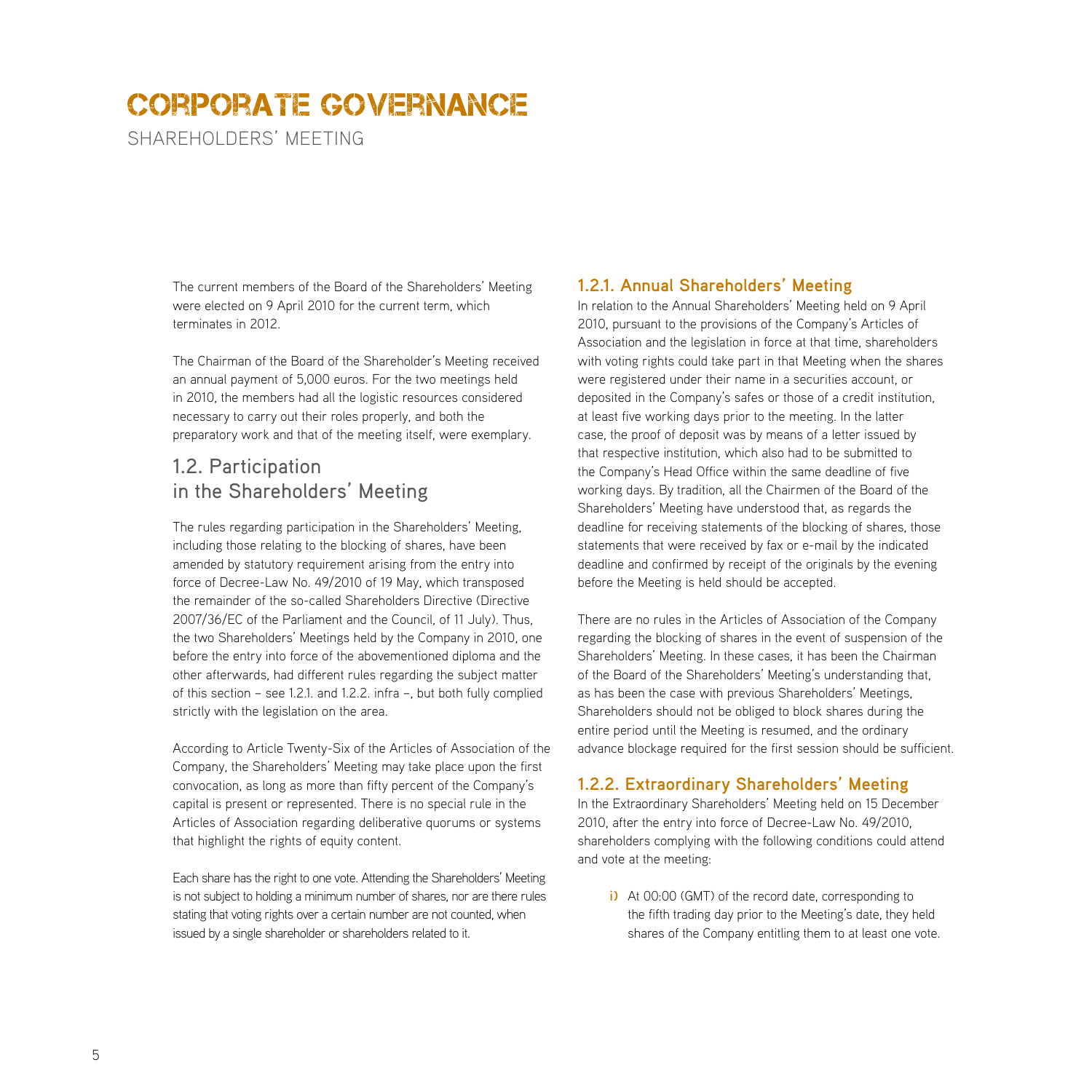SHARFHOLDERS' MEETING

The current members of the Board of the Shareholders' Meeting were elected on 9 April 2010 for the current term, which terminates in 2012.

The Chairman of the Board of the Shareholder's Meeting received an annual payment of 5,000 euros. For the two meetings held in 2010, the members had all the logistic resources considered necessary to carry out their roles properly, and both the preparatory work and that of the meeting itself, were exemplary.

## 1.2. Participation in the Shareholders' Meeting

The rules regarding participation in the Shareholders' Meeting, including those relating to the blocking of shares, have been amended by statutory requirement arising from the entry into force of Decree-Law No. 49/2010 of 19 May, which transposed the remainder of the so-called Shareholders Directive (Directive 2007/36/EC of the Parliament and the Council, of 11 July). Thus, the two Shareholders' Meetings held by the Company in 2010, one before the entry into force of the abovementioned diploma and the other afterwards, had different rules regarding the subject matter of this section – see 1.2.1. and 1.2.2. infra –, but both fully complied strictly with the legislation on the area.

According to Article Twenty-Six of the Articles of Association of the Company, the Shareholders' Meeting may take place upon the first convocation, as long as more than fifty percent of the Company's capital is present or represented. There is no special rule in the Articles of Association regarding deliberative quorums or systems that highlight the rights of equity content.

Each share has the right to one vote. Attending the Shareholders' Meeting is not subject to holding a minimum number of shares, nor are there rules stating that voting rights over a certain number are not counted, when issued by a single shareholder or shareholders related to it.

#### **1.2.1. Annual Shareholders' Meeting**

In relation to the Annual Shareholders' Meeting held on 9 April 2010, pursuant to the provisions of the Company's Articles of Association and the legislation in force at that time, shareholders with voting rights could take part in that Meeting when the shares were registered under their name in a securities account, or deposited in the Company's safes or those of a credit institution, at least five working days prior to the meeting. In the latter case, the proof of deposit was by means of a letter issued by that respective institution, which also had to be submitted to the Company's Head Office within the same deadline of five working days. By tradition, all the Chairmen of the Board of the Shareholders' Meeting have understood that, as regards the deadline for receiving statements of the blocking of shares, those statements that were received by fax or e-mail by the indicated deadline and confirmed by receipt of the originals by the evening before the Meeting is held should be accepted.

There are no rules in the Articles of Association of the Company regarding the blocking of shares in the event of suspension of the Shareholders' Meeting. In these cases, it has been the Chairman of the Board of the Shareholders' Meeting's understanding that, as has been the case with previous Shareholders' Meetings, Shareholders should not be obliged to block shares during the entire period until the Meeting is resumed, and the ordinary advance blockage required for the first session should be sufficient.

#### **1.2.2. Extraordinary Shareholders' Meeting**

In the Extraordinary Shareholders' Meeting held on 15 December 2010, after the entry into force of Decree-Law No. 49/2010, shareholders complying with the following conditions could attend and vote at the meeting:

**i)** At 00:00 (GMT) of the record date, corresponding to the fifth trading day prior to the Meeting's date, they held shares of the Company entitling them to at least one vote.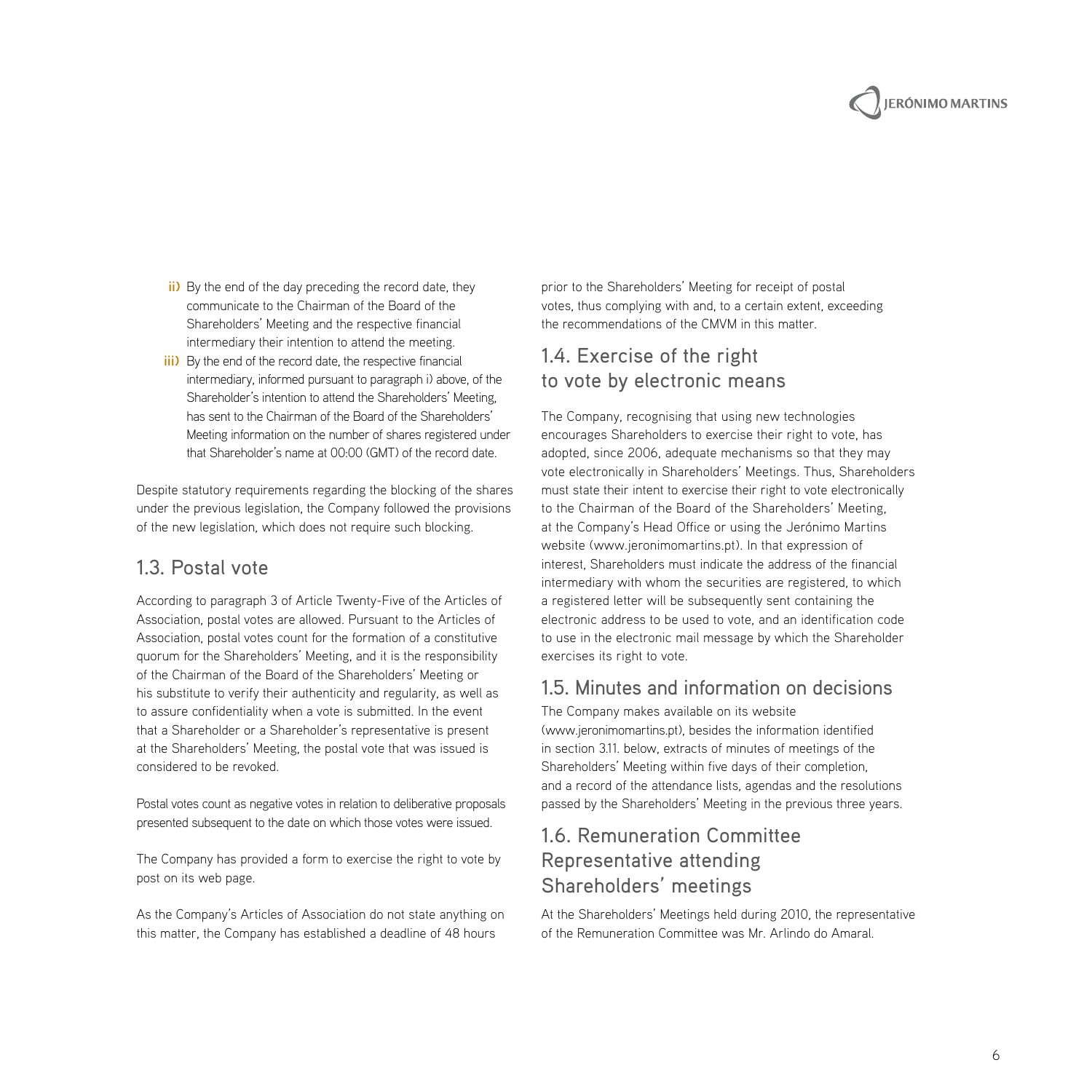

- **ii)** By the end of the day preceding the record date, they communicate to the Chairman of the Board of the Shareholders' Meeting and the respective financial intermediary their intention to attend the meeting.
- **iii)** By the end of the record date, the respective financial intermediary, informed pursuant to paragraph i) above, of the Shareholder's intention to attend the Shareholders' Meeting, has sent to the Chairman of the Board of the Shareholders' Meeting information on the number of shares registered under that Shareholder's name at 00:00 (GMT) of the record date.

Despite statutory requirements regarding the blocking of the shares under the previous legislation, the Company followed the provisions of the new legislation, which does not require such blocking.

### 1.3. Postal vote

According to paragraph 3 of Article Twenty-Five of the Articles of Association, postal votes are allowed. Pursuant to the Articles of Association, postal votes count for the formation of a constitutive quorum for the Shareholders' Meeting, and it is the responsibility of the Chairman of the Board of the Shareholders' Meeting or his substitute to verify their authenticity and regularity, as well as to assure confidentiality when a vote is submitted. In the event that a Shareholder or a Shareholder's representative is present at the Shareholders' Meeting, the postal vote that was issued is considered to be revoked.

Postal votes count as negative votes in relation to deliberative proposals presented subsequent to the date on which those votes were issued.

The Company has provided a form to exercise the right to vote by post on its web page.

As the Company's Articles of Association do not state anything on this matter, the Company has established a deadline of 48 hours

prior to the Shareholders' Meeting for receipt of postal votes, thus complying with and, to a certain extent, exceeding the recommendations of the CMVM in this matter.

## 1.4. Exercise of the right to vote by electronic means

The Company, recognising that using new technologies encourages Shareholders to exercise their right to vote, has adopted, since 2006, adequate mechanisms so that they may vote electronically in Shareholders' Meetings. Thus, Shareholders must state their intent to exercise their right to vote electronically to the Chairman of the Board of the Shareholders' Meeting, at the Company's Head Office or using the Jerónimo Martins website (www.jeronimomartins.pt). In that expression of interest, Shareholders must indicate the address of the financial intermediary with whom the securities are registered, to which a registered letter will be subsequently sent containing the electronic address to be used to vote, and an identification code to use in the electronic mail message by which the Shareholder exercises its right to vote.

## 1.5. Minutes and information on decisions

The Company makes available on its website (www.jeronimomartins.pt), besides the information identified in section 3.11. below, extracts of minutes of meetings of the Shareholders' Meeting within five days of their completion, and a record of the attendance lists, agendas and the resolutions passed by the Shareholders' Meeting in the previous three years.

## 1.6. Remuneration Committee Representative attending Shareholders' meetings

At the Shareholders' Meetings held during 2010, the representative of the Remuneration Committee was Mr. Arlindo do Amaral.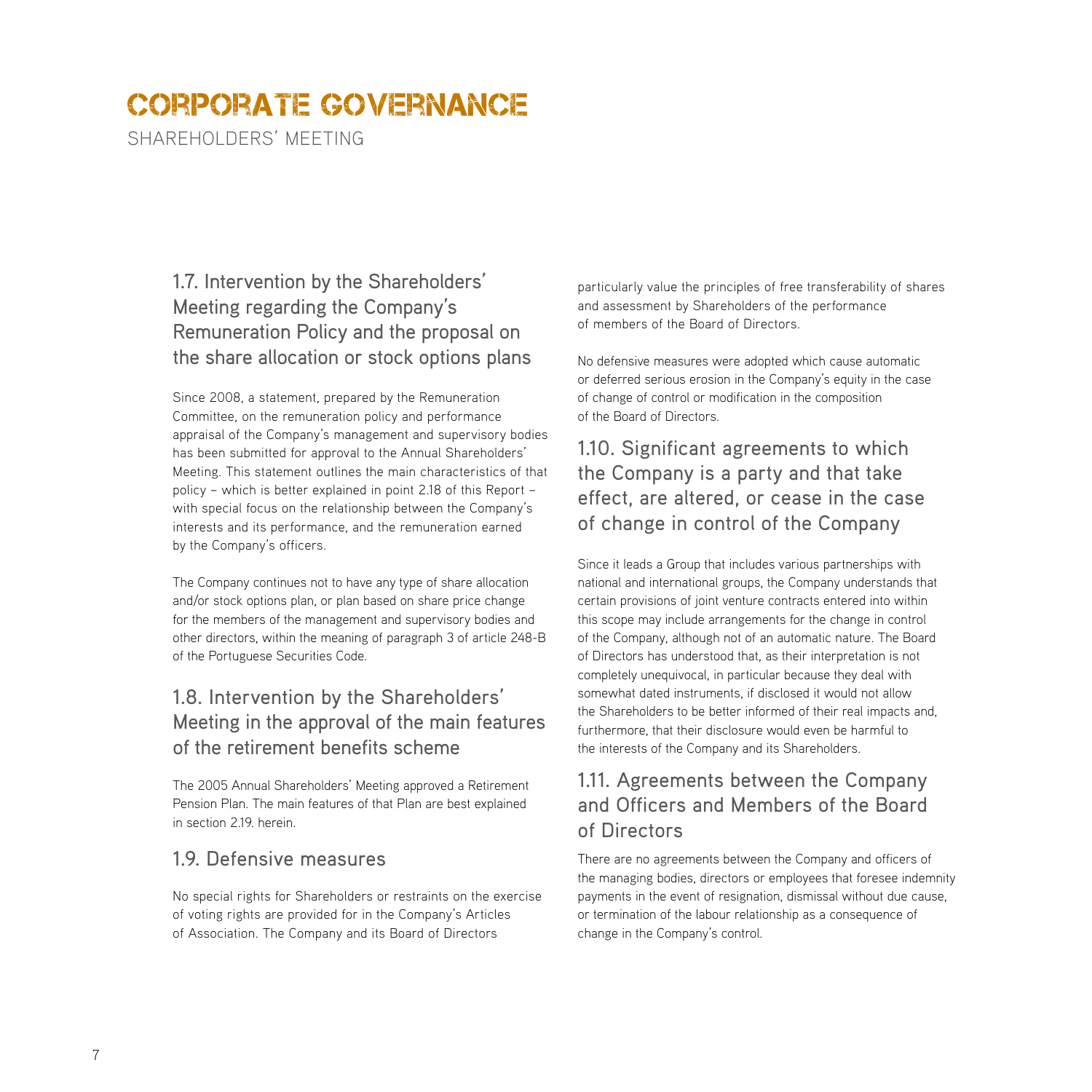SHARFHOLDERS' MEETING

## 1.7. Intervention by the Shareholders' Meeting regarding the Company's Remuneration Policy and the proposal on the share allocation or stock options plans

Since 2008, a statement, prepared by the Remuneration Committee, on the remuneration policy and performance appraisal of the Company's management and supervisory bodies has been submitted for approval to the Annual Shareholders' Meeting. This statement outlines the main characteristics of that policy – which is better explained in point 2.18 of this Report – with special focus on the relationship between the Company's interests and its performance, and the remuneration earned by the Company's officers.

The Company continues not to have any type of share allocation and/or stock options plan, or plan based on share price change for the members of the management and supervisory bodies and other directors, within the meaning of paragraph 3 of article 248-B of the Portuguese Securities Code.

## 1.8. Intervention by the Shareholders' Meeting in the approval of the main features of the retirement benefits scheme

The 2005 Annual Shareholders' Meeting approved a Retirement Pension Plan. The main features of that Plan are best explained in section 2.19 herein

## 19. Defensive measures

No special rights for Shareholders or restraints on the exercise of voting rights are provided for in the Company's Articles of Association. The Company and its Board of Directors

particularly value the principles of free transferability of shares and assessment by Shareholders of the performance of members of the Board of Directors.

No defensive measures were adopted which cause automatic or deferred serious erosion in the Company's equity in the case of change of control or modification in the composition of the Board of Directors.

## 1.10. Significant agreements to which the Company is a party and that take effect, are altered, or cease in the case of change in control of the Company

Since it leads a Group that includes various partnerships with national and international groups, the Company understands that certain provisions of joint venture contracts entered into within this scope may include arrangements for the change in control of the Company, although not of an automatic nature. The Board of Directors has understood that, as their interpretation is not completely unequivocal, in particular because they deal with somewhat dated instruments, if disclosed it would not allow the Shareholders to be better informed of their real impacts and, furthermore, that their disclosure would even be harmful to the interests of the Company and its Shareholders.

## 1.11. Agreements between the Company and Officers and Members of the Board of Directors

There are no agreements between the Company and officers of the managing bodies, directors or employees that foresee indemnity payments in the event of resignation, dismissal without due cause, or termination of the labour relationship as a consequence of change in the Company's control.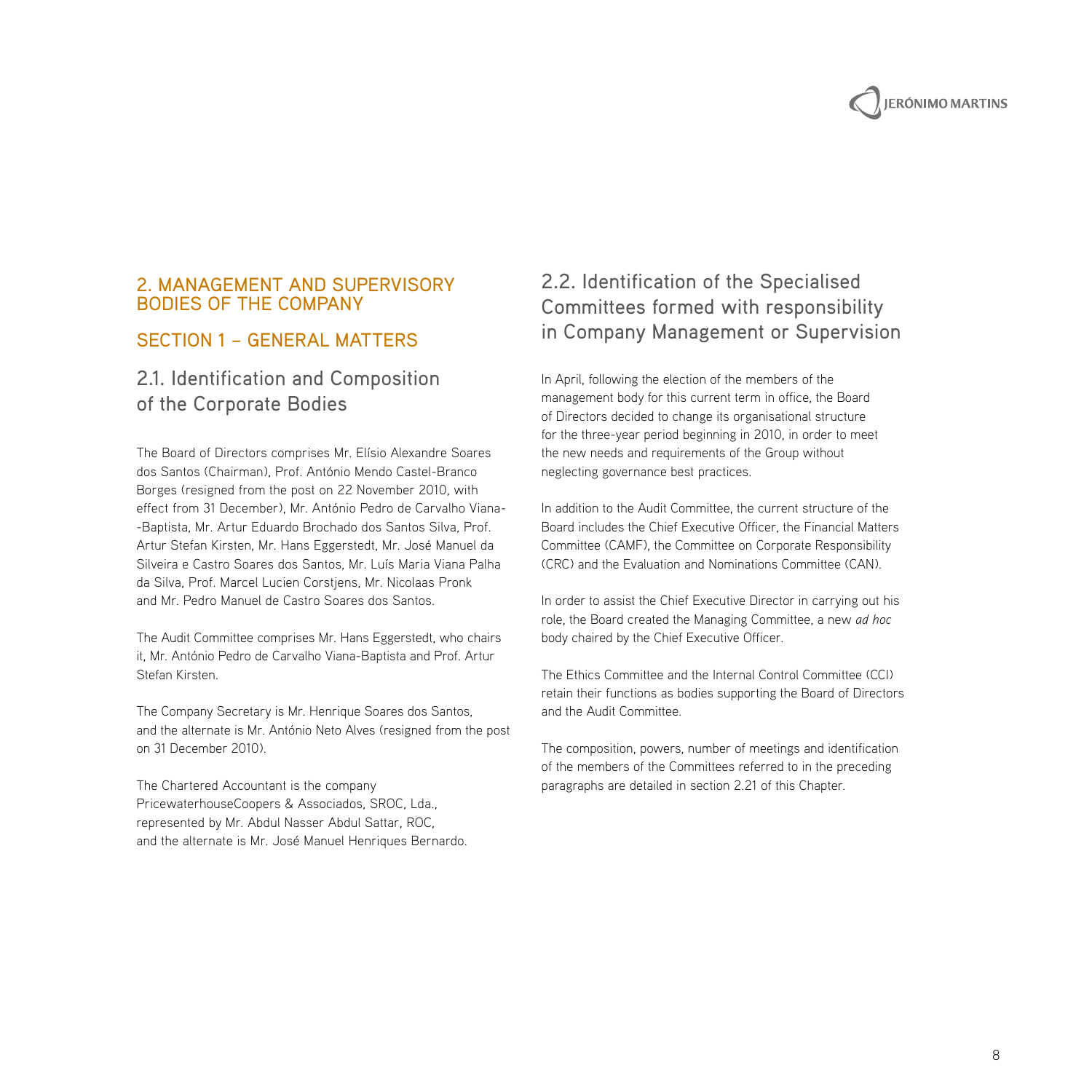#### 2. Management and Supervisory Bodies of the Company

## Section 1 – General Matters

## 2.1. Identification and Composition of the Corporate Bodies

The Board of Directors comprises Mr. Elísio Alexandre Soares dos Santos (Chairman), Prof. António Mendo Castel-Branco Borges (resigned from the post on 22 November 2010, with effect from 31 December), Mr. António Pedro de Carvalho Viana- -Baptista, Mr. Artur Eduardo Brochado dos Santos Silva, Prof. Artur Stefan Kirsten, Mr. Hans Eggerstedt, Mr. José Manuel da Silveira e Castro Soares dos Santos, Mr. Luís Maria Viana Palha da Silva, Prof. Marcel Lucien Corstjens, Mr. Nicolaas Pronk and Mr. Pedro Manuel de Castro Soares dos Santos.

The Audit Committee comprises Mr. Hans Eggerstedt, who chairs it, Mr. António Pedro de Carvalho Viana-Baptista and Prof. Artur Stefan Kirsten.

The Company Secretary is Mr. Henrique Soares dos Santos, and the alternate is Mr. António Neto Alves (resigned from the post on 31 December 2010).

The Chartered Accountant is the company PricewaterhouseCoopers & Associados, SROC, Lda., represented by Mr. Abdul Nasser Abdul Sattar, ROC, and the alternate is Mr. José Manuel Henriques Bernardo.

## 2.2. Identification of the Specialised Committees formed with responsibility in Company Management or Supervision

In April, following the election of the members of the management body for this current term in office, the Board of Directors decided to change its organisational structure for the three-year period beginning in 2010, in order to meet the new needs and requirements of the Group without neglecting governance best practices.

In addition to the Audit Committee, the current structure of the Board includes the Chief Executive Officer, the Financial Matters Committee (CAMF), the Committee on Corporate Responsibility (CRC) and the Evaluation and Nominations Committee (CAN).

In order to assist the Chief Executive Director in carrying out his role, the Board created the Managing Committee, a new *ad hoc* body chaired by the Chief Executive Officer.

The Ethics Committee and the Internal Control Committee (CCI) retain their functions as bodies supporting the Board of Directors and the Audit Committee.

The composition, powers, number of meetings and identification of the members of the Committees referred to in the preceding paragraphs are detailed in section 2.21 of this Chapter.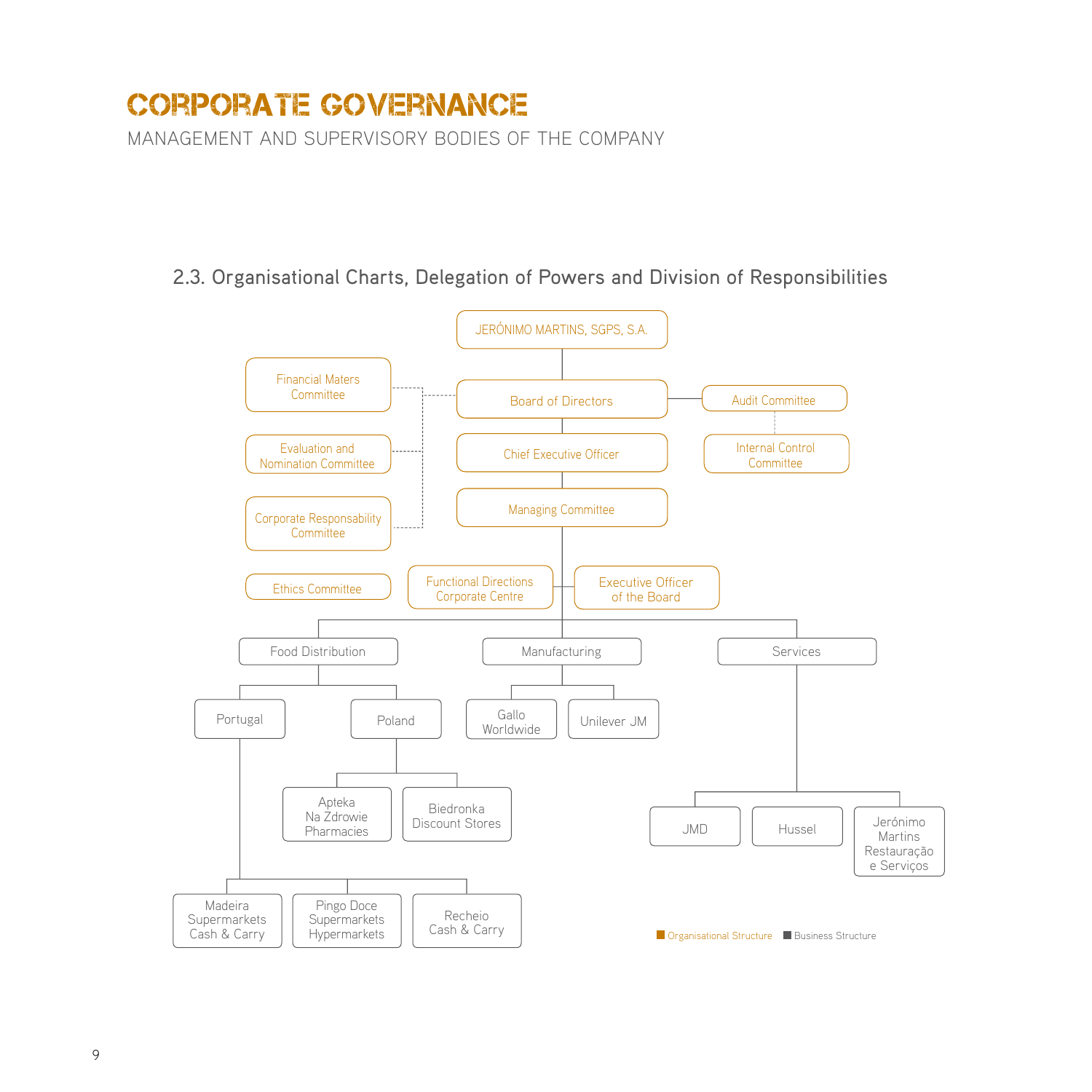management and supervisory bodies of the company

## 2.3. Organisational Charts, Delegation of Powers and Division of Responsibilities

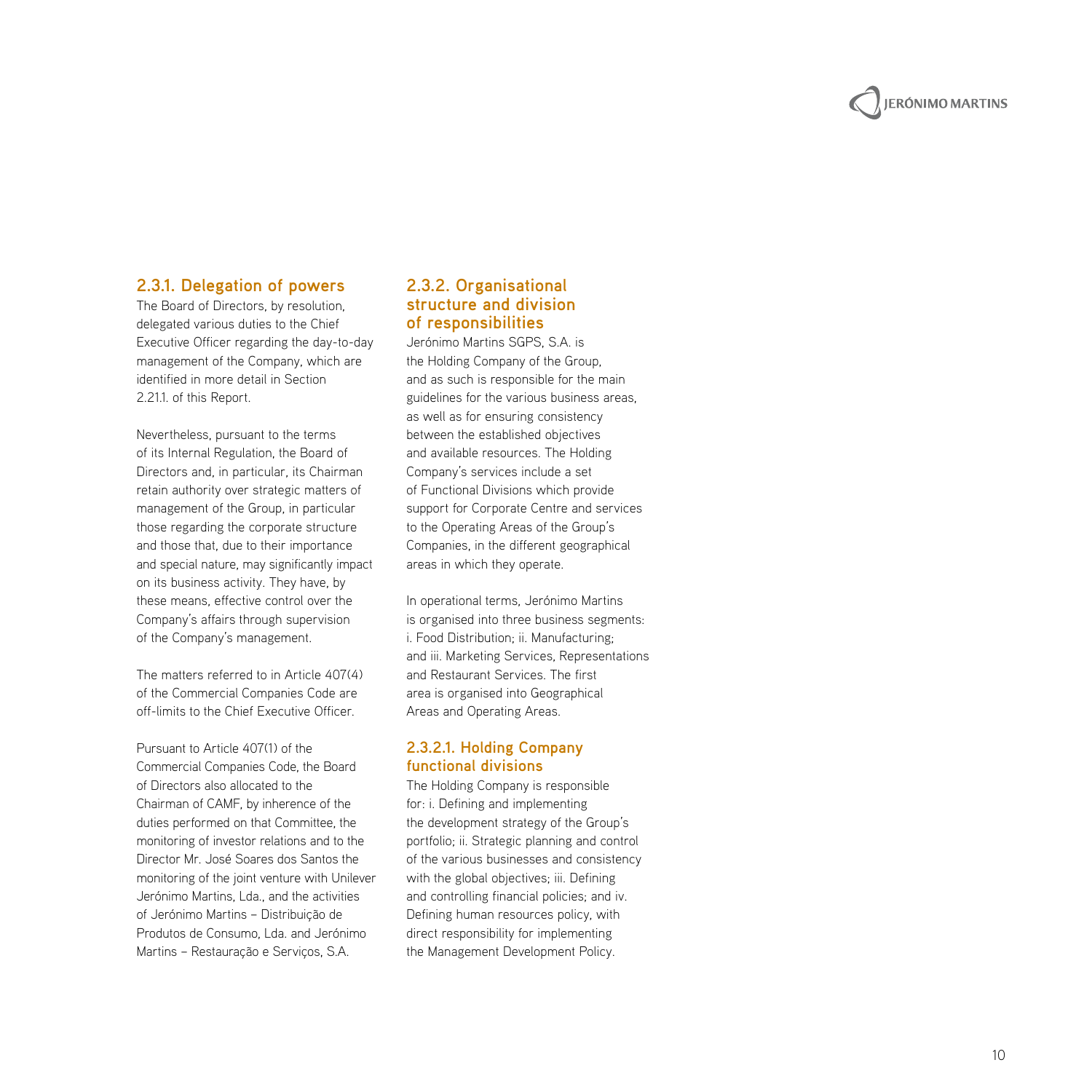# **JERÓNIMO MARTINS**

#### **2.3.1. Delegation of powers**

The Board of Directors, by resolution, delegated various duties to the Chief Executive Officer regarding the day-to-day management of the Company, which are identified in more detail in Section 2.21.1. of this Report.

Nevertheless, pursuant to the terms of its Internal Regulation, the Board of Directors and, in particular, its Chairman retain authority over strategic matters of management of the Group, in particular those regarding the corporate structure and those that, due to their importance and special nature, may significantly impact on its business activity. They have, by these means, effective control over the Company's affairs through supervision of the Company's management.

The matters referred to in Article 407(4) of the Commercial Companies Code are off-limits to the Chief Executive Officer.

Pursuant to Article 407(1) of the Commercial Companies Code, the Board of Directors also allocated to the Chairman of CAM F, by inherence of the duties performed on that Committee, the monitoring of investor relations and to the Director Mr. José Soares dos Santos the monitoring of the joint venture with Unilever Jerónimo Martins, Lda., and the activities of Jerónimo Martins – Distribuição de Produtos de Consumo, Lda. and Jerónimo Martins – Restauração e Serviços, S.A.

#### **2.3.2. Organisational structure and division of responsibilities**

Jerónimo Martins SGPS, S.A. is the Holding Company of the Group, and as such is responsible for the main guidelines for the various business areas, as well as for ensuring consistency between the established objectives and available resources. The Holding Company's services include a set of Functional Divisions which provide support for Corporate Centre and services to the Operating Areas of the Group's Companies, in the different geographical areas in which they operate.

In operational terms, Jerónimo Martins is organised into three business segments: i. Food Distribution; ii. Manufacturing; and iii. Marketing Services, Representations and Restaurant Services. The first area is organised into Geographical Areas and Operating Areas.

#### **2.3.2.1. Holding Company functional divisions**

The Holding Company is responsible for: i. Defining and implementing the development strategy of the Group's portfolio; ii. Strategic planning and control of the various businesses and consistency with the global objectives; iii. Defining and controlling financial policies; and iv. Defining human resources policy, with direct responsibility for implementing the Management Development Policy.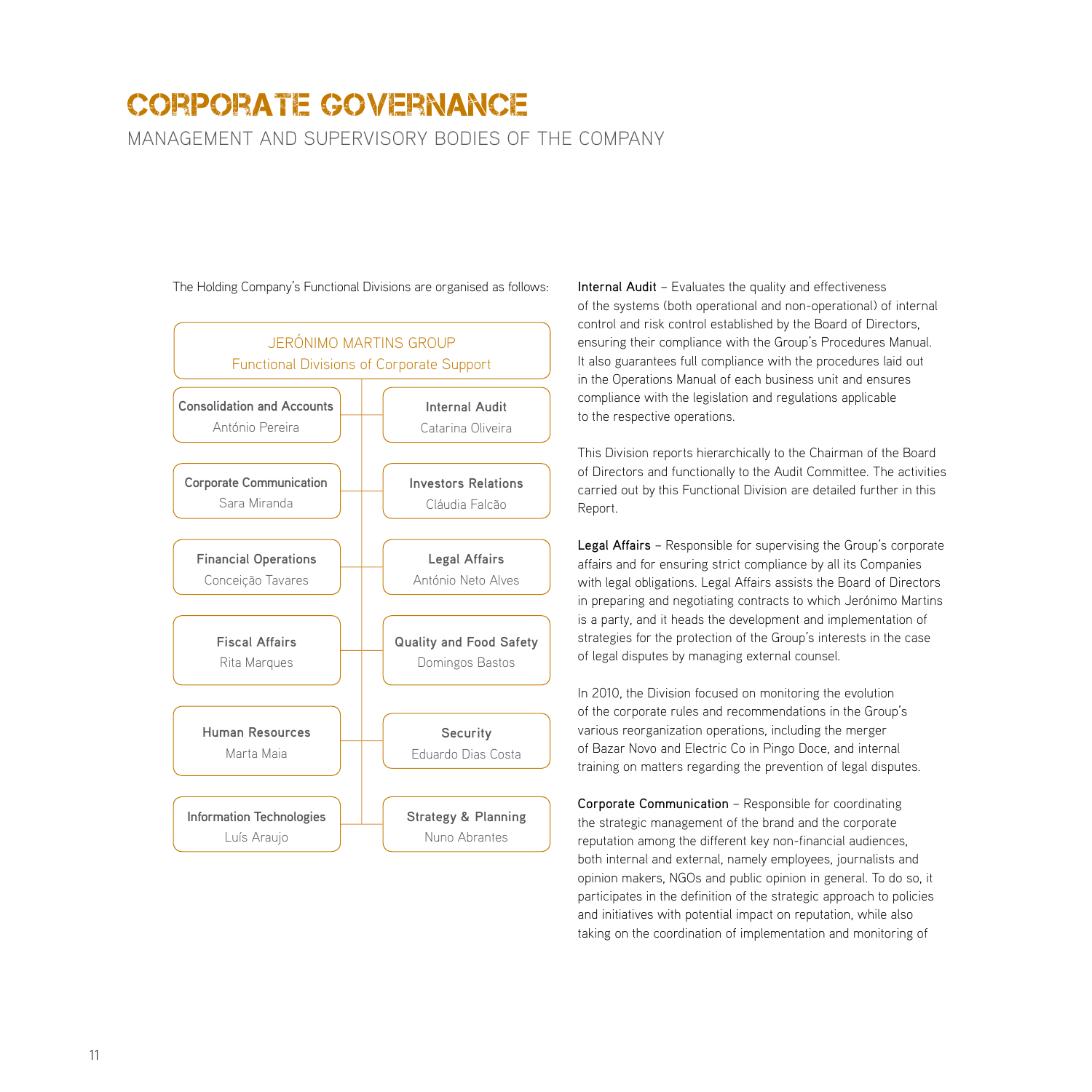management and supervisory bodies of the company



The Holding Company's Functional Divisions are organised as follows:

Internal Audit – Evaluates the quality and effectiveness of the systems (both operational and non-operational) of internal control and risk control established by the Board of Directors, ensuring their compliance with the Group's Procedures Manual. It also guarantees full compliance with the procedures laid out in the Operations Manual of each business unit and ensures compliance with the legislation and regulations applicable to the respective operations.

This Division reports hierarchically to the Chairman of the Board of Directors and functionally to the Audit Committee. The activities carried out by this Functional Division are detailed further in this Report.

Legal Affairs – Responsible for supervising the Group's corporate affairs and for ensuring strict compliance by all its Companies with legal obligations. Legal Affairs assists the Board of Directors in preparing and negotiating contracts to which Jerónimo Martins is a party, and it heads the development and implementation of strategies for the protection of the Group's interests in the case of legal disputes by managing external counsel.

In 2010, the Division focused on monitoring the evolution of the corporate rules and recommendations in the Group's various reorganization operations, including the merger of Bazar Novo and Electric Co in Pingo Doce, and internal training on matters regarding the prevention of legal disputes.

Corporate Communication – Responsible for coordinating the strategic management of the brand and the corporate reputation among the different key non-financial audiences, both internal and external, namely employees, journalists and opinion makers, NGOs and public opinion in general. To do so, it participates in the definition of the strategic approach to policies and initiatives with potential impact on reputation, while also taking on the coordination of implementation and monitoring of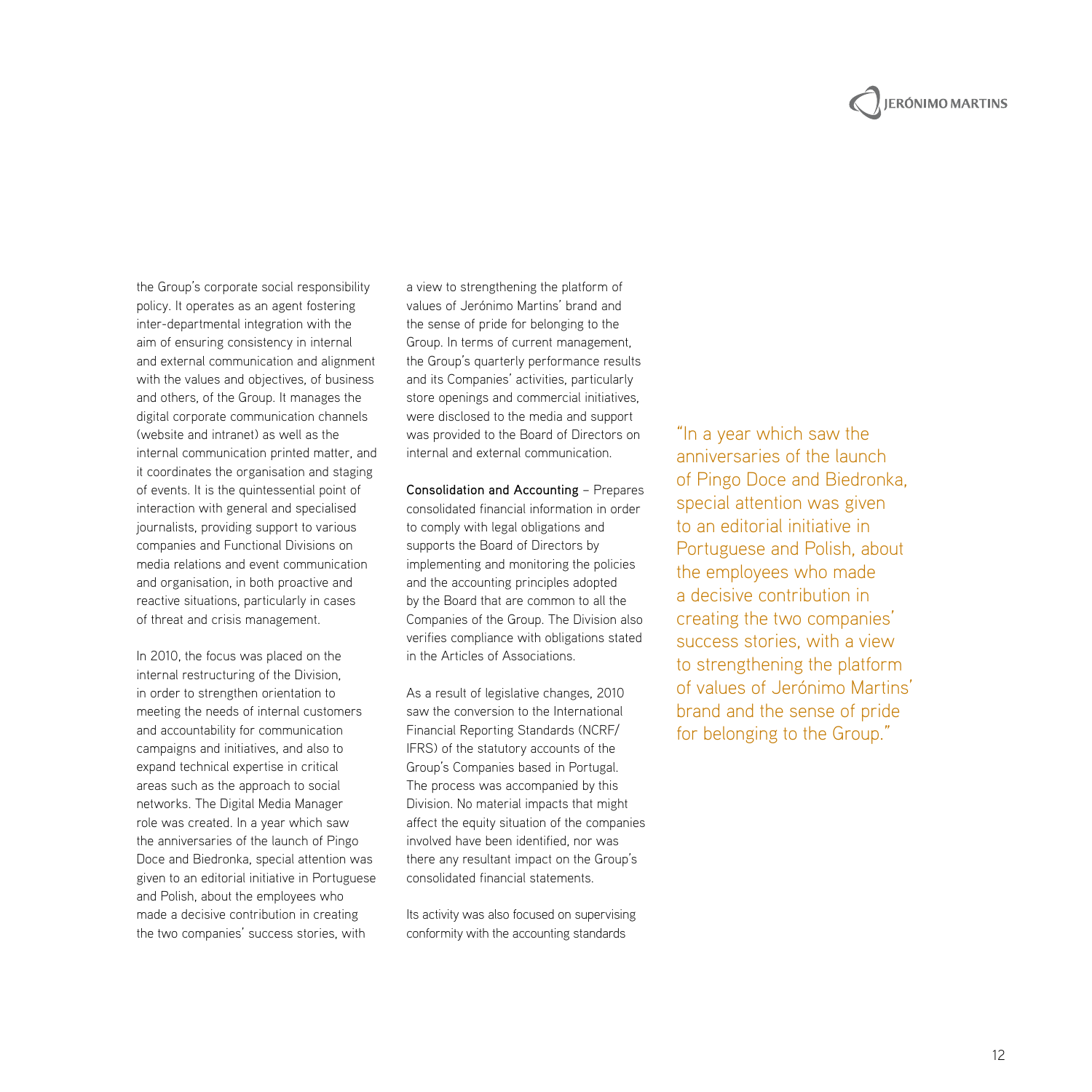# **JERÓNIMO MARTINS**

the Group's corporate social responsibility policy. It operates as an agent fostering inter-departmental integration with the aim of ensuring consistency in internal and external communication and alignment with the values and objectives, of business and others, of the Group. It manages the digital corporate communication channels (website and intranet) as well as the internal communication printed matter, and it coordinates the organisation and staging of events. It is the quintessential point of interaction with general and specialised journalists, providing support to various companies and Functional Divisions on media relations and event communication and organisation, in both proactive and reactive situations, particularly in cases of threat and crisis management.

In 2010, the focus was placed on the internal restructuring of the Division, in order to strengthen orientation to meeting the needs of internal customers and accountability for communication campaigns and initiatives, and also to expand technical expertise in critical areas such as the approach to social networks. The Digital Media Manager role was created. In a year which saw the anniversaries of the launch of Pingo Doce and Biedronka, special attention was given to an editorial initiative in Portuguese and Polish, about the employees who made a decisive contribution in creating the two companies' success stories, with

a view to strengthening the platform of values of Jerónimo Martins' brand and the sense of pride for belonging to the Group. In terms of current management, the Group's quarterly performance results and its Companies' activities, particularly store openings and commercial initiatives, were disclosed to the media and support was provided to the Board of Directors on internal and external communication.

Consolidation and Accounting – Prepares consolidated financial information in order to comply with legal obligations and supports the Board of Directors by implementing and monitoring the policies and the accounting principles adopted by the Board that are common to all the Companies of the Group. The Division also verifies compliance with obligations stated in the Articles of Associations.

As a result of legislative changes, 2010 saw the conversion to the International Financial Reporting Standards (NCRF/ IFRS) of the statutory accounts of the Group's Companies based in Portugal. The process was accompanied by this Division. No material impacts that might affect the equity situation of the companies involved have been identified, nor was there any resultant impact on the Group's consolidated financial statements.

Its activity was also focused on supervising conformity with the accounting standards

"In a year which saw the anniversaries of the launch of Pingo Doce and Biedronka, special attention was given to an editorial initiative in Portuguese and Polish, about the employees who made a decisive contribution in creating the two companies' success stories, with a view to strengthening the platform of values of Jerónimo Martins' brand and the sense of pride for belonging to the Group."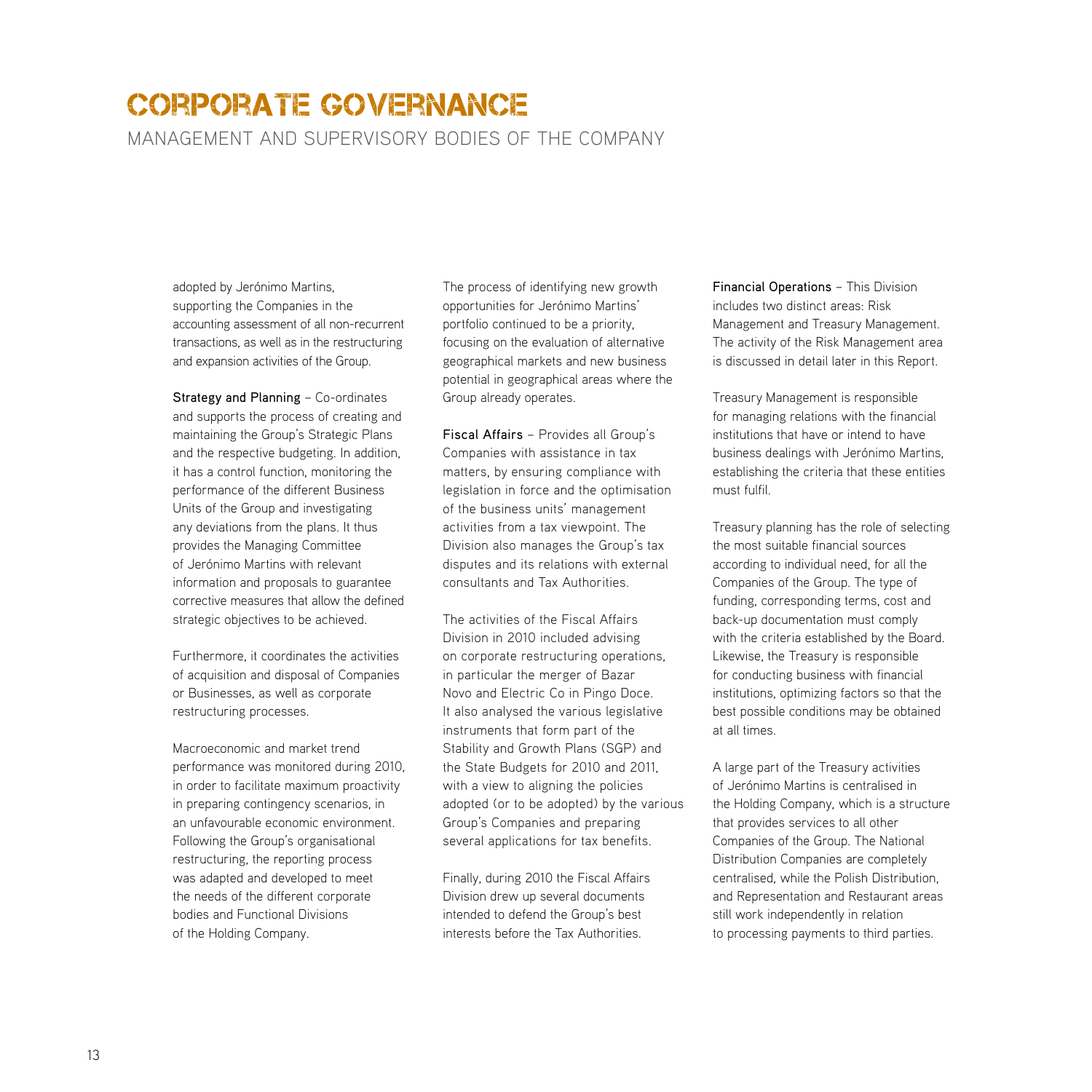management and supervisory bodies of the company

adopted by Jerónimo Martins, supporting the Companies in the accounting assessment of all non-recurrent transactions, as well as in the restructuring and expansion activities of the Group.

Strategy and Planning – Co-ordinates and supports the process of creating and maintaining the Group's Strategic Plans and the respective budgeting. In addition, it has a control function, monitoring the performance of the different Business Units of the Group and investigating any deviations from the plans. It thus provides the Managing Committee of Jerónimo Martins with relevant information and proposals to guarantee corrective measures that allow the defined strategic objectives to be achieved.

Furthermore, it coordinates the activities of acquisition and disposal of Companies or Businesses, as well as corporate restructuring processes.

Macroeconomic and market trend performance was monitored during 2010, in order to facilitate maximum proactivity in preparing contingency scenarios, in an unfavourable economic environment. Following the Group's organisational restructuring, the reporting process was adapted and developed to meet the needs of the different corporate bodies and Functional Divisions of the Holding Company.

The process of identifying new growth opportunities for Jerónimo Martins' portfolio continued to be a priority, focusing on the evaluation of alternative geographical markets and new business potential in geographical areas where the Group already operates.

Fiscal Affairs – Provides all Group's Companies with assistance in tax matters, by ensuring compliance with legislation in force and the optimisation of the business units' management activities from a tax viewpoint. The Division also manages the Group's tax disputes and its relations with external consultants and Tax Authorities.

The activities of the Fiscal Affairs Division in 2010 included advising on corporate restructuring operations, in particular the merger of Bazar Novo and Electric Co in Pingo Doce. It also analysed the various legislative instruments that form part of the Stability and Growth Plans (SGP) and the State Budgets for 2010 and 2011, with a view to aligning the policies adopted (or to be adopted) by the various Group's Companies and preparing several applications for tax benefits.

Finally, during 2010 the Fiscal Affairs Division drew up several documents intended to defend the Group's best interests before the Tax Authorities.

Financial Operations – This Division includes two distinct areas: Risk Management and Treasury Management. The activity of the Risk Management area is discussed in detail later in this Report.

Treasury Management is responsible for managing relations with the financial institutions that have or intend to have business dealings with Jerónimo Martins, establishing the criteria that these entities must fulfil.

Treasury planning has the role of selecting the most suitable financial sources according to individual need, for all the Companies of the Group. The type of funding, corresponding terms, cost and back-up documentation must comply with the criteria established by the Board. Likewise, the Treasury is responsible for conducting business with financial institutions, optimizing factors so that the best possible conditions may be obtained at all times.

A large part of the Treasury activities of Jerónimo Martins is centralised in the Holding Company, which is a structure that provides services to all other Companies of the Group. The National Distribution Companies are completely centralised, while the Polish Distribution, and Representation and Restaurant areas still work independently in relation to processing payments to third parties.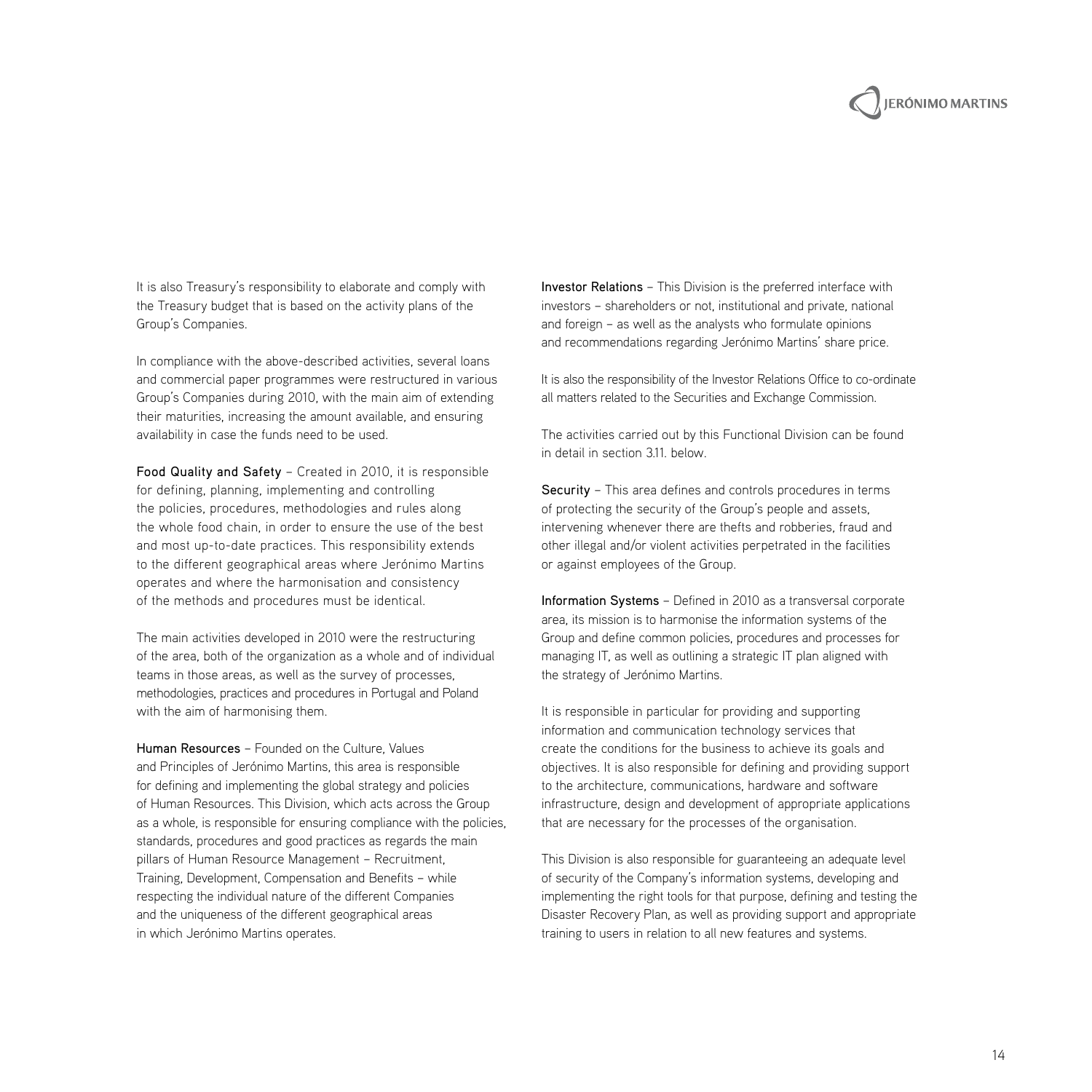# **IERÓNIMO MARTINS**

It is also Treasury's responsibility to elaborate and comply with the Treasury budget that is based on the activity plans of the Group's Companies.

In compliance with the above-described activities, several loans and commercial paper programmes were restructured in various Group's Companies during 2010, with the main aim of extending their maturities, increasing the amount available, and ensuring availability in case the funds need to be used.

Food Quality and Safety – Created in 2010, it is responsible for defining, planning, implementing and controlling the policies, procedures, methodologies and rules along the whole food chain, in order to ensure the use of the best and most up-to-date practices. This responsibility extends to the different geographical areas where Jerónimo Martins operates and where the harmonisation and consistency of the methods and procedures must be identical.

The main activities developed in 2010 were the restructuring of the area, both of the organization as a whole and of individual teams in those areas, as well as the survey of processes, methodologies, practices and procedures in Portugal and Poland with the aim of harmonising them.

Human Resources – Founded on the Culture, Values and Principles of Jerónimo Martins, this area is responsible for defining and implementing the global strategy and policies of Human Resources. This Division, which acts across the Group as a whole, is responsible for ensuring compliance with the policies, standards, procedures and good practices as regards the main pillars of Human Resource Management – Recruitment, Training, Development, Compensation and Benefits – while respecting the individual nature of the different Companies and the uniqueness of the different geographical areas in which Jerónimo Martins operates.

Investor Relations – This Division is the preferred interface with investors – shareholders or not, institutional and private, national and foreign – as well as the analysts who formulate opinions and recommendations regarding Jerónimo Martins' share price.

It is also the responsibility of the Investor Relations Office to co-ordinate all matters related to the Securities and Exchange Commission.

The activities carried out by this Functional Division can be found in detail in section 3.11. below.

Security – This area defines and controls procedures in terms of protecting the security of the Group's people and assets, intervening whenever there are thefts and robberies, fraud and other illegal and/or violent activities perpetrated in the facilities or against employees of the Group.

Information Systems – Defined in 2010 as a transversal corporate area, its mission is to harmonise the information systems of the Group and define common policies, procedures and processes for managing IT, as well as outlining a strategic IT plan aligned with the strategy of Jerónimo Martins.

It is responsible in particular for providing and supporting information and communication technology services that create the conditions for the business to achieve its goals and objectives. It is also responsible for defining and providing support to the architecture, communications, hardware and software infrastructure, design and development of appropriate applications that are necessary for the processes of the organisation.

This Division is also responsible for guaranteeing an adequate level of security of the Company's information systems, developing and implementing the right tools for that purpose, defining and testing the Disaster Recovery Plan, as well as providing support and appropriate training to users in relation to all new features and systems.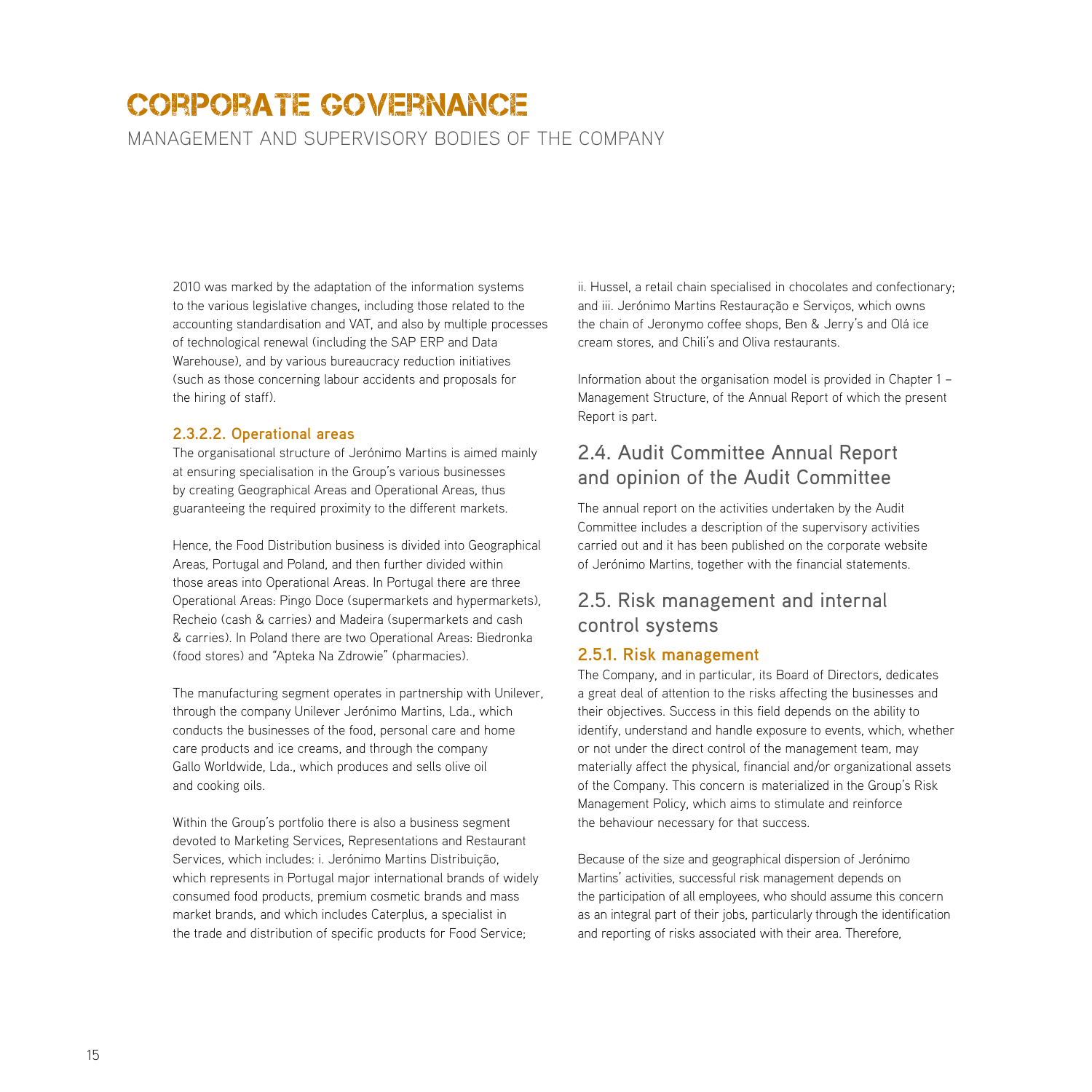management and supervisory bodies of the company

2010 was marked by the adaptation of the information systems to the various legislative changes, including those related to the accounting standardisation and VAT, and also by multiple processes of technological renewal (including the SAP ERP and Data Warehouse), and by various bureaucracy reduction initiatives (such as those concerning labour accidents and proposals for the hiring of staff).

#### **2.3.2.2. Operational areas**

The organisational structure of Jerónimo Martins is aimed mainly at ensuring specialisation in the Group's various businesses by creating Geographical Areas and Operational Areas, thus guaranteeing the required proximity to the different markets.

Hence, the Food Distribution business is divided into Geographical Areas, Portugal and Poland, and then further divided within those areas into Operational Areas. In Portugal there are three Operational Areas: Pingo Doce (supermarkets and hypermarkets), Recheio (cash & carries) and Madeira (supermarkets and cash & carries). In Poland there are two Operational Areas: Biedronka (food stores) and "Apteka Na Zdrowie" (pharmacies).

The manufacturing segment operates in partnership with Unilever, through the company Unilever Jerónimo Martins, Lda., which conducts the businesses of the food, personal care and home care products and ice creams, and through the company Gallo Worldwide, Lda., which produces and sells olive oil and cooking oils.

Within the Group's portfolio there is also a business segment devoted to Marketing Services, Representations and Restaurant Services, which includes: i. Jerónimo Martins Distribuição, which represents in Portugal major international brands of widely consumed food products, premium cosmetic brands and mass market brands, and which includes Caterplus, a specialist in the trade and distribution of specific products for Food Service;

ii. Hussel, a retail chain specialised in chocolates and confectionary; and iii. Jerónimo Martins Restauração e Serviços, which owns the chain of Jeronymo coffee shops, Ben & Jerry's and Olá ice cream stores, and Chili's and Oliva restaurants.

Information about the organisation model is provided in Chapter 1 – Management Structure, of the Annual Report of which the present Report is part.

## 2.4. Audit Committee Annual Report and opinion of the Audit Committee

The annual report on the activities undertaken by the Audit Committee includes a description of the supervisory activities carried out and it has been published on the corporate website of Jerónimo Martins, together with the financial statements.

## 2.5. Risk management and internal control systems

#### **2.5.1. Risk management**

The Company, and in particular, its Board of Directors, dedicates a great deal of attention to the risks affecting the businesses and their objectives. Success in this field depends on the ability to identify, understand and handle exposure to events, which, whether or not under the direct control of the management team, may materially affect the physical, financial and/or organizational assets of the Company. This concern is materialized in the Group's Risk Management Policy, which aims to stimulate and reinforce the behaviour necessary for that success.

Because of the size and geographical dispersion of Jerónimo Martins' activities, successful risk management depends on the participation of all employees, who should assume this concern as an integral part of their jobs, particularly through the identification and reporting of risks associated with their area. Therefore,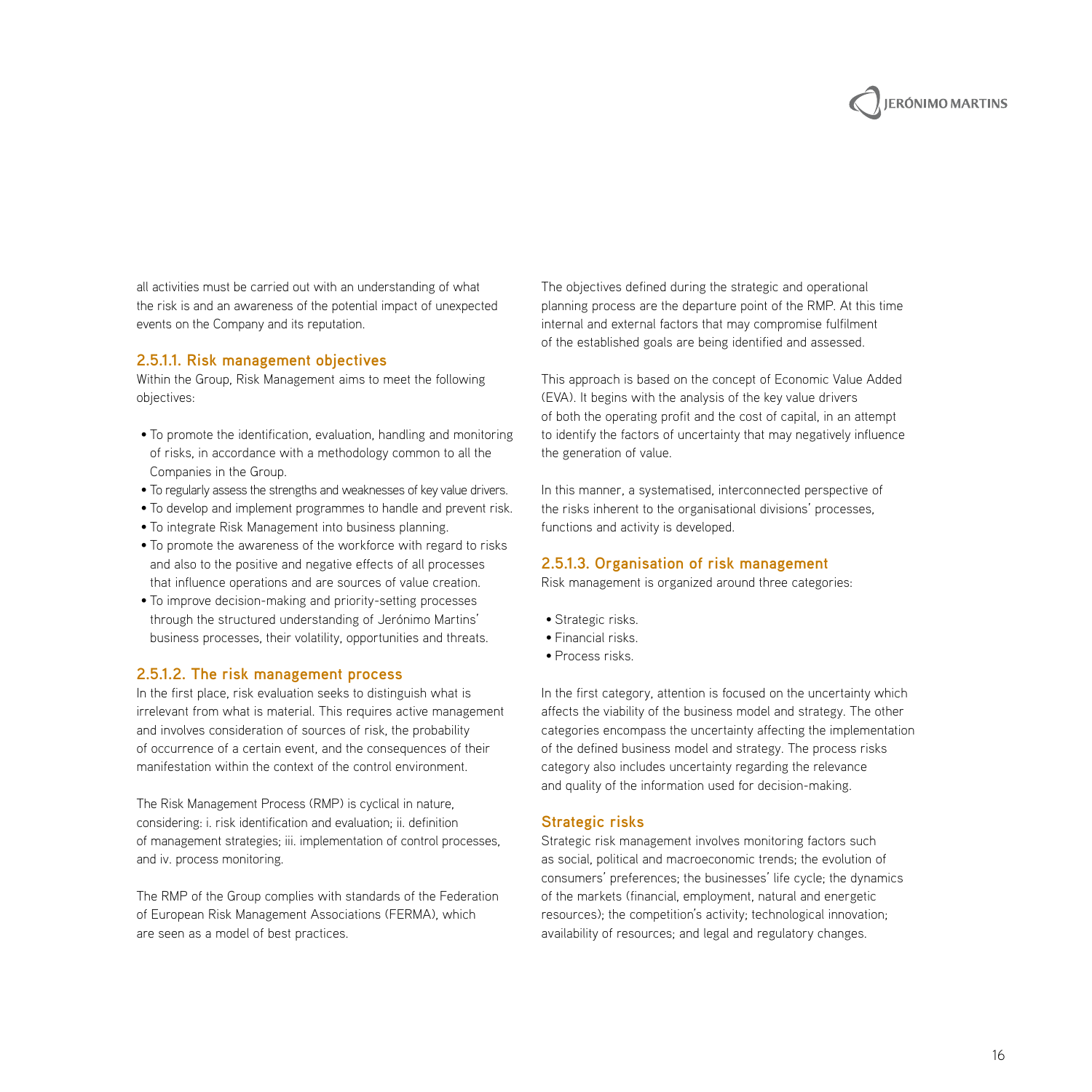

all activities must be carried out with an understanding of what the risk is and an awareness of the potential impact of unexpected events on the Company and its reputation.

#### **2.5.1.1. Risk management objectives**

Within the Group, Risk Management aims to meet the following objectives:

- To promote the identification, evaluation, handling and monitoring of risks, in accordance with a methodology common to all the Companies in the Group.
- To regularly assess the strengths and weaknesses of key value drivers.
- To develop and implement programmes to handle and prevent risk.
- To integrate Risk Management into business planning.
- To promote the awareness of the workforce with regard to risks and also to the positive and negative effects of all processes that influence operations and are sources of value creation.
- To improve decision-making and priority-setting processes through the structured understanding of Jerónimo Martins' business processes, their volatility, opportunities and threats.

#### **2.5.1.2. The risk management process**

In the first place, risk evaluation seeks to distinguish what is irrelevant from what is material. This requires active management and involves consideration of sources of risk, the probability of occurrence of a certain event, and the consequences of their manifestation within the context of the control environment.

The Risk Management Process (RMP) is cyclical in nature, considering: i. risk identification and evaluation; ii. definition of management strategies; iii. implementation of control processes, and iv. process monitoring.

The RMP of the Group complies with standards of the Federation of European Risk Management Associations (FERMA), which are seen as a model of best practices.

The objectives defined during the strategic and operational planning process are the departure point of the RMP. At this time internal and external factors that may compromise fulfilment of the established goals are being identified and assessed.

This approach is based on the concept of Economic Value Added (EVA). It begins with the analysis of the key value drivers of both the operating profit and the cost of capital, in an attempt to identify the factors of uncertainty that may negatively influence the generation of value.

In this manner, a systematised, interconnected perspective of the risks inherent to the organisational divisions' processes, functions and activity is developed.

#### **2.5.1.3. Organisation of risk management**

Risk management is organized around three categories:

- Strategic risks.
- Financial risks.
- Process risks.

In the first category, attention is focused on the uncertainty which affects the viability of the business model and strategy. The other categories encompass the uncertainty affecting the implementation of the defined business model and strategy. The process risks category also includes uncertainty regarding the relevance and quality of the information used for decision-making.

#### **Strategic risks**

Strategic risk management involves monitoring factors such as social, political and macroeconomic trends; the evolution of consumers' preferences; the businesses' life cycle; the dynamics of the markets (financial, employment, natural and energetic resources); the competition's activity; technological innovation; availability of resources; and legal and regulatory changes.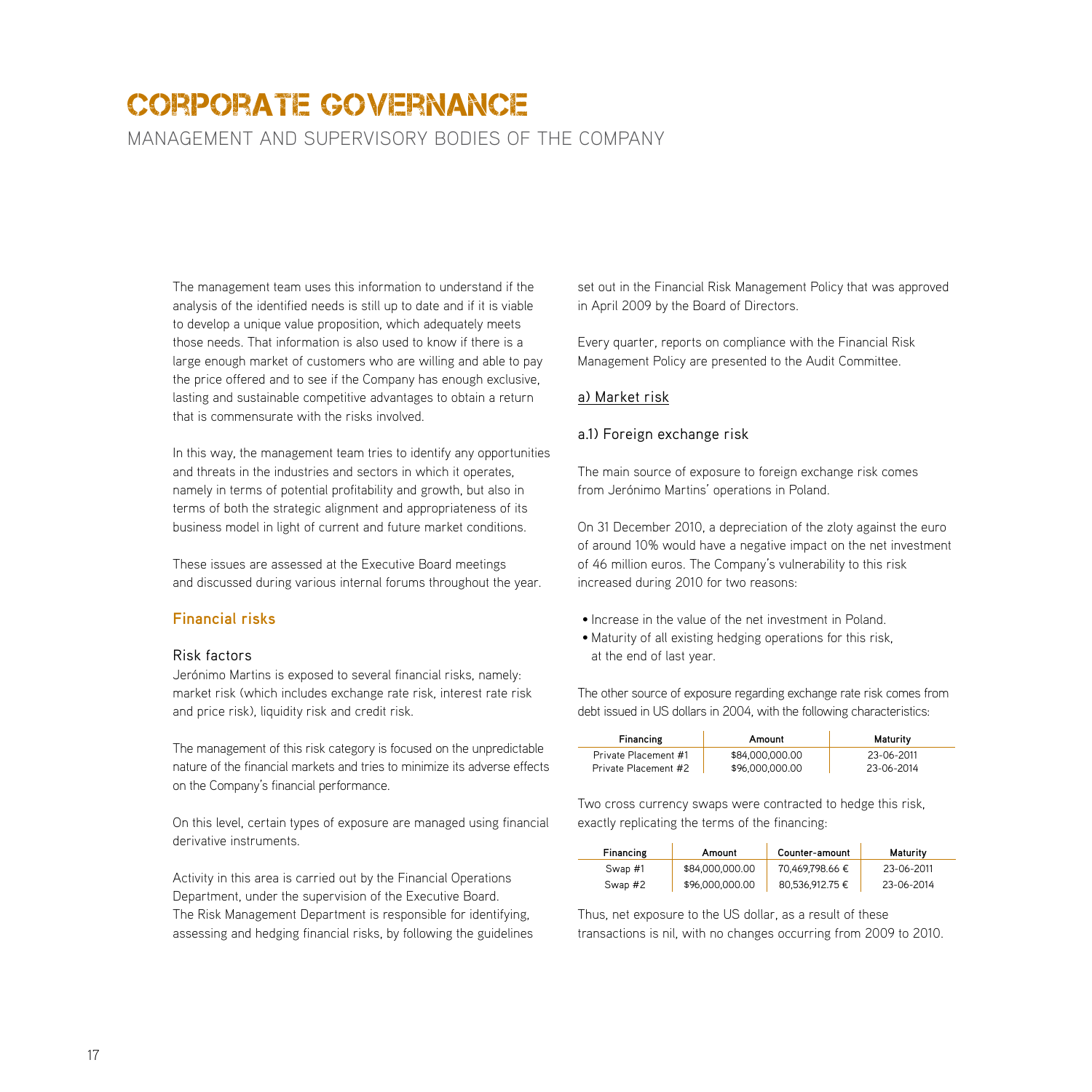management and supervisory bodies of the company

The management team uses this information to understand if the analysis of the identified needs is still up to date and if it is viable to develop a unique value proposition, which adequately meets those needs. That information is also used to know if there is a large enough market of customers who are willing and able to pay the price offered and to see if the Company has enough exclusive, lasting and sustainable competitive advantages to obtain a return that is commensurate with the risks involved.

In this way, the management team tries to identify any opportunities and threats in the industries and sectors in which it operates, namely in terms of potential profitability and growth, but also in terms of both the strategic alignment and appropriateness of its business model in light of current and future market conditions.

These issues are assessed at the Executive Board meetings and discussed during various internal forums throughout the year.

#### **Financial risks**

#### Risk factors

Jerónimo Martins is exposed to several financial risks, namely: market risk (which includes exchange rate risk, interest rate risk and price risk), liquidity risk and credit risk.

The management of this risk category is focused on the unpredictable nature of the financial markets and tries to minimize its adverse effects on the Company's financial performance.

On this level, certain types of exposure are managed using financial derivative instruments.

Activity in this area is carried out by the Financial Operations Department, under the supervision of the Executive Board. The Risk Management Department is responsible for identifying, assessing and hedging financial risks, by following the guidelines set out in the Financial Risk Management Policy that was approved in April 2009 by the Board of Directors.

Every quarter, reports on compliance with the Financial Risk Management Policy are presented to the Audit Committee.

#### a) Market risk

#### a.1) Foreign exchange risk

The main source of exposure to foreign exchange risk comes from Jerónimo Martins' operations in Poland.

On 31 December 2010, a depreciation of the zloty against the euro of around 10% would have a negative impact on the net investment of 46 million euros. The Company's vulnerability to this risk increased during 2010 for two reasons:

- Increase in the value of the net investment in Poland.
- Maturity of all existing hedging operations for this risk, at the end of last year.

The other source of exposure regarding exchange rate risk comes from debt issued in US dollars in 2004, with the following characteristics:

| Financing            | Amount          | Maturity   |
|----------------------|-----------------|------------|
| Private Placement #1 | \$84,000,000,00 | 23-06-2011 |
| Private Placement #2 | \$96,000,000,00 | 23-06-2014 |

Two cross currency swaps were contracted to hedge this risk, exactly replicating the terms of the financing:

| Financing | Amount          | Counter-amount  | Maturity   |
|-----------|-----------------|-----------------|------------|
| Swap #1   | \$84,000,000,00 | 70,469,798.66 € | 23-06-2011 |
| Swap #2   | \$96,000,000.00 | 80,536,912.75 € | 23-06-2014 |

Thus, net exposure to the US dollar, as a result of these transactions is nil, with no changes occurring from 2009 to 2010.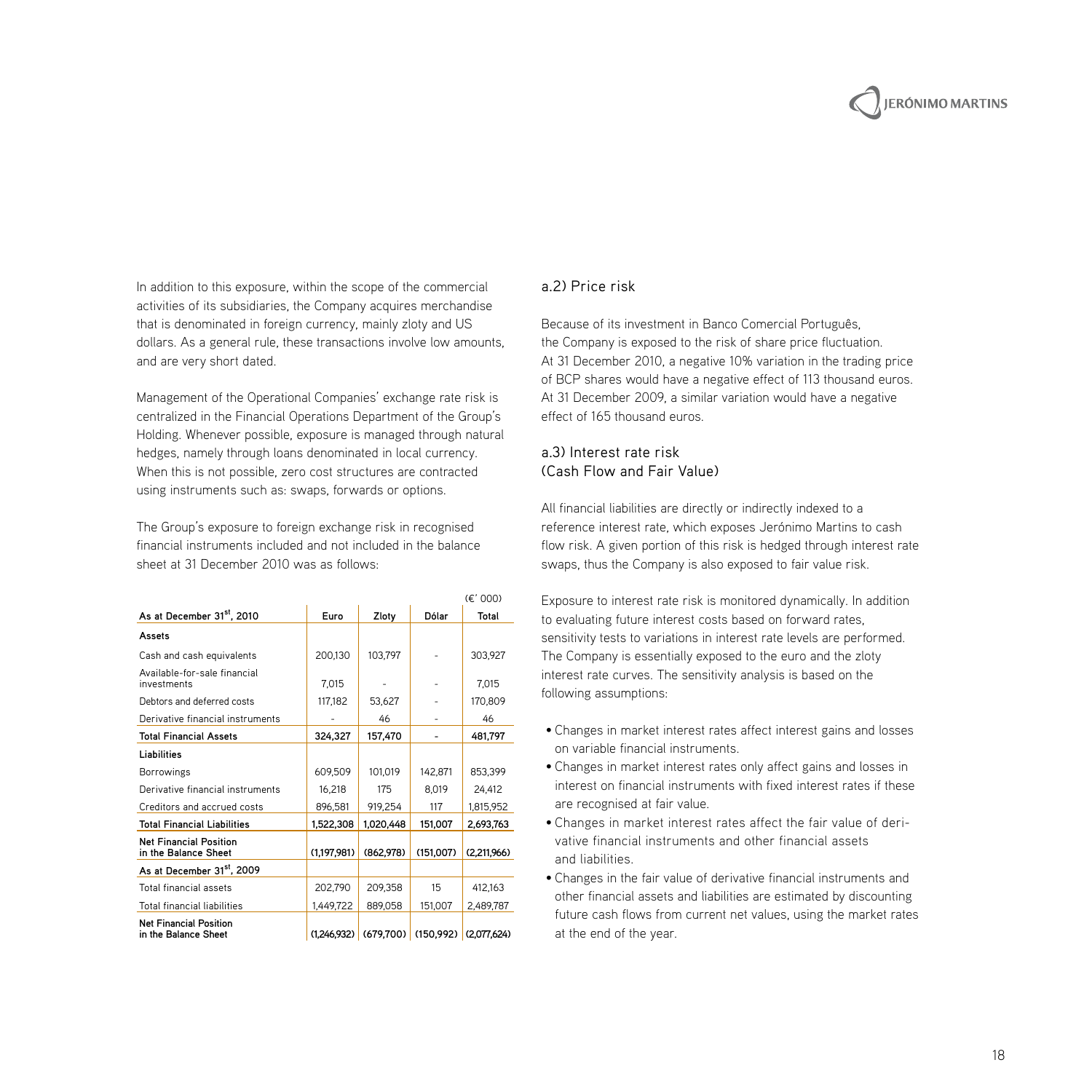In addition to this exposure, within the scope of the commercial activities of its subsidiaries, the Company acquires merchandise that is denominated in foreign currency, mainly zloty and US dollars. As a general rule, these transactions involve low amounts, and are very short dated.

Management of the Operational Companies' exchange rate risk is centralized in the Financial Operations Department of the Group's Holding. Whenever possible, exposure is managed through natural hedges, namely through loans denominated in local currency. When this is not possible, zero cost structures are contracted using instruments such as: swaps, forwards or options.

The Group's exposure to foreign exchange risk in recognised financial instruments included and not included in the balance sheet at 31 December 2010 was as follows:

|                                                       |             |                                               |           | (E' 000)    |
|-------------------------------------------------------|-------------|-----------------------------------------------|-----------|-------------|
| As at December 31 <sup>st</sup> , 2010                | Euro        | Zloty                                         | Dólar     | Total       |
| Assets                                                |             |                                               |           |             |
| Cash and cash equivalents                             | 200,130     | 103,797                                       |           | 303,927     |
| Available-for-sale financial<br>investments           | 7.015       |                                               |           | 7,015       |
| Debtors and deferred costs                            | 117,182     | 53,627                                        |           | 170,809     |
| Derivative financial instruments                      |             | 46                                            |           | 46          |
| <b>Total Financial Assets</b>                         | 324,327     | 157,470                                       | ۰         | 481.797     |
| Liabilities                                           |             |                                               |           |             |
| <b>Borrowings</b>                                     | 609.509     | 101.019                                       | 142.871   | 853,399     |
| Derivative financial instruments                      | 16.218      | 175                                           | 8.019     | 24.412      |
| Creditors and accrued costs                           | 896,581     | 919,254                                       | 117       | 1,815,952   |
| <b>Total Financial Liabilities</b>                    | 1,522,308   | 1.020.448                                     | 151,007   | 2.693.763   |
| <b>Net Financial Position</b><br>in the Balance Sheet | (1,197,981) | (862.978)                                     | (151.007) | (2,211,966) |
| As at December 31 <sup>st</sup> , 2009                |             |                                               |           |             |
| Total financial assets                                | 202.790     | 209.358                                       | 15        | 412.163     |
| <b>Total financial liabilities</b>                    | 1.449.722   | 889.058                                       | 151.007   | 2.489.787   |
| <b>Net Financial Position</b><br>in the Balance Sheet |             | $(1,246,932)$ (679,700) (150,992) (2,077,624) |           |             |

#### a.2) Price risk

Because of its investment in Banco Comercial Português, the Company is exposed to the risk of share price fluctuation. At 31 December 2010, a negative 10% variation in the trading price of BCP shares would have a negative effect of 113 thousand euros. At 31 December 2009, a similar variation would have a negative effect of 165 thousand euros.

#### a.3) Interest rate risk (Cash Flow and Fair Value)

All financial liabilities are directly or indirectly indexed to a reference interest rate, which exposes Jerónimo Martins to cash flow risk. A given portion of this risk is hedged through interest rate swaps, thus the Company is also exposed to fair value risk.

Exposure to interest rate risk is monitored dynamically. In addition to evaluating future interest costs based on forward rates, sensitivity tests to variations in interest rate levels are performed. The Company is essentially exposed to the euro and the zloty interest rate curves. The sensitivity analysis is based on the following assumptions:

- Changes in market interest rates affect interest gains and losses on variable financial instruments.
- Changes in market interest rates only affect gains and losses in interest on financial instruments with fixed interest rates if these are recognised at fair value.
- Changes in market interest rates affect the fair value of derivative financial instruments and other financial assets and liabilities.
- Changes in the fair value of derivative financial instruments and other financial assets and liabilities are estimated by discounting future cash flows from current net values, using the market rates at the end of the year.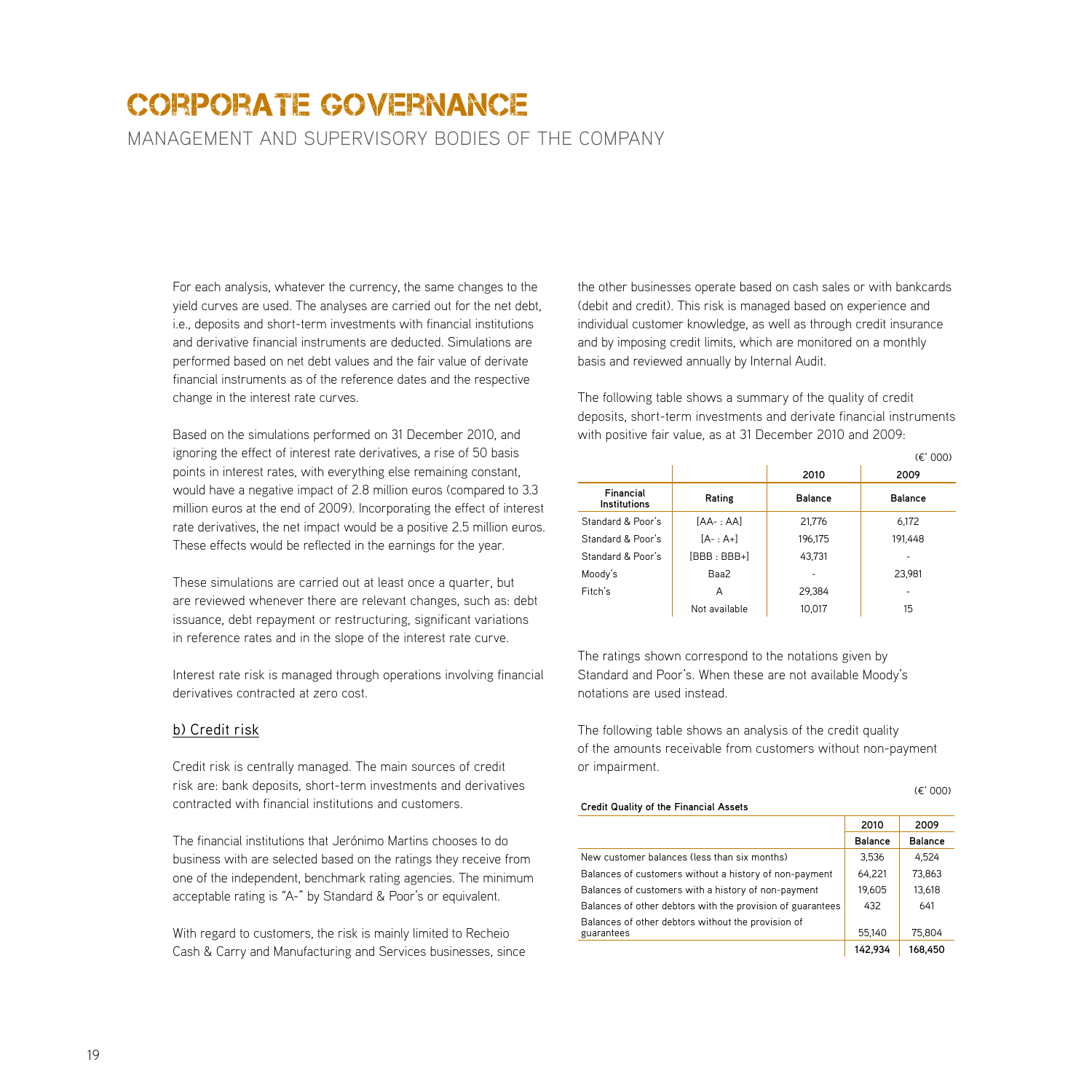management and supervisory bodies of the company

For each analysis, whatever the currency, the same changes to the yield curves are used. The analyses are carried out for the net debt, i.e., deposits and short-term investments with financial institutions and derivative financial instruments are deducted. Simulations are performed based on net debt values and the fair value of derivate financial instruments as of the reference dates and the respective change in the interest rate curves.

Based on the simulations performed on 31 December 2010, and ignoring the effect of interest rate derivatives, a rise of 50 basis points in interest rates, with everything else remaining constant, would have a negative impact of 2.8 million euros (compared to 3.3 million euros at the end of 2009). Incorporating the effect of interest rate derivatives, the net impact would be a positive 2.5 million euros. These effects would be reflected in the earnings for the year.

These simulations are carried out at least once a quarter, but are reviewed whenever there are relevant changes, such as: debt issuance, debt repayment or restructuring, significant variations in reference rates and in the slope of the interest rate curve.

Interest rate risk is managed through operations involving financial derivatives contracted at zero cost.

#### b) Credit risk

Credit risk is centrally managed. The main sources of credit risk are: bank deposits, short-term investments and derivatives contracted with financial institutions and customers.

The financial institutions that Jerónimo Martins chooses to do business with are selected based on the ratings they receive from one of the independent, benchmark rating agencies. The minimum acceptable rating is "A-" by Standard & Poor's or equivalent.

With regard to customers, the risk is mainly limited to Recheio Cash & Carry and Manufacturing and Services businesses, since the other businesses operate based on cash sales or with bankcards (debit and credit). This risk is managed based on experience and individual customer knowledge, as well as through credit insurance and by imposing credit limits, which are monitored on a monthly basis and reviewed annually by Internal Audit.

The following table shows a summary of the quality of credit deposits, short-term investments and derivate financial instruments with positive fair value, as at 31 December 2010 and 2009:

|                           |                |         | $(\epsilon'$ 000) |
|---------------------------|----------------|---------|-------------------|
|                           |                | 2010    | 2009              |
| Financial<br>Institutions | Rating         | Balance | Balance           |
| Standard & Poor's         | $[AA-:AA]$     | 21,776  | 6,172             |
| Standard & Poor's         | $[A- : A+]$    | 196.175 | 191,448           |
| Standard & Poor's         | $IBBB : BBB+1$ | 43.731  |                   |
| Moody's                   | Baa2           |         | 23.981            |
| Fitch's                   | A              | 29.384  |                   |
|                           | Not available  | 10.017  | 15                |

The ratings shown correspond to the notations given by Standard and Poor's. When these are not available Moody's notations are used instead.

The following table shows an analysis of the credit quality of the amounts receivable from customers without non-payment or impairment.

#### **Credit Quality of the Financial Assets**

|        | ٧ |
|--------|---|
| $\sim$ | ٧ |
|        |   |

| Credit Quality of the Financial Assets                     |                |                |
|------------------------------------------------------------|----------------|----------------|
|                                                            | 2010           | 2009           |
|                                                            | <b>Balance</b> | <b>Balance</b> |
| New customer balances (less than six months)               | 3,536          | 4,524          |
| Balances of customers without a history of non-payment     | 64,221         | 73,863         |
| Balances of customers with a history of non-payment        | 19,605         | 13,618         |
| Balances of other debtors with the provision of guarantees | 432            | 641            |
| Balances of other debtors without the provision of         |                |                |
| guarantees                                                 | 55.140         | 75.804         |
|                                                            | 142.934        | 168.450        |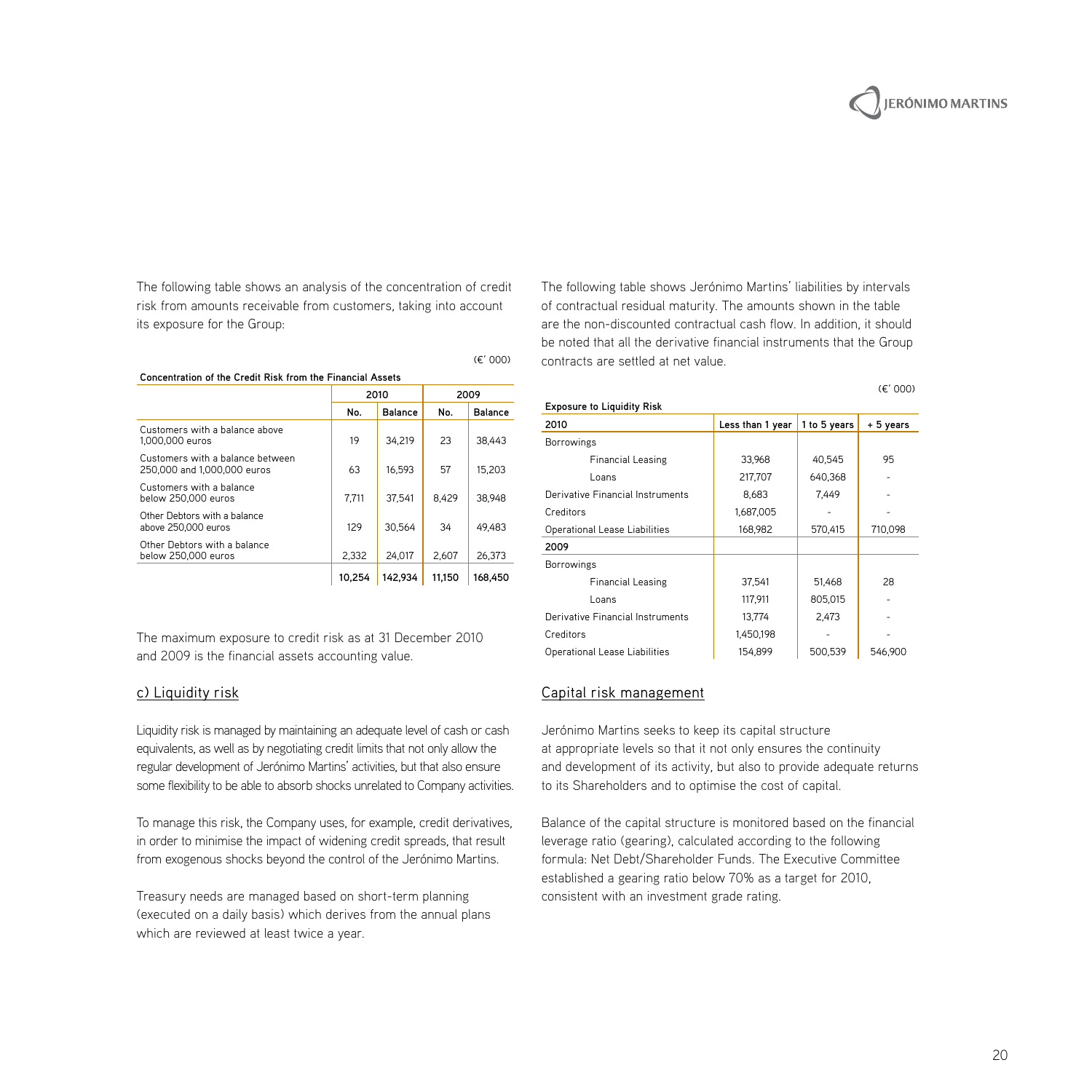The following table shows an analysis of the concentration of credit risk from amounts receivable from customers, taking into account its exposure for the Group:

| Concentration of the Credit Risk from the Financial Assets      |        |         |        |         |  |
|-----------------------------------------------------------------|--------|---------|--------|---------|--|
|                                                                 |        | 2010    |        | 2009    |  |
|                                                                 | No.    | Balance | No.    | Balance |  |
| Customers with a balance above<br>1.000.000 euros               | 19     | 34.219  | 23     | 38.443  |  |
| Customers with a balance between<br>250,000 and 1,000,000 euros | 63     | 16.593  | 57     | 15.203  |  |
| Customers with a balance<br>below 250,000 euros                 | 7.711  | 37.541  | 8.429  | 38,948  |  |
| Other Debtors with a balance<br>above 250,000 euros             | 129    | 30.564  | 34     | 49.483  |  |
| Other Debtors with a balance<br>below 250,000 euros             | 2.332  | 24.017  | 2.607  | 26.373  |  |
|                                                                 | 10.254 | 142.934 | 11.150 | 168.450 |  |

The maximum exposure to credit risk as at 31 December 2010 and 2009 is the financial assets accounting value.

#### c) Liquidity risk

Liquidity risk is managed by maintaining an adequate level of cash or cash equivalents, as well as by negotiating credit limits that not only allow the regular development of Jerónimo Martins' activities, but that also ensure some flexibility to be able to absorb shocks unrelated to Company activities.

To manage this risk, the Company uses, for example, credit derivatives, in order to minimise the impact of widening credit spreads, that result from exogenous shocks beyond the control of the Jerónimo Martins.

Treasury needs are managed based on short-term planning (executed on a daily basis) which derives from the annual plans which are reviewed at least twice a year.

The following table shows Jerónimo Martins' liabilities by intervals of contractual residual maturity. The amounts shown in the table are the non-discounted contractual cash flow. In addition, it should be noted that all the derivative financial instruments that the Group contracts are settled at net value.

| <b>Exposure to Liquidity Risk</b> |                  |              |           |
|-----------------------------------|------------------|--------------|-----------|
| 2010                              | Less than 1 year | 1 to 5 years | + 5 years |
| <b>Borrowings</b>                 |                  |              |           |
| <b>Financial Leasing</b>          | 33,968           | 40,545       | 95        |
| Loans                             | 217,707          | 640,368      |           |
| Derivative Financial Instruments  | 8.683            | 7.449        |           |
| Creditors                         | 1,687,005        |              |           |
| Operational Lease Liabilities     | 168,982          | 570,415      | 710,098   |
| 2009                              |                  |              |           |
| <b>Borrowings</b>                 |                  |              |           |
| <b>Financial Leasing</b>          | 37,541           | 51,468       | 28        |
| Loans                             | 117,911          | 805,015      |           |
| Derivative Financial Instruments  | 13.774           | 2,473        |           |
| Creditors                         | 1,450,198        |              |           |
| Operational Lease Liabilities     | 154,899          | 500,539      | 546,900   |

## Capital risk management

Jerónimo Martins seeks to keep its capital structure at appropriate levels so that it not only ensures the continuity and development of its activity, but also to provide adequate returns to its Shareholders and to optimise the cost of capital.

Balance of the capital structure is monitored based on the financial leverage ratio (gearing), calculated according to the following formula: Net Debt/Shareholder Funds. The Executive Committee established a gearing ratio below 70% as a target for 2010, consistent with an investment grade rating.

#### (¤' 000)

## **JERÓNIMO MARTINS**

 $(F' 000)$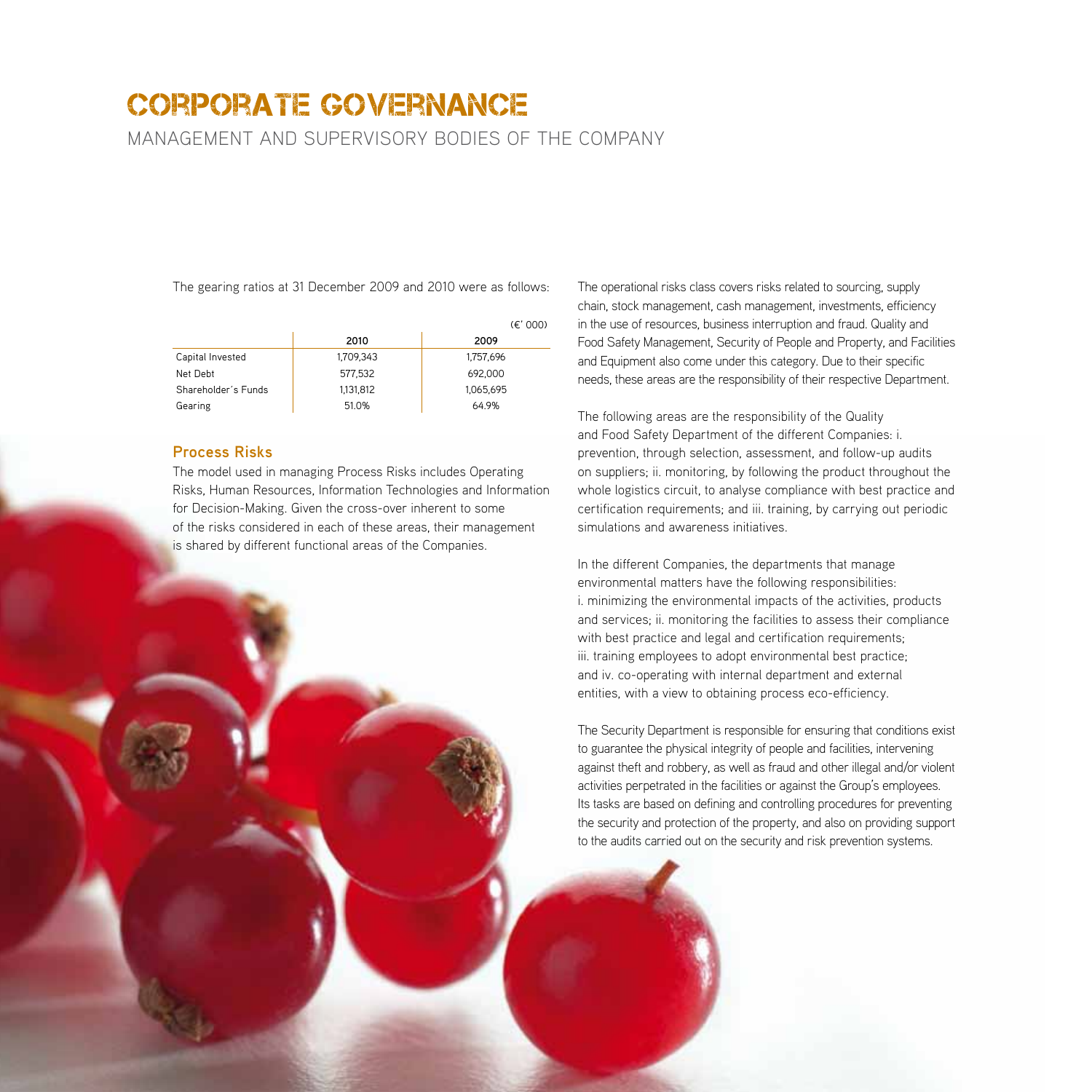management and supervisory bodies of the company

The gearing ratios at 31 December 2009 and 2010 were as follows:

|                     |           | (E' 000)  |
|---------------------|-----------|-----------|
|                     | 2010      | 2009      |
| Capital Invested    | 1.709.343 | 1,757,696 |
| Net Debt            | 577,532   | 692.000   |
| Shareholder's Funds | 1,131,812 | 1,065,695 |
| Gearing             | 51.0%     | 64.9%     |

#### **Process Risks**

The model used in managing Process Risks includes Operating Risks, Human Resources, Information Technologies and Information for Decision-Making. Given the cross-over inherent to some of the risks considered in each of these areas, their management is shared by different functional areas of the Companies.

The operational risks class covers risks related to sourcing, supply chain, stock management, cash management, investments, efficiency in the use of resources, business interruption and fraud. Quality and Food Safety Management, Security of People and Property, and Facilities and Equipment also come under this category. Due to their specific needs, these areas are the responsibility of their respective Department.

The following areas are the responsibility of the Quality and Food Safety Department of the different Companies: i. prevention, through selection, assessment, and follow-up audits on suppliers; ii. monitoring, by following the product throughout the whole logistics circuit, to analyse compliance with best practice and certification requirements; and iii. training, by carrying out periodic simulations and awareness initiatives.

In the different Companies, the departments that manage environmental matters have the following responsibilities: i. minimizing the environmental impacts of the activities, products and services; ii. monitoring the facilities to assess their compliance with best practice and legal and certification requirements; iii. training employees to adopt environmental best practice; and iv. co-operating with internal department and external entities, with a view to obtaining process eco-efficiency.

The Security Department is responsible for ensuring that conditions exist to guarantee the physical integrity of people and facilities, intervening against theft and robbery, as well as fraud and other illegal and/or violent activities perpetrated in the facilities or against the Group's employees. Its tasks are based on defining and controlling procedures for preventing the security and protection of the property, and also on providing support to the audits carried out on the security and risk prevention systems.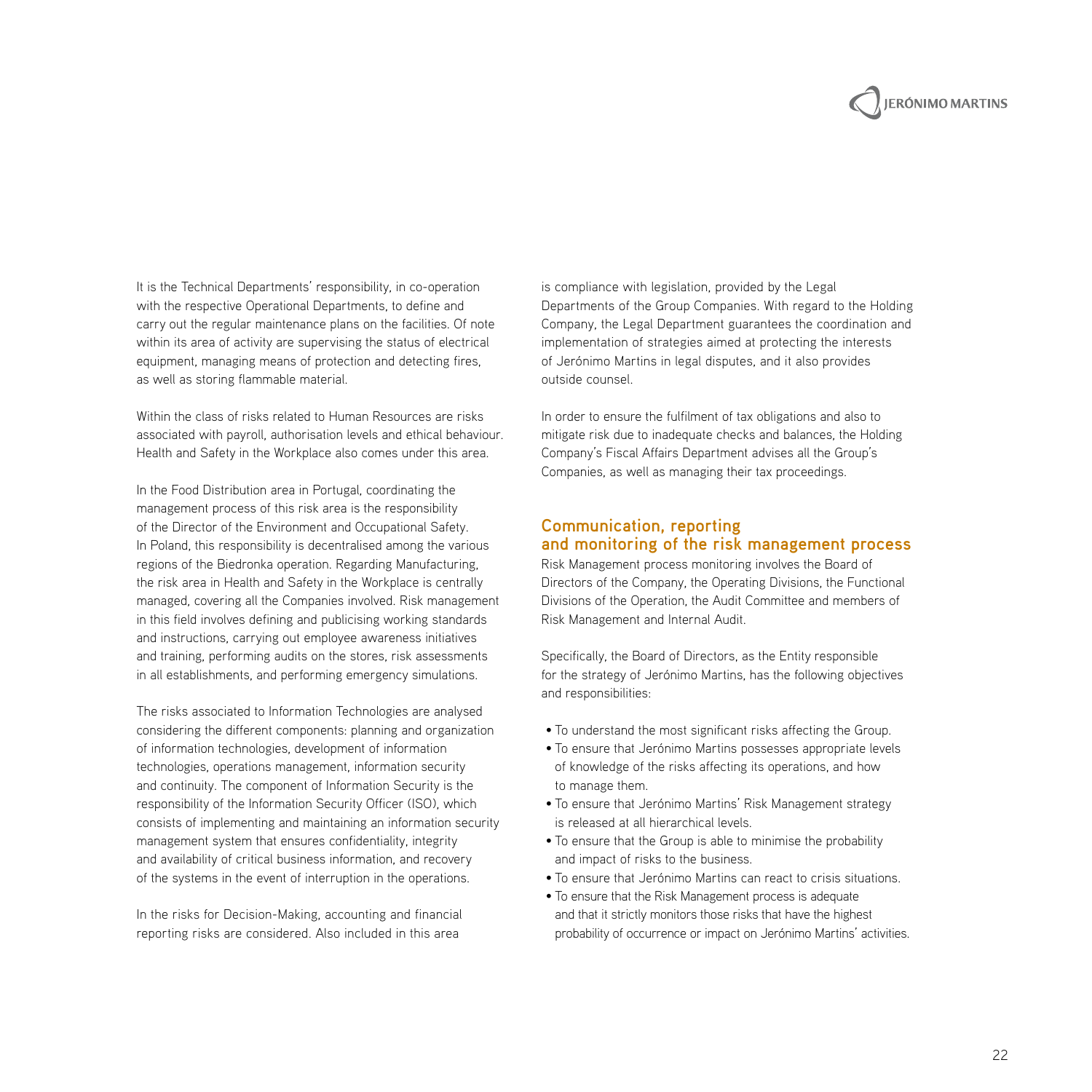# **IERÓNIMO MARTINS**

It is the Technical Departments' responsibility, in co-operation with the respective Operational Departments, to define and carry out the regular maintenance plans on the facilities. Of note within its area of activity are supervising the status of electrical equipment, managing means of protection and detecting fires, as well as storing flammable material.

Within the class of risks related to Human Resources are risks associated with payroll, authorisation levels and ethical behaviour. Health and Safety in the Workplace also comes under this area.

In the Food Distribution area in Portugal, coordinating the management process of this risk area is the responsibility of the Director of the Environment and Occupational Safety. In Poland, this responsibility is decentralised among the various regions of the Biedronka operation. Regarding Manufacturing, the risk area in Health and Safety in the Workplace is centrally managed, covering all the Companies involved. Risk management in this field involves defining and publicising working standards and instructions, carrying out employee awareness initiatives and training, performing audits on the stores, risk assessments in all establishments, and performing emergency simulations.

The risks associated to Information Technologies are analysed considering the different components: planning and organization of information technologies, development of information technologies, operations management, information security and continuity. The component of Information Security is the responsibility of the Information Security Officer (ISO), which consists of implementing and maintaining an information security management system that ensures confidentiality, integrity and availability of critical business information, and recovery of the systems in the event of interruption in the operations.

In the risks for Decision-Making, accounting and financial reporting risks are considered. Also included in this area

is compliance with legislation, provided by the Legal Departments of the Group Companies. With regard to the Holding Company, the Legal Department guarantees the coordination and implementation of strategies aimed at protecting the interests of Jerónimo Martins in legal disputes, and it also provides outside counsel.

In order to ensure the fulfilment of tax obligations and also to mitigate risk due to inadequate checks and balances, the Holding Company's Fiscal Affairs Department advises all the Group's Companies, as well as managing their tax proceedings.

#### **Communication, reporting and monitoring of the risk management process**

Risk Management process monitoring involves the Board of Directors of the Company, the Operating Divisions, the Functional Divisions of the Operation, the Audit Committee and members of Risk Management and Internal Audit.

Specifically, the Board of Directors, as the Entity responsible for the strategy of Jerónimo Martins, has the following objectives and responsibilities:

- To understand the most significant risks affecting the Group.
- To ensure that Jerónimo Martins possesses appropriate levels of knowledge of the risks affecting its operations, and how to manage them.
- To ensure that Jerónimo Martins' Risk Management strategy is released at all hierarchical levels.
- To ensure that the Group is able to minimise the probability and impact of risks to the business.
- To ensure that Jerónimo Martins can react to crisis situations.
- To ensure that the Risk Management process is adequate and that it strictly monitors those risks that have the highest probability of occurrence or impact on Jerónimo Martins' activities.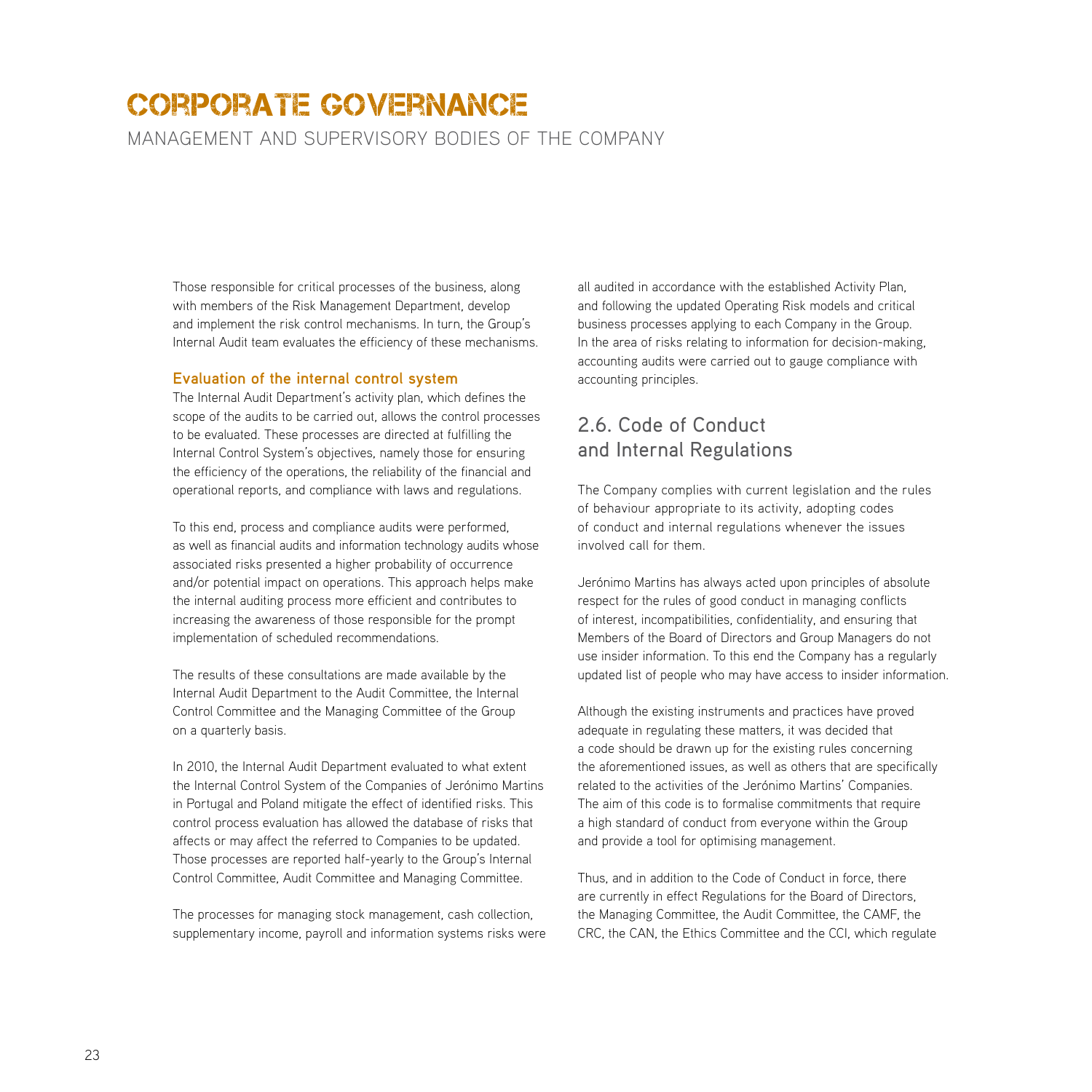management and supervisory bodies of the company

Those responsible for critical processes of the business, along with members of the Risk Management Department, develop and implement the risk control mechanisms. In turn, the Group's Internal Audit team evaluates the efficiency of these mechanisms.

#### **Evaluation of the internal control system**

The Internal Audit Department's activity plan, which defines the scope of the audits to be carried out, allows the control processes to be evaluated. These processes are directed at fulfilling the Internal Control System's objectives, namely those for ensuring the efficiency of the operations, the reliability of the financial and operational reports, and compliance with laws and regulations.

To this end, process and compliance audits were performed, as well as financial audits and information technology audits whose associated risks presented a higher probability of occurrence and/or potential impact on operations. This approach helps make the internal auditing process more efficient and contributes to increasing the awareness of those responsible for the prompt implementation of scheduled recommendations.

The results of these consultations are made available by the Internal Audit Department to the Audit Committee, the Internal Control Committee and the Managing Committee of the Group on a quarterly basis.

In 2010, the Internal Audit Department evaluated to what extent the Internal Control System of the Companies of Jerónimo Martins in Portugal and Poland mitigate the effect of identified risks. This control process evaluation has allowed the database of risks that affects or may affect the referred to Companies to be updated. Those processes are reported half-yearly to the Group's Internal Control Committee, Audit Committee and Managing Committee.

The processes for managing stock management, cash collection, supplementary income, payroll and information systems risks were

all audited in accordance with the established Activity Plan, and following the updated Operating Risk models and critical business processes applying to each Company in the Group. In the area of risks relating to information for decision-making, accounting audits were carried out to gauge compliance with accounting principles.

## 2.6. Code of Conduct and Internal Regulations

The Company complies with current legislation and the rules of behaviour appropriate to its activity, adopting codes of conduct and internal regulations whenever the issues involved call for them.

Jerónimo Martins has always acted upon principles of absolute respect for the rules of good conduct in managing conflicts of interest, incompatibilities, confidentiality, and ensuring that Members of the Board of Directors and Group Managers do not use insider information. To this end the Company has a regularly updated list of people who may have access to insider information.

Although the existing instruments and practices have proved adequate in regulating these matters, it was decided that a code should be drawn up for the existing rules concerning the aforementioned issues, as well as others that are specifically related to the activities of the Jerónimo Martins' Companies. The aim of this code is to formalise commitments that require a high standard of conduct from everyone within the Group and provide a tool for optimising management.

Thus, and in addition to the Code of Conduct in force, there are currently in effect Regulations for the Board of Directors, the Managing Committee, the Audit Committee, the CAMF, the CRC, the CAN, the Ethics Committee and the CCI, which regulate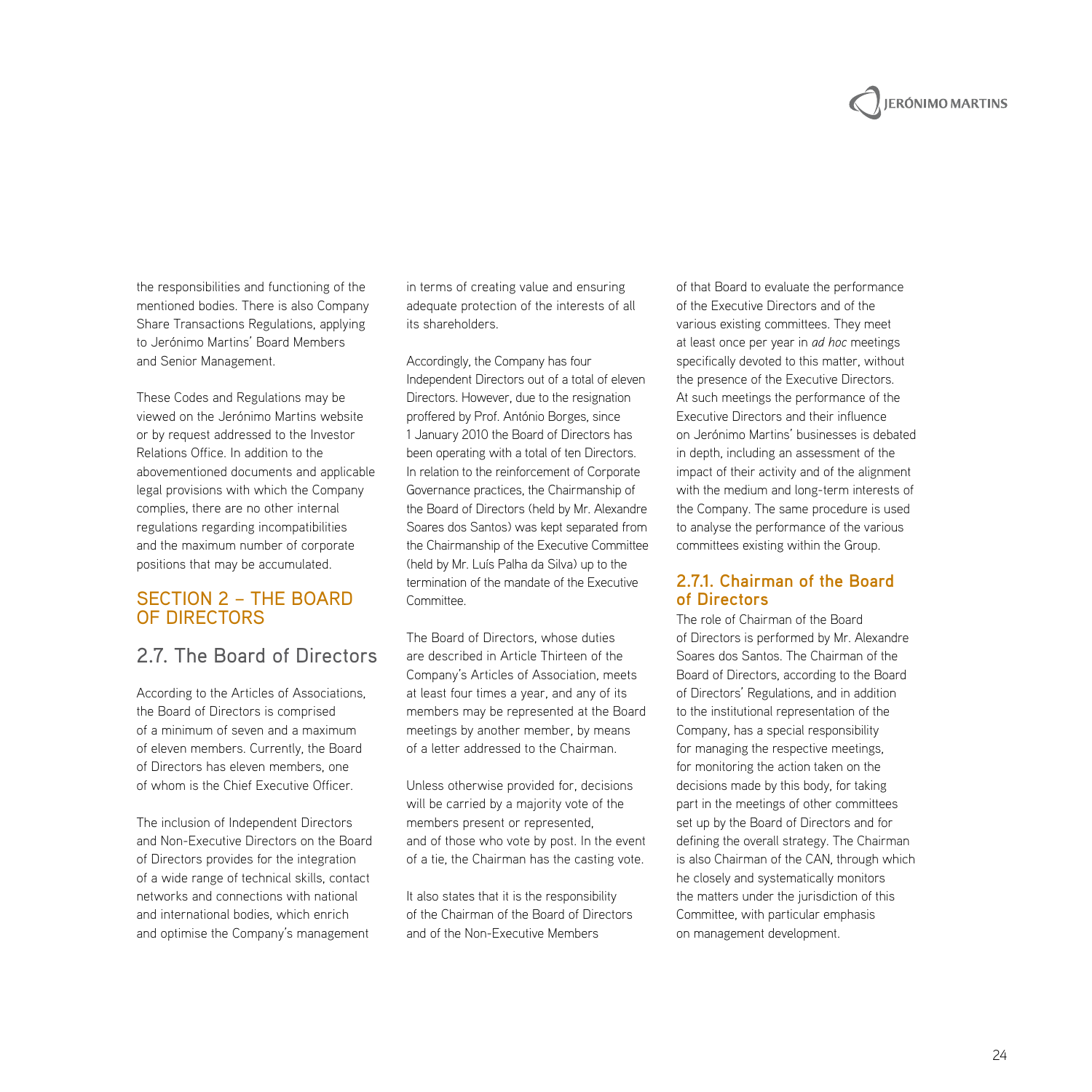# **JERÓNIMO MARTINS**

the responsibilities and functioning of the mentioned bodies. There is also Company Share Transactions Regulations, applying to Jerónimo Martins' Board Members and Senior Management.

These Codes and Regulations may be viewed on the Jerónimo Martins website or by request addressed to the Investor Relations Office. In addition to the abovementioned documents and applicable legal provisions with which the Company complies, there are no other internal regulations regarding incompatibilities and the maximum number of corporate positions that may be accumulated.

#### Section 2 – The Board of Directors

## 2.7. The Board of Directors

According to the Articles of Associations, the Board of Directors is comprised of a minimum of seven and a maximum of eleven members. Currently, the Board of Directors has eleven members, one of whom is the Chief Executive Officer.

The inclusion of Independent Directors and Non-Executive Directors on the Board of Directors provides for the integration of a wide range of technical skills, contact networks and connections with national and international bodies, which enrich and optimise the Company's management

in terms of creating value and ensuring adequate protection of the interests of all its shareholders.

Accordingly, the Company has four Independent Directors out of a total of eleven Directors. However, due to the resignation proffered by Prof. António Borges, since 1 January 2010 the Board of Directors has been operating with a total of ten Directors. In relation to the reinforcement of Corporate Governance practices, the Chairmanship of the Board of Directors (held by Mr. Alexandre Soares dos Santos) was kept separated from the Chairmanship of the Executive Committee (held by Mr. Luís Palha da Silva) up to the termination of the mandate of the Executive Committee.

The Board of Directors, whose duties are described in Article Thirteen of the Company's Articles of Association, meets at least four times a year, and any of its members may be represented at the Board meetings by another member, by means of a letter addressed to the Chairman.

Unless otherwise provided for, decisions will be carried by a majority vote of the members present or represented, and of those who vote by post. In the event of a tie, the Chairman has the casting vote.

It also states that it is the responsibility of the Chairman of the Board of Directors and of the Non-Executive Members

of that Board to evaluate the performance of the Executive Directors and of the various existing committees. They meet at least once per year in *ad hoc* meetings specifically devoted to this matter, without the presence of the Executive Directors. At such meetings the performance of the Executive Directors and their influence on Jerónimo Martins' businesses is debated in depth, including an assessment of the impact of their activity and of the alignment with the medium and long-term interests of the Company. The same procedure is used to analyse the performance of the various committees existing within the Group.

#### **2.7.1. Chairman of the Board of Directors**

The role of Chairman of the Board of Directors is performed by Mr. Alexandre Soares dos Santos. The Chairman of the Board of Directors, according to the Board of Directors' Regulations, and in addition to the institutional representation of the Company, has a special responsibility for managing the respective meetings, for monitoring the action taken on the decisions made by this body, for taking part in the meetings of other committees set up by the Board of Directors and for defining the overall strategy. The Chairman is also Chairman of the CAN, through which he closely and systematically monitors the matters under the jurisdiction of this Committee, with particular emphasis on management development.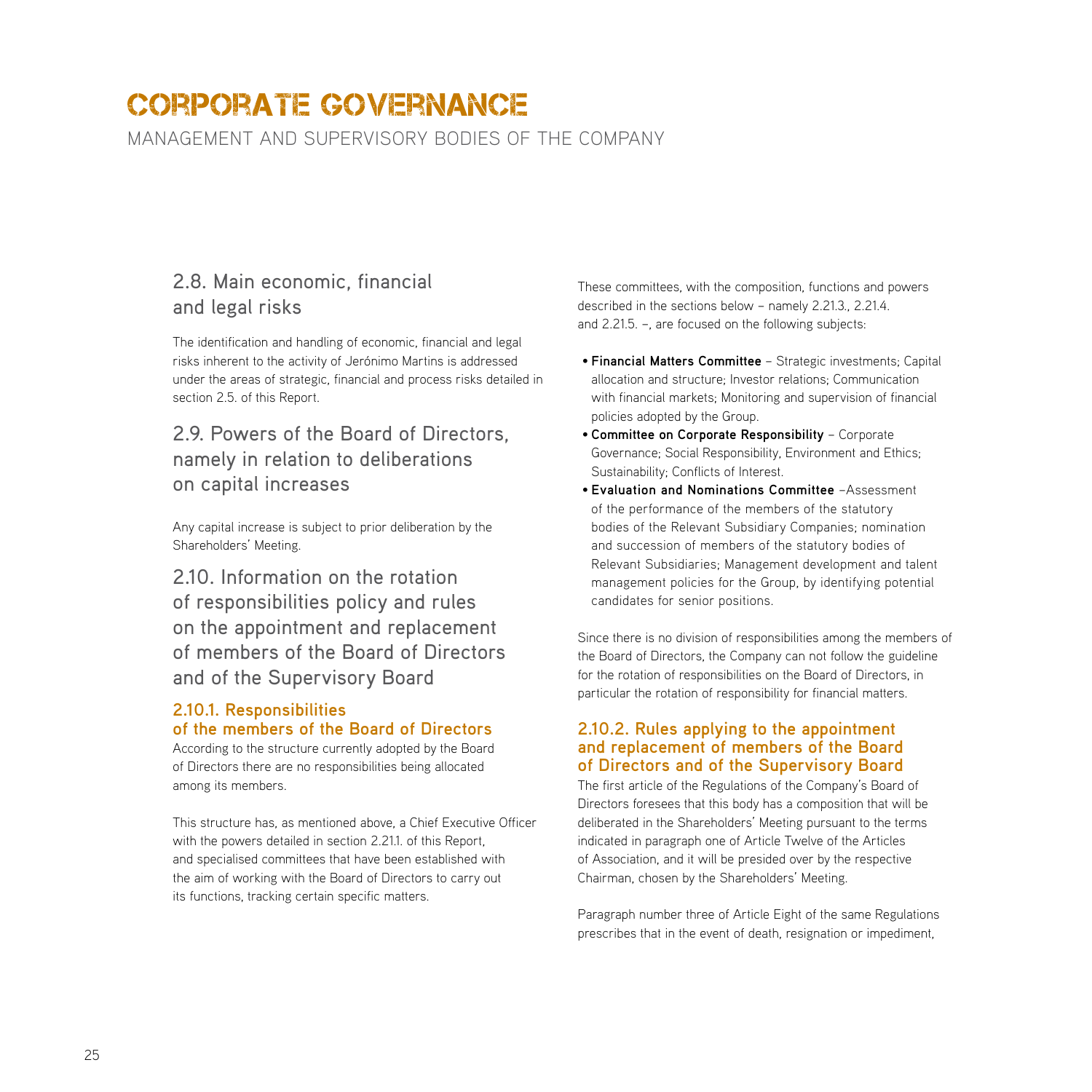management and supervisory bodies of the company

## 2.8. Main economic, financial and legal risks

The identification and handling of economic, financial and legal risks inherent to the activity of Jerónimo Martins is addressed under the areas of strategic, financial and process risks detailed in section 2.5. of this Report.

## 2.9. Powers of the Board of Directors, namely in relation to deliberations on capital increases

Any capital increase is subject to prior deliberation by the Shareholders' Meeting.

2.10. Information on the rotation of responsibilities policy and rules on the appointment and replacement of members of the Board of Directors and of the Supervisory Board

#### **2.10.1. Responsibilities of the members of the Board of Directors**

According to the structure currently adopted by the Board of Directors there are no responsibilities being allocated among its members.

This structure has, as mentioned above, a Chief Executive Officer with the powers detailed in section 2.21.1. of this Report, and specialised committees that have been established with the aim of working with the Board of Directors to carry out its functions, tracking certain specific matters.

These committees, with the composition, functions and powers described in the sections below – namely 2.21.3., 2.21.4. and 2.21.5. –, are focused on the following subjects:

- **Financial Matters Committee** Strategic investments; Capital allocation and structure; Investor relations; Communication with financial markets; Monitoring and supervision of financial policies adopted by the Group.
- **Committee on Corporate Responsibility**  Corporate Governance; Social Responsibility, Environment and Ethics; Sustainability; Conflicts of Interest.
- **Evaluation and Nominations Committee** –Assessment of the performance of the members of the statutory bodies of the Relevant Subsidiary Companies; nomination and succession of members of the statutory bodies of Relevant Subsidiaries; Management development and talent management policies for the Group, by identifying potential candidates for senior positions.

Since there is no division of responsibilities among the members of the Board of Directors, the Company can not follow the guideline for the rotation of responsibilities on the Board of Directors, in particular the rotation of responsibility for financial matters.

#### **2.10.2. Rules applying to the appointment and replacement of members of the Board of Directors and of the Supervisory Board**

The first article of the Regulations of the Company's Board of Directors foresees that this body has a composition that will be deliberated in the Shareholders' Meeting pursuant to the terms indicated in paragraph one of Article Twelve of the Articles of Association, and it will be presided over by the respective Chairman, chosen by the Shareholders' Meeting.

Paragraph number three of Article Eight of the same Regulations prescribes that in the event of death, resignation or impediment,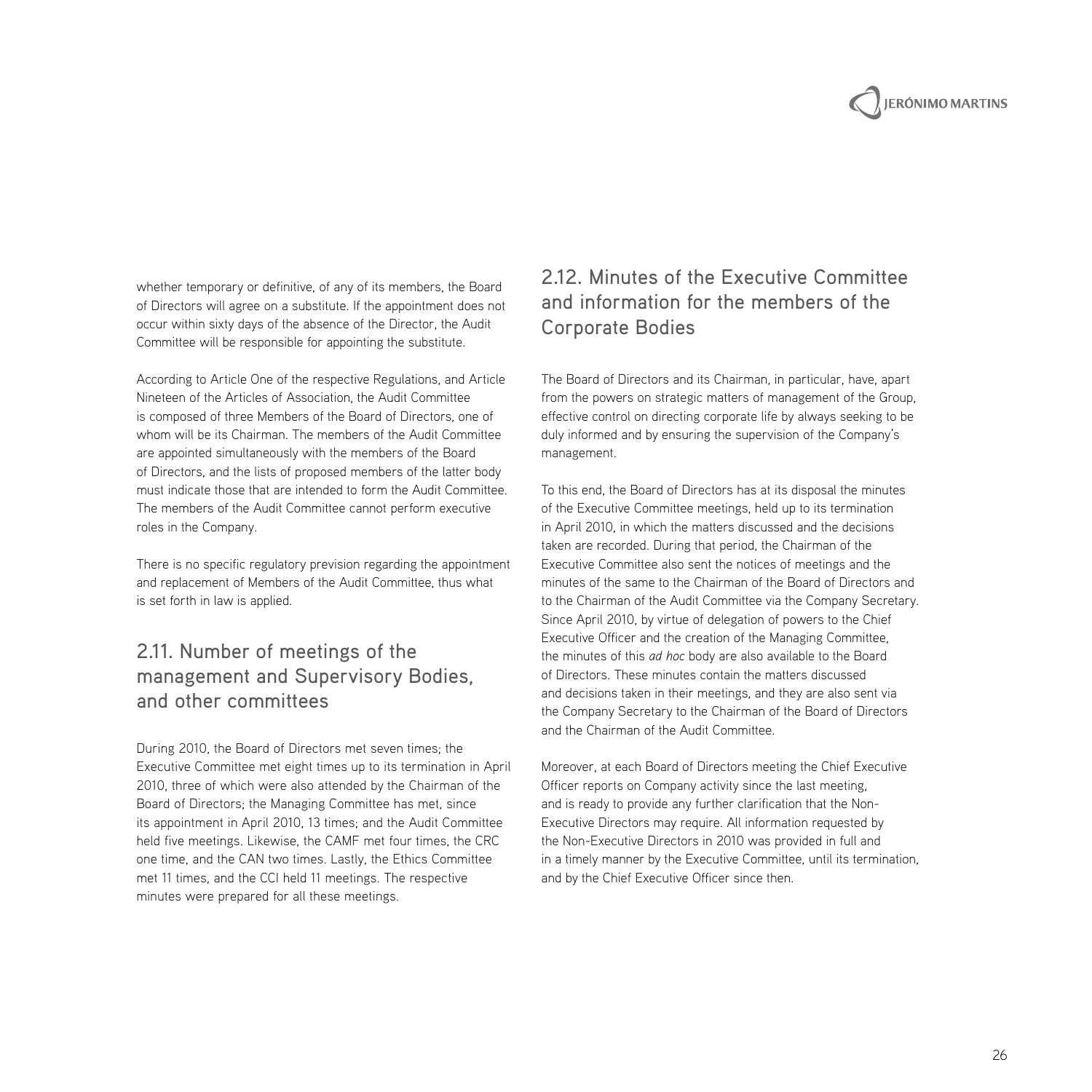whether temporary or definitive, of any of its members, the Board of Directors will agree on a substitute. If the appointment does not occur within sixty days of the absence of the Director, the Audit Committee will be responsible for appointing the substitute.

According to Article One of the respective Regulations, and Article Nineteen of the Articles of Association, the Audit Committee is composed of three Members of the Board of Directors, one of whom will be its Chairman. The members of the Audit Committee are appointed simultaneously with the members of the Board of Directors, and the lists of proposed members of the latter body must indicate those that are intended to form the Audit Committee. The members of the Audit Committee cannot perform executive roles in the Company.

There is no specific regulatory prevision regarding the appointment and replacement of Members of the Audit Committee, thus what is set forth in law is applied.

## 2.11. Number of meetings of the management and Supervisory Bodies, and other committees

During 2010, the Board of Directors met seven times; the Executive Committee met eight times up to its termination in April 2010, three of which were also attended by the Chairman of the Board of Directors; the Managing Committee has met, since its appointment in April 2010, 13 times; and the Audit Committee held five meetings. Likewise, the CAMF met four times, the CRC one time, and the CAN two times. Lastly, the Ethics Committee met 11 times, and the CCI held 11 meetings. The respective minutes were prepared for all these meetings.

## 2.12. Minutes of the Executive Committee and information for the members of the Corporate Bodies

The Board of Directors and its Chairman, in particular, have, apart from the powers on strategic matters of management of the Group, effective control on directing corporate life by always seeking to be duly informed and by ensuring the supervision of the Company's management.

To this end, the Board of Directors has at its disposal the minutes of the Executive Committee meetings, held up to its termination in April 2010, in which the matters discussed and the decisions taken are recorded. During that period, the Chairman of the Executive Committee also sent the notices of meetings and the minutes of the same to the Chairman of the Board of Directors and to the Chairman of the Audit Committee via the Company Secretary. Since April 2010, by virtue of delegation of powers to the Chief Executive Officer and the creation of the Managing Committee, the minutes of this *ad hoc* body are also available to the Board of Directors. These minutes contain the matters discussed and decisions taken in their meetings, and they are also sent via the Company Secretary to the Chairman of the Board of Directors and the Chairman of the Audit Committee.

Moreover, at each Board of Directors meeting the Chief Executive Officer reports on Company activity since the last meeting, and is ready to provide any further clarification that the Non-Executive Directors may require. All information requested by the Non-Executive Directors in 2010 was provided in full and in a timely manner by the Executive Committee, until its termination, and by the Chief Executive Officer since then.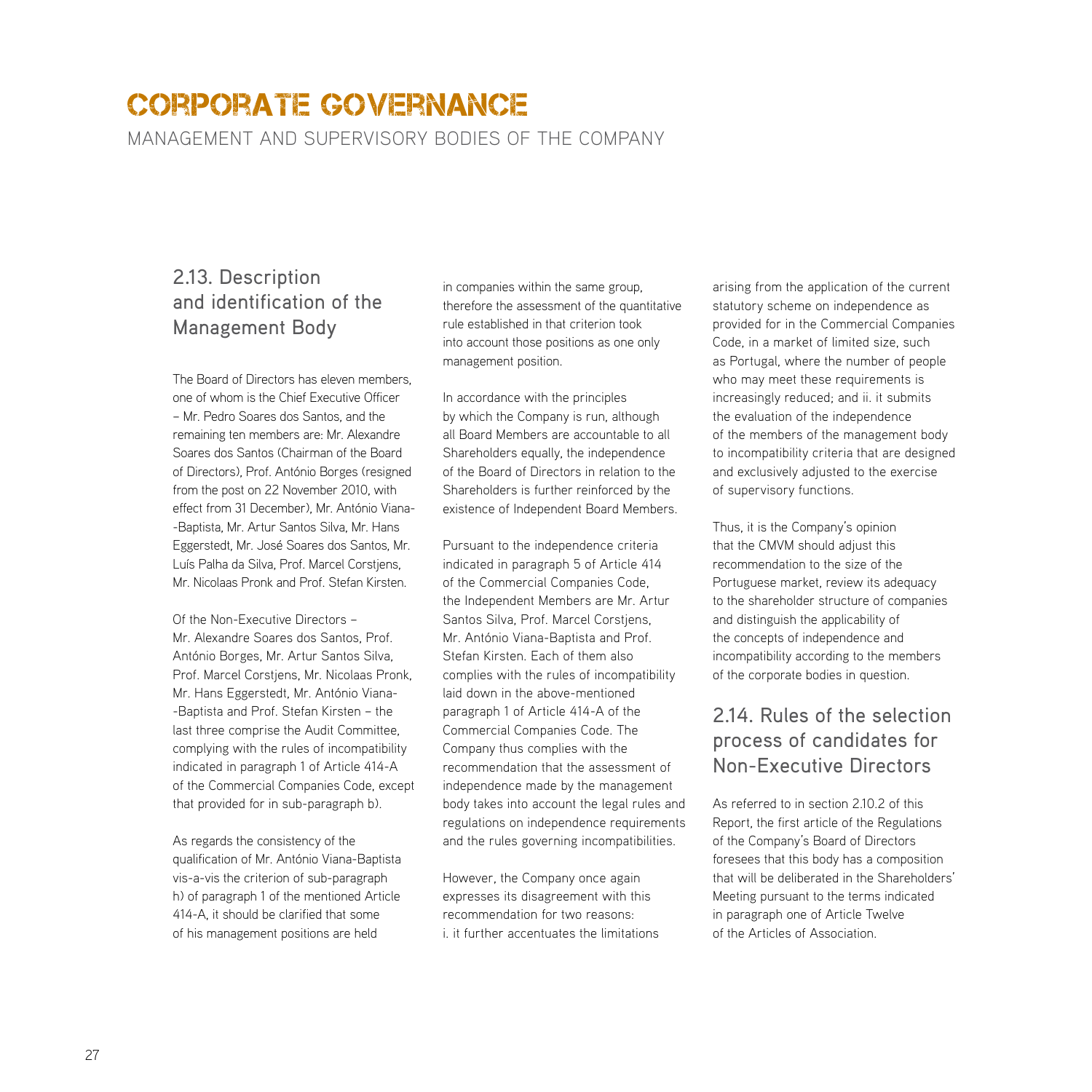management and supervisory bodies of the company

## 2.13. Description and identification of the Management Body

The Board of Directors has eleven members, one of whom is the Chief Executive Officer – Mr. Pedro Soares dos Santos, and the remaining ten members are: Mr. Alexandre Soares dos Santos (Chairman of the Board of Directors), Prof. António Borges (resigned from the post on 22 November 2010, with effect from 31 December), Mr. António Viana- -Baptista, Mr. Artur Santos Silva, Mr. Hans Eggerstedt, Mr. José Soares dos Santos, Mr. Luís Palha da Silva, Prof. Marcel Corstjens, Mr. Nicolaas Pronk and Prof. Stefan Kirsten.

Of the Non-Executive Directors – Mr. Alexandre Soares dos Santos, Prof. António Borges, Mr. Artur Santos Silva, Prof. Marcel Corstjens, Mr. Nicolaas Pronk, Mr. Hans Eggerstedt, Mr. António Viana- -Baptista and Prof. Stefan Kirsten – the last three comprise the Audit Committee, complying with the rules of incompatibility indicated in paragraph 1 of Article 414-A of the Commercial Companies Code, except that provided for in sub-paragraph b).

As regards the consistency of the qualification of Mr. António Viana-Baptista vis-a-vis the criterion of sub-paragraph h) of paragraph 1 of the mentioned Article 414-A, it should be clarified that some of his management positions are held

in companies within the same group, therefore the assessment of the quantitative rule established in that criterion took into account those positions as one only management position.

In accordance with the principles by which the Company is run, although all Board Members are accountable to all Shareholders equally, the independence of the Board of Directors in relation to the Shareholders is further reinforced by the existence of Independent Board Members.

Pursuant to the independence criteria indicated in paragraph 5 of Article 414 of the Commercial Companies Code, the Independent Members are Mr. Artur Santos Silva, Prof. Marcel Corstjens, Mr. António Viana-Baptista and Prof. Stefan Kirsten. Each of them also complies with the rules of incompatibility laid down in the above-mentioned paragraph 1 of Article 414-A of the Commercial Companies Code. The Company thus complies with the recommendation that the assessment of independence made by the management body takes into account the legal rules and regulations on independence requirements and the rules governing incompatibilities.

However, the Company once again expresses its disagreement with this recommendation for two reasons: i. it further accentuates the limitations arising from the application of the current statutory scheme on independence as provided for in the Commercial Companies Code, in a market of limited size, such as Portugal, where the number of people who may meet these requirements is increasingly reduced; and ii. it submits the evaluation of the independence of the members of the management body to incompatibility criteria that are designed and exclusively adjusted to the exercise of supervisory functions.

Thus, it is the Company's opinion that the CMVM should adjust this recommendation to the size of the Portuguese market, review its adequacy to the shareholder structure of companies and distinguish the applicability of the concepts of independence and incompatibility according to the members of the corporate bodies in question.

## 2.14. Rules of the selection process of candidates for Non-Executive Directors

As referred to in section 2.10.2 of this Report, the first article of the Regulations of the Company's Board of Directors foresees that this body has a composition that will be deliberated in the Shareholders' Meeting pursuant to the terms indicated in paragraph one of Article Twelve of the Articles of Association.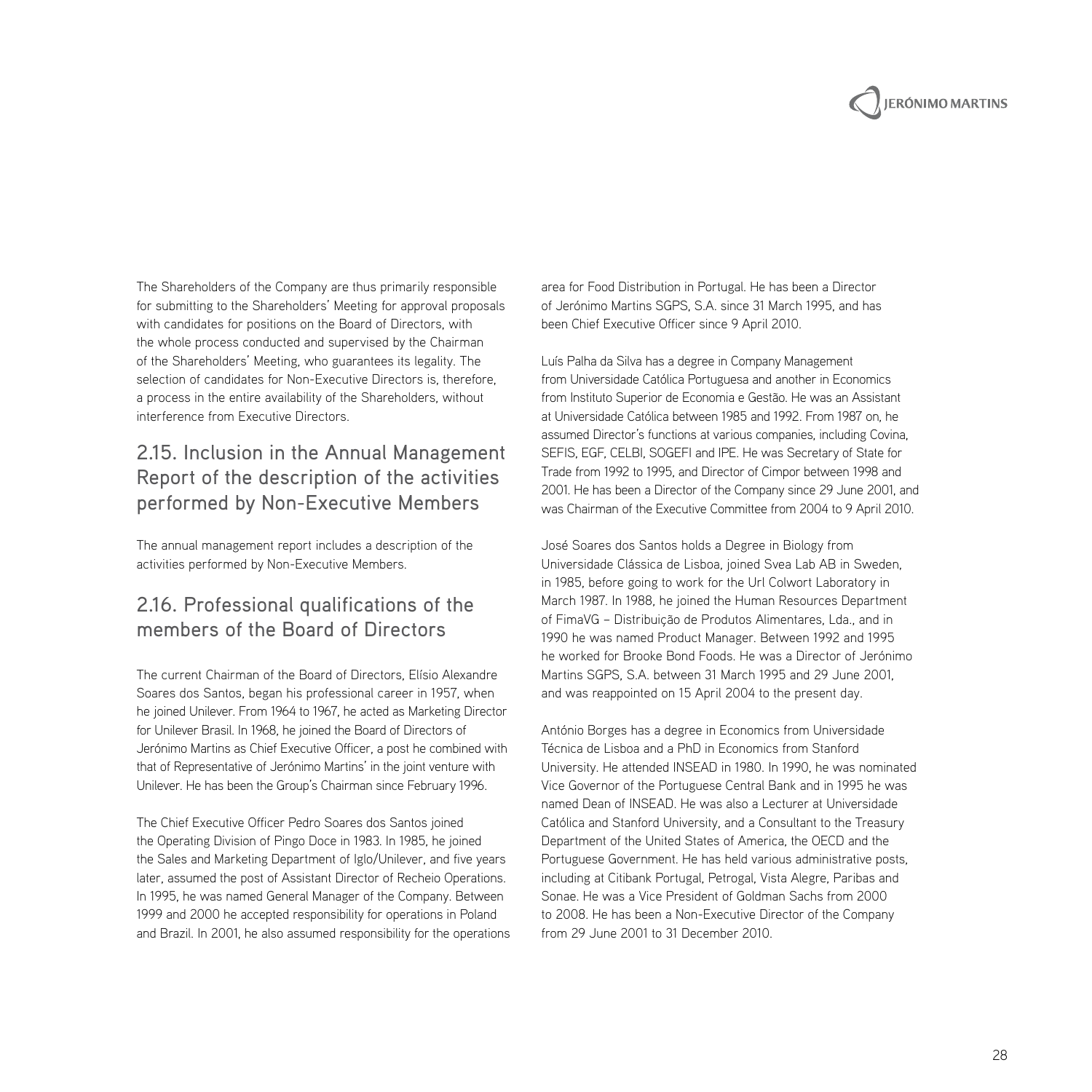

The Shareholders of the Company are thus primarily responsible for submitting to the Shareholders' Meeting for approval proposals with candidates for positions on the Board of Directors, with the whole process conducted and supervised by the Chairman of the Shareholders' Meeting, who guarantees its legality. The selection of candidates for Non-Executive Directors is, therefore, a process in the entire availability of the Shareholders, without interference from Executive Directors.

## 2.15. Inclusion in the Annual Management Report of the description of the activities performed by Non-Executive Members

The annual management report includes a description of the activities performed by Non-Executive Members.

## 2.16. Professional qualifications of the members of the Board of Directors

The current Chairman of the Board of Directors, Elísio Alexandre Soares dos Santos, began his professional career in 1957, when he joined Unilever. From 1964 to 1967, he acted as Marketing Director for Unilever Brasil. In 1968, he joined the Board of Directors of Jerónimo Martins as Chief Executive Officer, a post he combined with that of Representative of Jerónimo Martins' in the joint venture with Unilever. He has been the Group's Chairman since February 1996.

The Chief Executive Officer Pedro Soares dos Santos joined the Operating Division of Pingo Doce in 1983. In 1985, he joined the Sales and Marketing Department of Iglo/Unilever, and five years later, assumed the post of Assistant Director of Recheio Operations. In 1995, he was named General Manager of the Company. Between 1999 and 2000 he accepted responsibility for operations in Poland and Brazil. In 2001, he also assumed responsibility for the operations

area for Food Distribution in Portugal. He has been a Director of Jerónimo Martins SGPS, S.A. since 31 March 1995, and has been Chief Executive Officer since 9 April 2010.

Luís Palha da Silva has a degree in Company Management from Universidade Católica Portuguesa and another in Economics from Instituto Superior de Economia e Gestão. He was an Assistant at Universidade Católica between 1985 and 1992. From 1987 on, he assumed Director's functions at various companies, including Covina, SEFIS, EGF, CELBI, SOGEFI and IPE. He was Secretary of State for Trade from 1992 to 1995, and Director of Cimpor between 1998 and 2001. He has been a Director of the Company since 29 June 2001, and was Chairman of the Executive Committee from 2004 to 9 April 2010.

José Soares dos Santos holds a Degree in Biology from Universidade Clássica de Lisboa, joined Svea Lab AB in Sweden, in 1985, before going to work for the Url Colwort Laboratory in March 1987. In 1988, he joined the Human Resources Department of FimaVG – Distribuição de Produtos Alimentares, Lda., and in 1990 he was named Product Manager. Between 1992 and 1995 he worked for Brooke Bond Foods. He was a Director of Jerónimo Martins SGPS, S.A. between 31 March 1995 and 29 June 2001, and was reappointed on 15 April 2004 to the present day.

António Borges has a degree in Economics from Universidade Técnica de Lisboa and a PhD in Economics from Stanford University. He attended INSEAD in 1980. In 1990, he was nominated Vice Governor of the Portuguese Central Bank and in 1995 he was named Dean of INSEAD. He was also a Lecturer at Universidade Católica and Stanford University, and a Consultant to the Treasury Department of the United States of America, the OECD and the Portuguese Government. He has held various administrative posts, including at Citibank Portugal, Petrogal, Vista Alegre, Paribas and Sonae. He was a Vice President of Goldman Sachs from 2000 to 2008. He has been a Non-Executive Director of the Company from 29 June 2001 to 31 December 2010.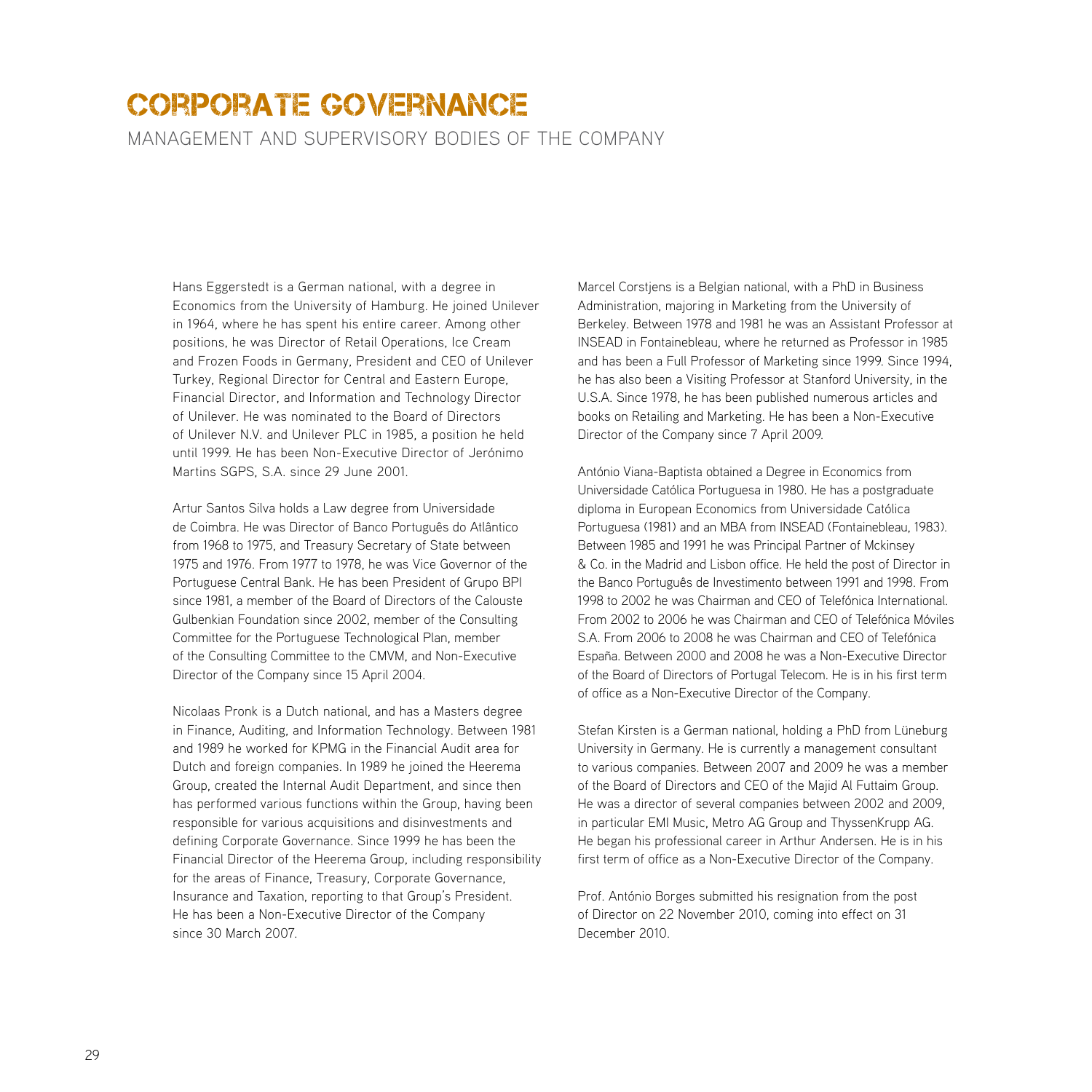management and supervisory bodies of the company

Hans Eggerstedt is a German national, with a degree in Economics from the University of Hamburg. He joined Unilever in 1964, where he has spent his entire career. Among other positions, he was Director of Retail Operations, Ice Cream and Frozen Foods in Germany, President and CEO of Unilever Turkey, Regional Director for Central and Eastern Europe, Financial Director, and Information and Technology Director of Unilever. He was nominated to the Board of Directors of Unilever N.V. and Unilever PLC in 1985, a position he held until 1999. He has been Non-Executive Director of Jerónimo Martins SGPS, S.A. since 29 June 2001.

Artur Santos Silva holds a Law degree from Universidade de Coimbra. He was Director of Banco Português do Atlântico from 1968 to 1975, and Treasury Secretary of State between 1975 and 1976. From 1977 to 1978, he was Vice Governor of the Portuguese Central Bank. He has been President of Grupo BPI since 1981, a member of the Board of Directors of the Calouste Gulbenkian Foundation since 2002, member of the Consulting Committee for the Portuguese Technological Plan, member of the Consulting Committee to the CMVM, and Non-Executive Director of the Company since 15 April 2004.

Nicolaas Pronk is a Dutch national, and has a Masters degree in Finance, Auditing, and Information Technology. Between 1981 and 1989 he worked for KPMG in the Financial Audit area for Dutch and foreign companies. In 1989 he joined the Heerema Group, created the Internal Audit Department, and since then has performed various functions within the Group, having been responsible for various acquisitions and disinvestments and defining Corporate Governance. Since 1999 he has been the Financial Director of the Heerema Group, including responsibility for the areas of Finance, Treasury, Corporate Governance, Insurance and Taxation, reporting to that Group's President. He has been a Non-Executive Director of the Company since 30 March 2007.

Marcel Corstjens is a Belgian national, with a PhD in Business Administration, majoring in Marketing from the University of Berkeley. Between 1978 and 1981 he was an Assistant Professor at INSEAD in Fontainebleau, where he returned as Professor in 1985 and has been a Full Professor of Marketing since 1999. Since 1994, he has also been a Visiting Professor at Stanford University, in the U.S.A. Since 1978, he has been published numerous articles and books on Retailing and Marketing. He has been a Non-Executive Director of the Company since 7 April 2009.

António Viana-Baptista obtained a Degree in Economics from Universidade Católica Portuguesa in 1980. He has a postgraduate diploma in European Economics from Universidade Católica Portuguesa (1981) and an MBA from INSEAD (Fontainebleau, 1983). Between 1985 and 1991 he was Principal Partner of Mckinsey & Co. in the Madrid and Lisbon office. He held the post of Director in the Banco Português de Investimento between 1991 and 1998. From 1998 to 2002 he was Chairman and CEO of Telefónica International. From 2002 to 2006 he was Chairman and CEO of Telefónica Móviles S.A. From 2006 to 2008 he was Chairman and CEO of Telefónica España. Between 2000 and 2008 he was a Non-Executive Director of the Board of Directors of Portugal Telecom. He is in his first term of office as a Non-Executive Director of the Company.

Stefan Kirsten is a German national, holding a PhD from Lüneburg University in Germany. He is currently a management consultant to various companies. Between 2007 and 2009 he was a member of the Board of Directors and CEO of the Majid Al Futtaim Group. He was a director of several companies between 2002 and 2009, in particular EMI Music, Metro AG Group and ThyssenKrupp AG. He began his professional career in Arthur Andersen. He is in his first term of office as a Non-Executive Director of the Company.

Prof. António Borges submitted his resignation from the post of Director on 22 November 2010, coming into effect on 31 December 2010.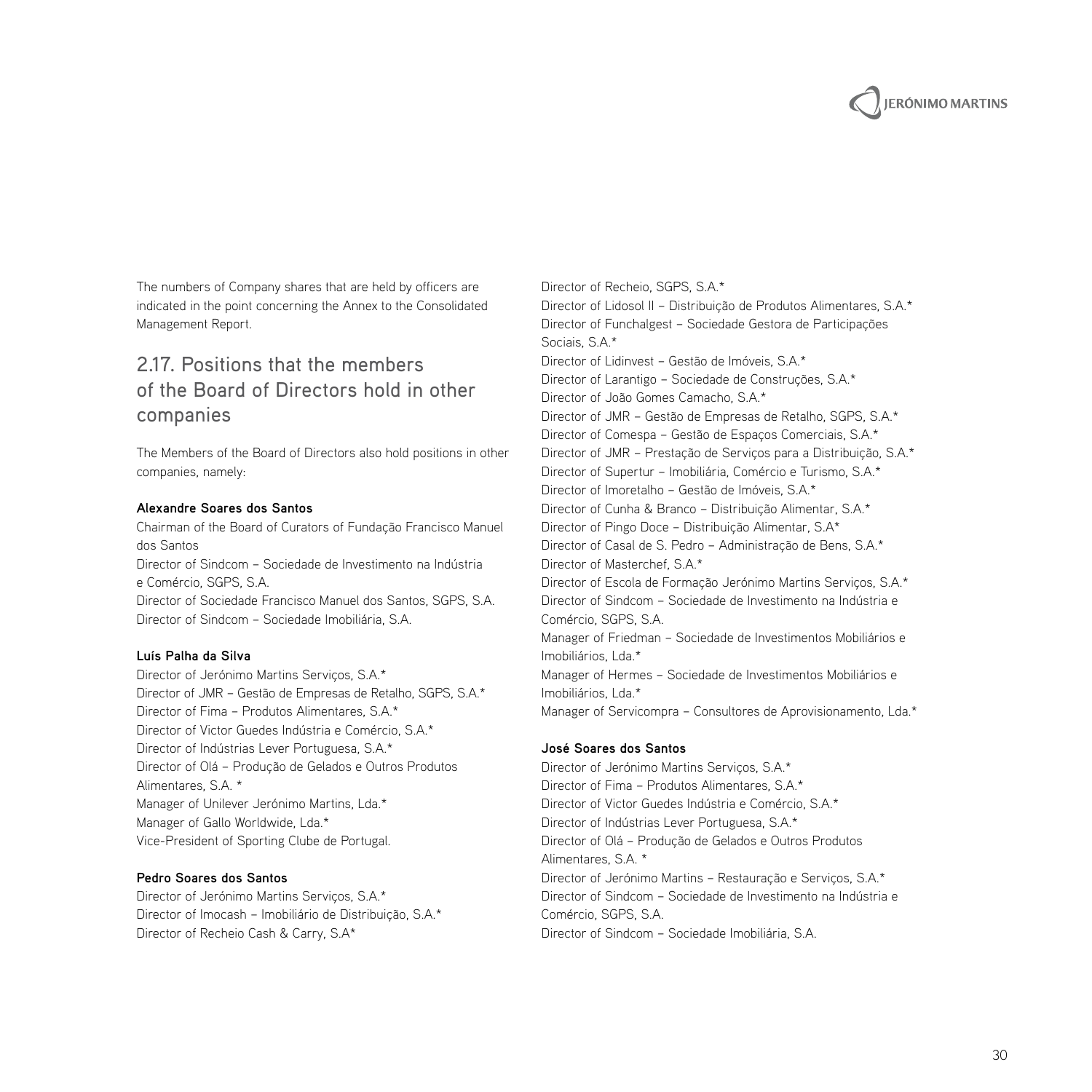

The numbers of Company shares that are held by officers are indicated in the point concerning the Annex to the Consolidated Management Report.

## 2.17. Positions that the members of the Board of Directors hold in other companies

The Members of the Board of Directors also hold positions in other companies, namely:

#### **Alexandre Soares dos Santos**

Chairman of the Board of Curators of Fundação Francisco Manuel dos Santos Director of Sindcom – Sociedade de Investimento na Indústria

e Comércio, SGPS, S.A. Director of Sociedade Francisco Manuel dos Santos, SGPS, S.A. Director of Sindcom – Sociedade Imobiliária, S.A.

#### **Luís Palha da Silva**

Director of Jerónimo Martins Serviços, S.A.\* Director of JMR – Gestão de Empresas de Retalho, SGPS, S.A.\* Director of Fima – Produtos Alimentares, S.A.\* Director of Victor Guedes Indústria e Comércio, S.A.\* Director of Indústrias Lever Portuguesa, S.A.\* Director of Olá – Produção de Gelados e Outros Produtos Alimentares, S.A. \* Manager of Unilever Jerónimo Martins, Lda.\* Manager of Gallo Worldwide, Lda.\* Vice-President of Sporting Clube de Portugal.

#### **Pedro Soares dos Santos**

Director of Jerónimo Martins Serviços, S.A.\* Director of Imocash – Imobiliário de Distribuição, S.A.\* Director of Recheio Cash & Carry, S.A\*

Director of Recheio, SGPS, S.A.\* Director of Lidosol II – Distribuição de Produtos Alimentares, S.A.\* Director of Funchalgest – Sociedade Gestora de Participações Sociais, S.A.\* Director of Lidinvest – Gestão de Imóveis, S.A.\* Director of Larantigo – Sociedade de Construções, S.A.\* Director of João Gomes Camacho, S.A.\* Director of JMR – Gestão de Empresas de Retalho, SGPS, S.A.\* Director of Comespa – Gestão de Espaços Comerciais, S.A.\* Director of JMR – Prestação de Serviços para a Distribuição, S.A.\* Director of Supertur – Imobiliária, Comércio e Turismo, S.A.\* Director of Imoretalho – Gestão de Imóveis, S.A.\* Director of Cunha & Branco – Distribuição Alimentar, S.A.\* Director of Pingo Doce – Distribuição Alimentar, S.A\* Director of Casal de S. Pedro – Administração de Bens, S.A.\* Director of Masterchef, S.A.\* Director of Escola de Formação Jerónimo Martins Serviços, S.A.\* Director of Sindcom – Sociedade de Investimento na Indústria e Comércio, SGPS, S.A. Manager of Friedman – Sociedade de Investimentos Mobiliários e Imobiliários, Lda.\* Manager of Hermes – Sociedade de Investimentos Mobiliários e Imobiliários, Lda.\* Manager of Servicompra – Consultores de Aprovisionamento, Lda.\*

#### **José Soares dos Santos**

Director of Jerónimo Martins Serviços, S.A.\* Director of Fima – Produtos Alimentares, S.A.\* Director of Victor Guedes Indústria e Comércio, S.A.\* Director of Indústrias Lever Portuguesa, S.A.\* Director of Olá – Produção de Gelados e Outros Produtos Alimentares, S.A. \* Director of Jerónimo Martins – Restauração e Serviços, S.A.\* Director of Sindcom – Sociedade de Investimento na Indústria e Comércio, SGPS, S.A. Director of Sindcom – Sociedade Imobiliária, S.A.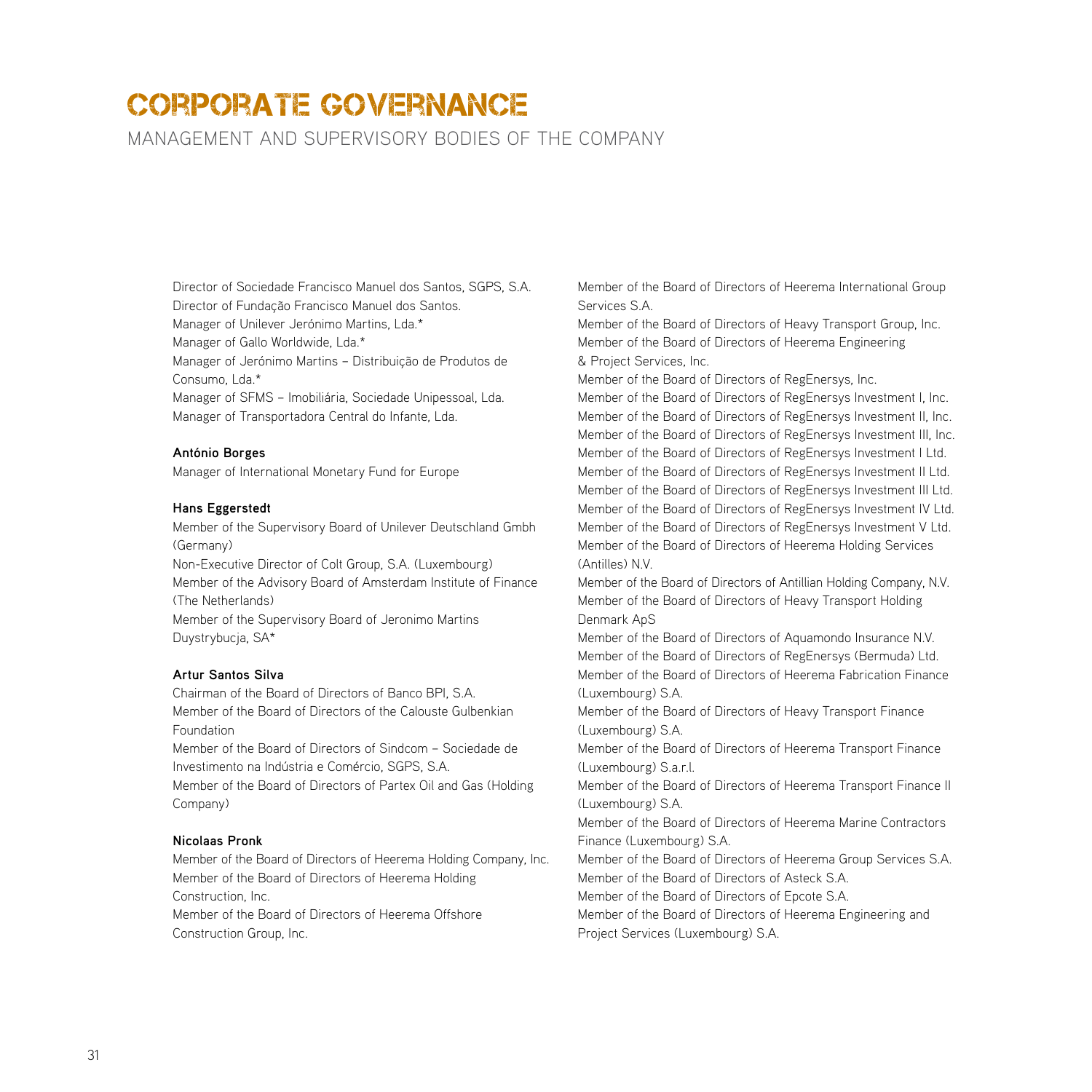management and supervisory bodies of the company

Director of Sociedade Francisco Manuel dos Santos, SGPS, S.A. Director of Fundação Francisco Manuel dos Santos. Manager of Unilever Jerónimo Martins, Lda.\*

Manager of Gallo Worldwide, Lda.\*

Manager of Jerónimo Martins – Distribuição de Produtos de Consumo, Lda.\*

Manager of SFMS – Imobiliária, Sociedade Unipessoal, Lda. Manager of Transportadora Central do Infante, Lda.

#### **António Borges**

Manager of International Monetary Fund for Europe

#### **Hans Eggerstedt**

Member of the Supervisory Board of Unilever Deutschland Gmbh (Germany) Non-Executive Director of Colt Group, S.A. (Luxembourg)

Member of the Advisory Board of Amsterdam Institute of Finance (The Netherlands)

Member of the Supervisory Board of Jeronimo Martins Duystrybucja, SA\*

#### **Artur Santos Silva**

Chairman of the Board of Directors of Banco BPI, S.A. Member of the Board of Directors of the Calouste Gulbenkian Foundation

Member of the Board of Directors of Sindcom – Sociedade de Investimento na Indústria e Comércio, SGPS, S.A.

Member of the Board of Directors of Partex Oil and Gas (Holding Company)

#### **Nicolaas Pronk**

Member of the Board of Directors of Heerema Holding Company, Inc. Member of the Board of Directors of Heerema Holding Construction, Inc. Member of the Board of Directors of Heerema Offshore Construction Group, Inc.

Member of the Board of Directors of Heerema International Group Services S.A.

Member of the Board of Directors of Heavy Transport Group, Inc. Member of the Board of Directors of Heerema Engineering & Project Services, Inc.

Member of the Board of Directors of RegEnersys, Inc.

Member of the Board of Directors of RegEnersys Investment I, Inc. Member of the Board of Directors of RegEnersys Investment II, Inc. Member of the Board of Directors of RegEnersys Investment III, Inc. Member of the Board of Directors of RegEnersys Investment I Ltd. Member of the Board of Directors of RegEnersys Investment II Ltd. Member of the Board of Directors of RegEnersys Investment III Ltd. Member of the Board of Directors of RegEnersys Investment IV Ltd. Member of the Board of Directors of RegEnersys Investment V Ltd. Member of the Board of Directors of Heerema Holding Services (Antilles) N.V.

Member of the Board of Directors of Antillian Holding Company, N.V. Member of the Board of Directors of Heavy Transport Holding Denmark ApS

Member of the Board of Directors of Aquamondo Insurance N.V. Member of the Board of Directors of RegEnersys (Bermuda) Ltd. Member of the Board of Directors of Heerema Fabrication Finance (Luxembourg) S.A.

Member of the Board of Directors of Heavy Transport Finance (Luxembourg) S.A.

Member of the Board of Directors of Heerema Transport Finance (Luxembourg) S.a.r.l.

Member of the Board of Directors of Heerema Transport Finance II (Luxembourg) S.A.

Member of the Board of Directors of Heerema Marine Contractors Finance (Luxembourg) S.A.

Member of the Board of Directors of Heerema Group Services S.A. Member of the Board of Directors of Asteck S.A.

Member of the Board of Directors of Epcote S.A.

Member of the Board of Directors of Heerema Engineering and Project Services (Luxembourg) S.A.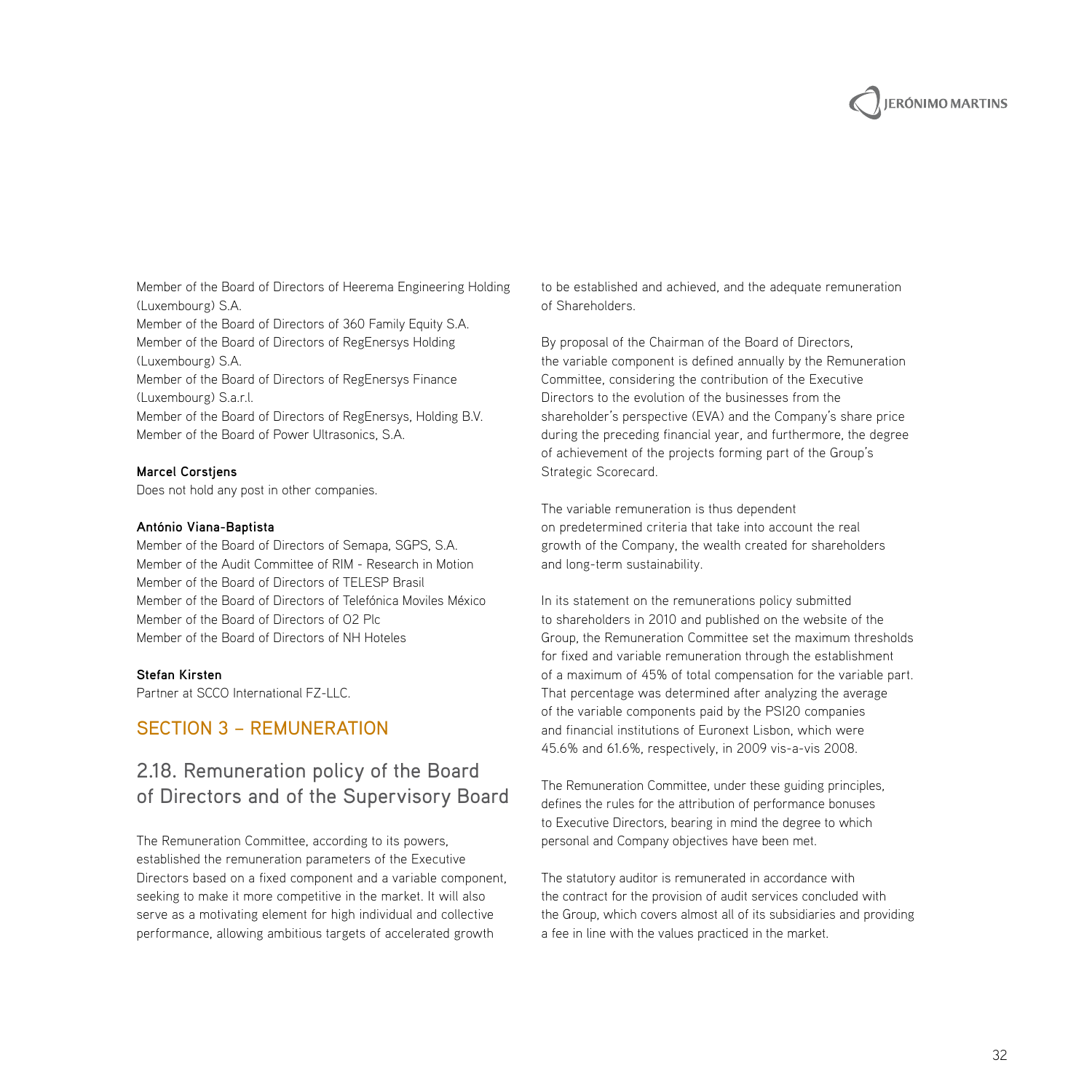

Member of the Board of Directors of Heerema Engineering Holding (Luxembourg) S.A.

Member of the Board of Directors of 360 Family Equity S.A. Member of the Board of Directors of RegEnersys Holding (Luxembourg) S.A.

Member of the Board of Directors of RegEnersys Finance (Luxembourg) S.a.r.l.

Member of the Board of Directors of RegEnersys, Holding B.V. Member of the Board of Power Ultrasonics, S.A.

#### **Marcel Corstjens**

Does not hold any post in other companies.

#### **António Viana-Baptista**

Member of the Board of Directors of Semapa, SGPS, S.A. Member of the Audit Committee of RIM - Research in Motion Member of the Board of Directors of TELESP Brasil Member of the Board of Directors of Telefónica Moviles México Member of the Board of Directors of O2 Plc Member of the Board of Directors of NH Hoteles

#### **Stefan Kirsten**

Partner at SCCO International FZ-LLC.

#### Section 3 – Remuneration

## 2.18. Remuneration policy of the Board of Directors and of the Supervisory Board

The Remuneration Committee, according to its powers, established the remuneration parameters of the Executive Directors based on a fixed component and a variable component, seeking to make it more competitive in the market. It will also serve as a motivating element for high individual and collective performance, allowing ambitious targets of accelerated growth

to be established and achieved, and the adequate remuneration of Shareholders.

By proposal of the Chairman of the Board of Directors, the variable component is defined annually by the Remuneration Committee, considering the contribution of the Executive Directors to the evolution of the businesses from the shareholder's perspective (EVA) and the Company's share price during the preceding financial year, and furthermore, the degree of achievement of the projects forming part of the Group's Strategic Scorecard.

The variable remuneration is thus dependent on predetermined criteria that take into account the real growth of the Company, the wealth created for shareholders and long-term sustainability.

In its statement on the remunerations policy submitted to shareholders in 2010 and published on the website of the Group, the Remuneration Committee set the maximum thresholds for fixed and variable remuneration through the establishment of a maximum of 45% of total compensation for the variable part. That percentage was determined after analyzing the average of the variable components paid by the PSI20 companies and financial institutions of Euronext Lisbon, which were 45.6% and 61.6%, respectively, in 2009 vis-a-vis 2008.

The Remuneration Committee, under these guiding principles, defines the rules for the attribution of performance bonuses to Executive Directors, bearing in mind the degree to which personal and Company objectives have been met.

The statutory auditor is remunerated in accordance with the contract for the provision of audit services concluded with the Group, which covers almost all of its subsidiaries and providing a fee in line with the values practiced in the market.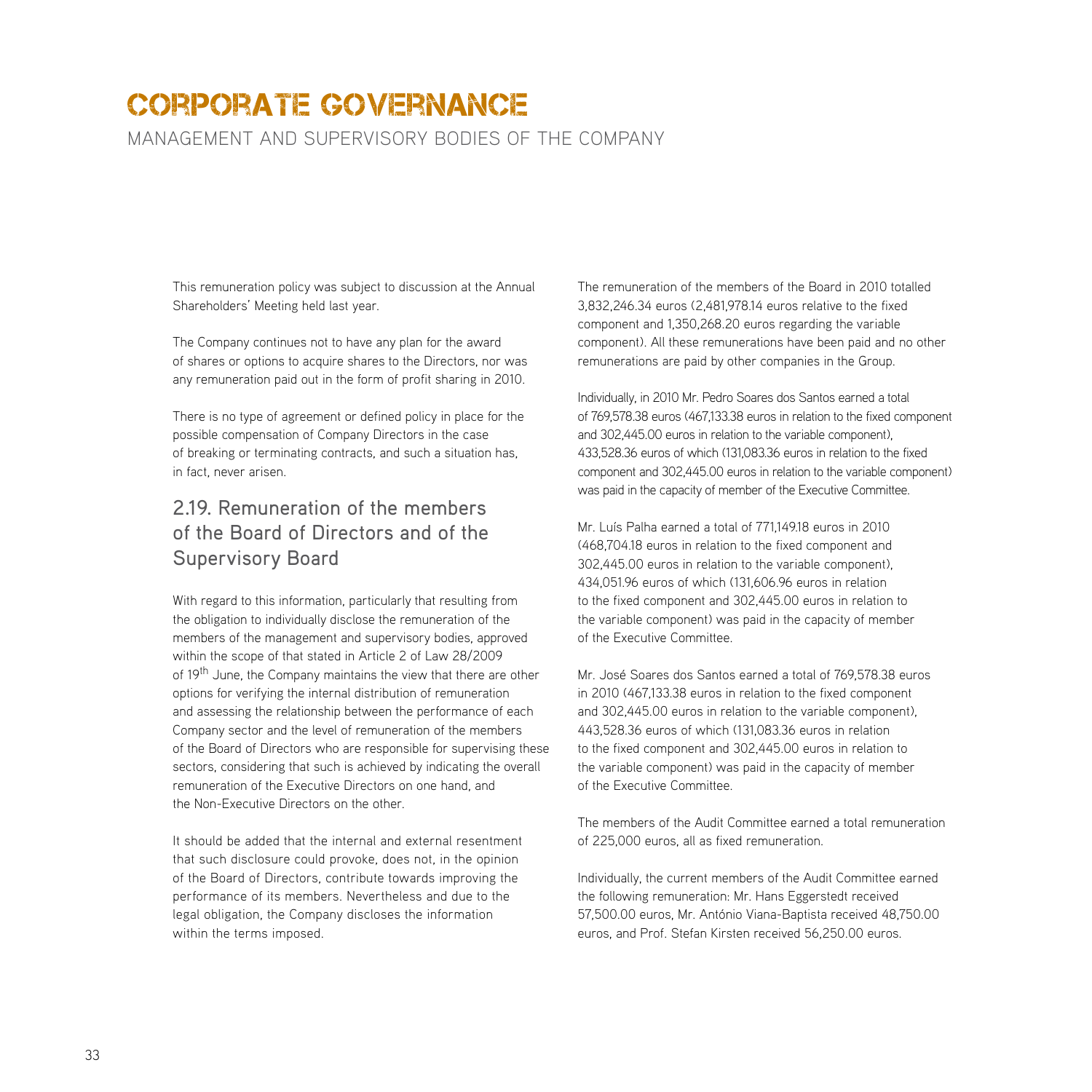management and supervisory bodies of the company

This remuneration policy was subject to discussion at the Annual Shareholders' Meeting held last year.

The Company continues not to have any plan for the award of shares or options to acquire shares to the Directors, nor was any remuneration paid out in the form of profit sharing in 2010.

There is no type of agreement or defined policy in place for the possible compensation of Company Directors in the case of breaking or terminating contracts, and such a situation has, in fact, never arisen.

## 2.19. Remuneration of the members of the Board of Directors and of the Supervisory Board

With regard to this information, particularly that resulting from the obligation to individually disclose the remuneration of the members of the management and supervisory bodies, approved within the scope of that stated in Article 2 of Law 28/2009 of 19<sup>th</sup> June, the Company maintains the view that there are other options for verifying the internal distribution of remuneration and assessing the relationship between the performance of each Company sector and the level of remuneration of the members of the Board of Directors who are responsible for supervising these sectors, considering that such is achieved by indicating the overall remuneration of the Executive Directors on one hand, and the Non-Executive Directors on the other.

It should be added that the internal and external resentment that such disclosure could provoke, does not, in the opinion of the Board of Directors, contribute towards improving the performance of its members. Nevertheless and due to the legal obligation, the Company discloses the information within the terms imposed.

The remuneration of the members of the Board in 2010 totalled 3,832,246.34 euros (2,481,978.14 euros relative to the fixed component and 1,350,268.20 euros regarding the variable component). All these remunerations have been paid and no other remunerations are paid by other companies in the Group.

Individually, in 2010 Mr. Pedro Soares dos Santos earned a total of 769,578.38 euros (467,133.38 euros in relation to the fixed component and 302,445.00 euros in relation to the variable component), 433,528.36 euros of which (131,083.36 euros in relation to the fixed component and 302,445.00 euros in relation to the variable component) was paid in the capacity of member of the Executive Committee.

Mr. Luís Palha earned a total of 771,149.18 euros in 2010 (468,704.18 euros in relation to the fixed component and 302,445.00 euros in relation to the variable component), 434,051.96 euros of which (131,606.96 euros in relation to the fixed component and 302,445.00 euros in relation to the variable component) was paid in the capacity of member of the Executive Committee.

Mr. José Soares dos Santos earned a total of 769,578.38 euros in 2010 (467,133.38 euros in relation to the fixed component and 302,445.00 euros in relation to the variable component), 443,528.36 euros of which (131,083.36 euros in relation to the fixed component and 302,445.00 euros in relation to the variable component) was paid in the capacity of member of the Executive Committee.

The members of the Audit Committee earned a total remuneration of 225,000 euros, all as fixed remuneration.

Individually, the current members of the Audit Committee earned the following remuneration: Mr. Hans Eggerstedt received 57,500.00 euros, Mr. António Viana-Baptista received 48,750.00 euros, and Prof. Stefan Kirsten received 56,250.00 euros.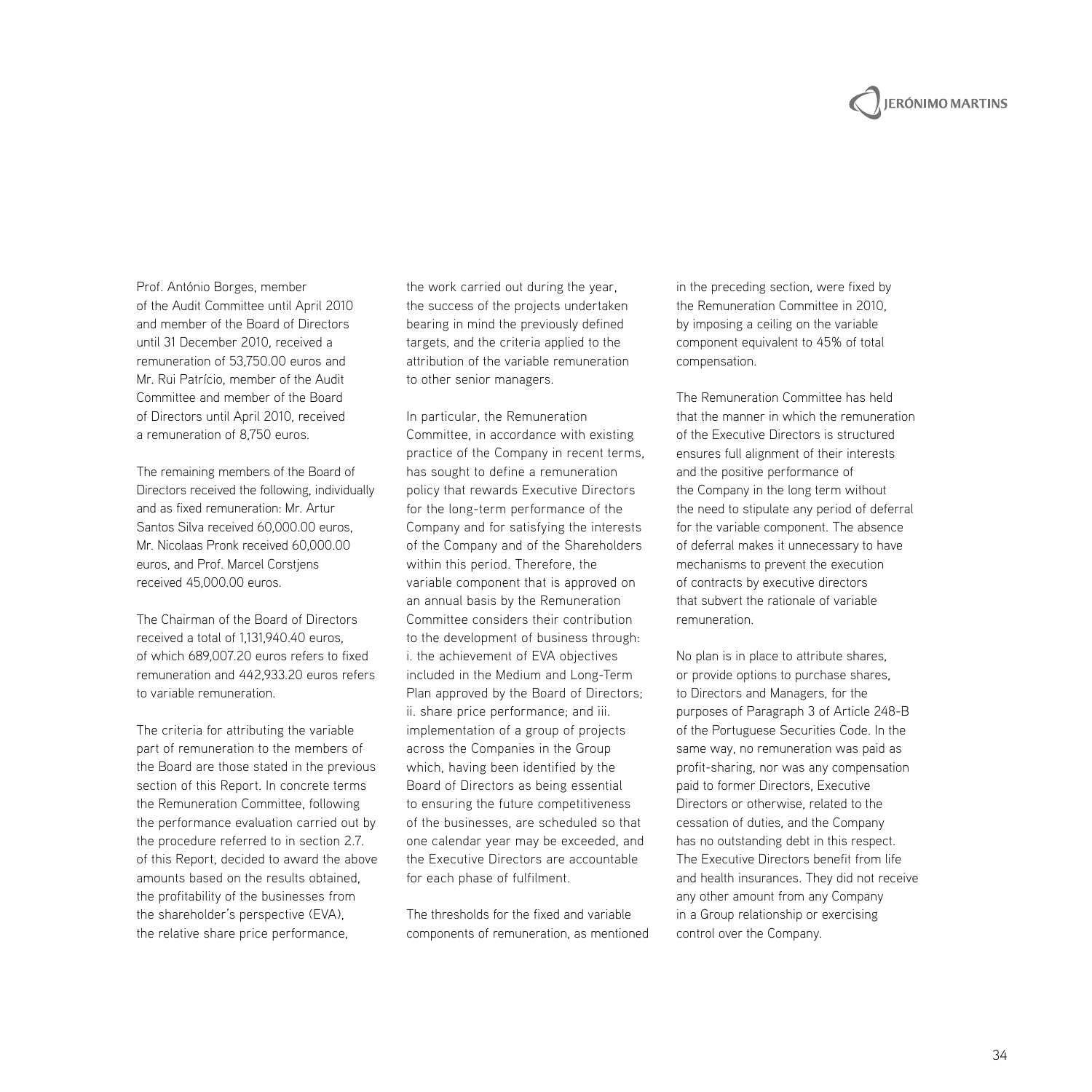# **JERÓNIMO MARTINS**

Prof. António Borges, member of the Audit Committee until April 2010 and member of the Board of Directors until 31 December 2010, received a remuneration of 53,750.00 euros and Mr. Rui Patrício, member of the Audit Committee and member of the Board of Directors until April 2010, received a remuneration of 8,750 euros.

The remaining members of the Board of Directors received the following, individually and as fixed remuneration: Mr. Artur Santos Silva received 60,000.00 euros, Mr. Nicolaas Pronk received 60,000.00 euros, and Prof. Marcel Corstjens received 45,000.00 euros.

The Chairman of the Board of Directors received a total of 1,131,940.40 euros, of which 689,007.20 euros refers to fixed remuneration and 442,933.20 euros refers to variable remuneration.

The criteria for attributing the variable part of remuneration to the members of the Board are those stated in the previous section of this Report. In concrete terms the Remuneration Committee, following the performance evaluation carried out by the procedure referred to in section 2.7. of this Report, decided to award the above amounts based on the results obtained, the profitability of the businesses from the shareholder's perspective (EVA), the relative share price performance,

the work carried out during the year, the success of the projects undertaken bearing in mind the previously defined targets, and the criteria applied to the attribution of the variable remuneration to other senior managers.

In particular, the Remuneration Committee, in accordance with existing practice of the Company in recent terms, has sought to define a remuneration policy that rewards Executive Directors for the long-term performance of the Company and for satisfying the interests of the Company and of the Shareholders within this period. Therefore, the variable component that is approved on an annual basis by the Remuneration Committee considers their contribution to the development of business through: i. the achievement of EVA objectives included in the Medium and Long-Term Plan approved by the Board of Directors; ii. share price performance; and iii. implementation of a group of projects across the Companies in the Group which, having been identified by the Board of Directors as being essential to ensuring the future competitiveness of the businesses, are scheduled so that one calendar year may be exceeded, and the Executive Directors are accountable for each phase of fulfilment.

The thresholds for the fixed and variable components of remuneration, as mentioned in the preceding section, were fixed by the Remuneration Committee in 2010, by imposing a ceiling on the variable component equivalent to 45% of total compensation.

The Remuneration Committee has held that the manner in which the remuneration of the Executive Directors is structured ensures full alignment of their interests and the positive performance of the Company in the long term without the need to stipulate any period of deferral for the variable component. The absence of deferral makes it unnecessary to have mechanisms to prevent the execution of contracts by executive directors that subvert the rationale of variable remuneration.

No plan is in place to attribute shares, or provide options to purchase shares, to Directors and Managers, for the purposes of Paragraph 3 of Article 248-B of the Portuguese Securities Code. In the same way, no remuneration was paid as profit-sharing, nor was any compensation paid to former Directors, Executive Directors or otherwise, related to the cessation of duties, and the Company has no outstanding debt in this respect. The Executive Directors benefit from life and health insurances. They did not receive any other amount from any Company in a Group relationship or exercising control over the Company.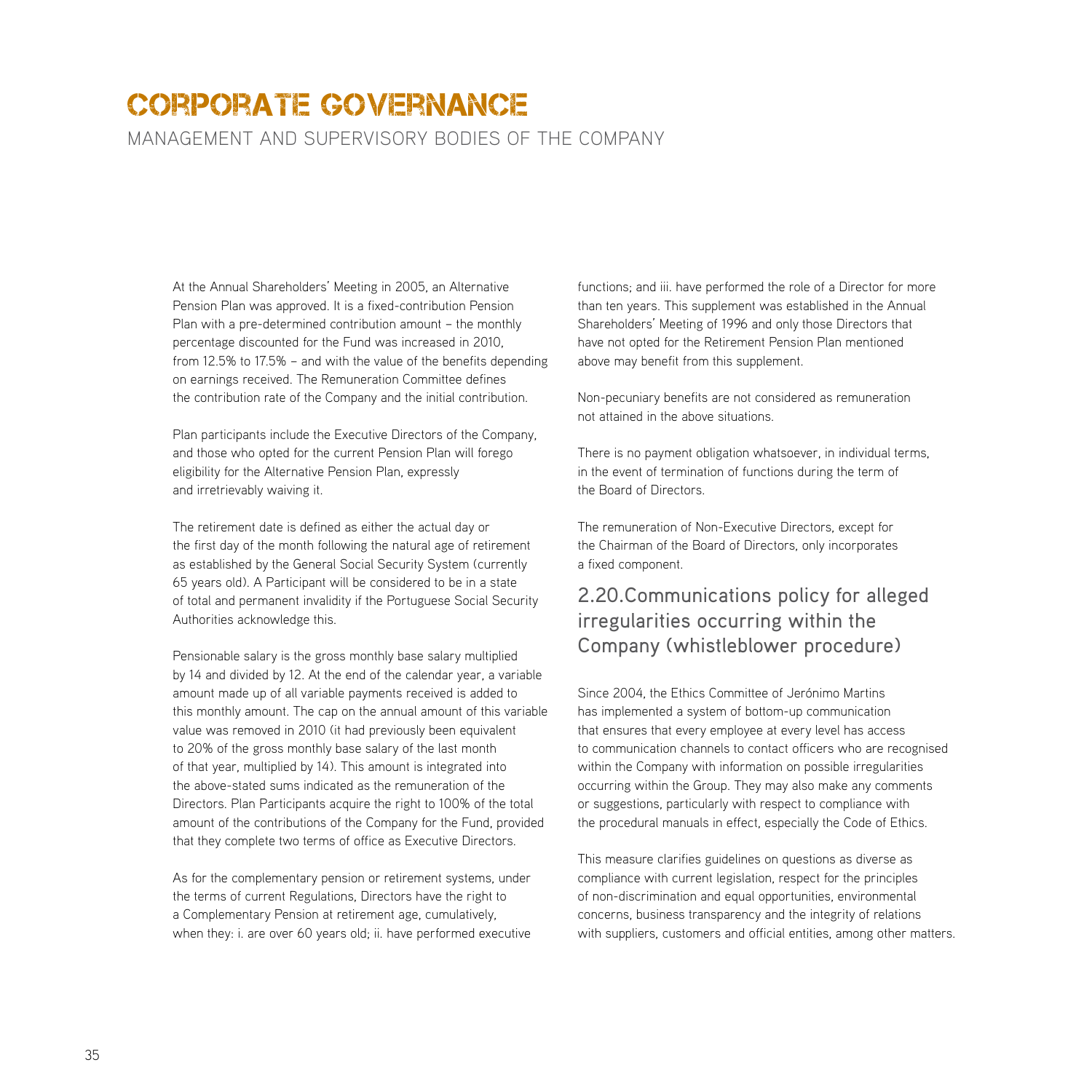management and supervisory bodies of the company

At the Annual Shareholders' Meeting in 2005, an Alternative Pension Plan was approved. It is a fixed-contribution Pension Plan with a pre-determined contribution amount – the monthly percentage discounted for the Fund was increased in 2010, from 12.5% to 17.5% – and with the value of the benefits depending on earnings received. The Remuneration Committee defines the contribution rate of the Company and the initial contribution.

Plan participants include the Executive Directors of the Company, and those who opted for the current Pension Plan will forego eligibility for the Alternative Pension Plan, expressly and irretrievably waiving it.

The retirement date is defined as either the actual day or the first day of the month following the natural age of retirement as established by the General Social Security System (currently 65 years old). A Participant will be considered to be in a state of total and permanent invalidity if the Portuguese Social Security Authorities acknowledge this.

Pensionable salary is the gross monthly base salary multiplied by 14 and divided by 12. At the end of the calendar year, a variable amount made up of all variable payments received is added to this monthly amount. The cap on the annual amount of this variable value was removed in 2010 (it had previously been equivalent to 20% of the gross monthly base salary of the last month of that year, multiplied by 14). This amount is integrated into the above-stated sums indicated as the remuneration of the Directors. Plan Participants acquire the right to 100% of the total amount of the contributions of the Company for the Fund, provided that they complete two terms of office as Executive Directors.

As for the complementary pension or retirement systems, under the terms of current Regulations, Directors have the right to a Complementary Pension at retirement age, cumulatively, when they: i. are over 60 years old; ii. have performed executive functions; and iii. have performed the role of a Director for more than ten years. This supplement was established in the Annual Shareholders' Meeting of 1996 and only those Directors that have not opted for the Retirement Pension Plan mentioned above may benefit from this supplement.

Non-pecuniary benefits are not considered as remuneration not attained in the above situations.

There is no payment obligation whatsoever, in individual terms, in the event of termination of functions during the term of the Board of Directors.

The remuneration of Non-Executive Directors, except for the Chairman of the Board of Directors, only incorporates a fixed component.

## 2.20.Communications policy for alleged irregularities occurring within the Company (whistleblower procedure)

Since 2004, the Ethics Committee of Jerónimo Martins has implemented a system of bottom-up communication that ensures that every employee at every level has access to communication channels to contact officers who are recognised within the Company with information on possible irregularities occurring within the Group. They may also make any comments or suggestions, particularly with respect to compliance with the procedural manuals in effect, especially the Code of Ethics.

This measure clarifies guidelines on questions as diverse as compliance with current legislation, respect for the principles of non-discrimination and equal opportunities, environmental concerns, business transparency and the integrity of relations with suppliers, customers and official entities, among other matters.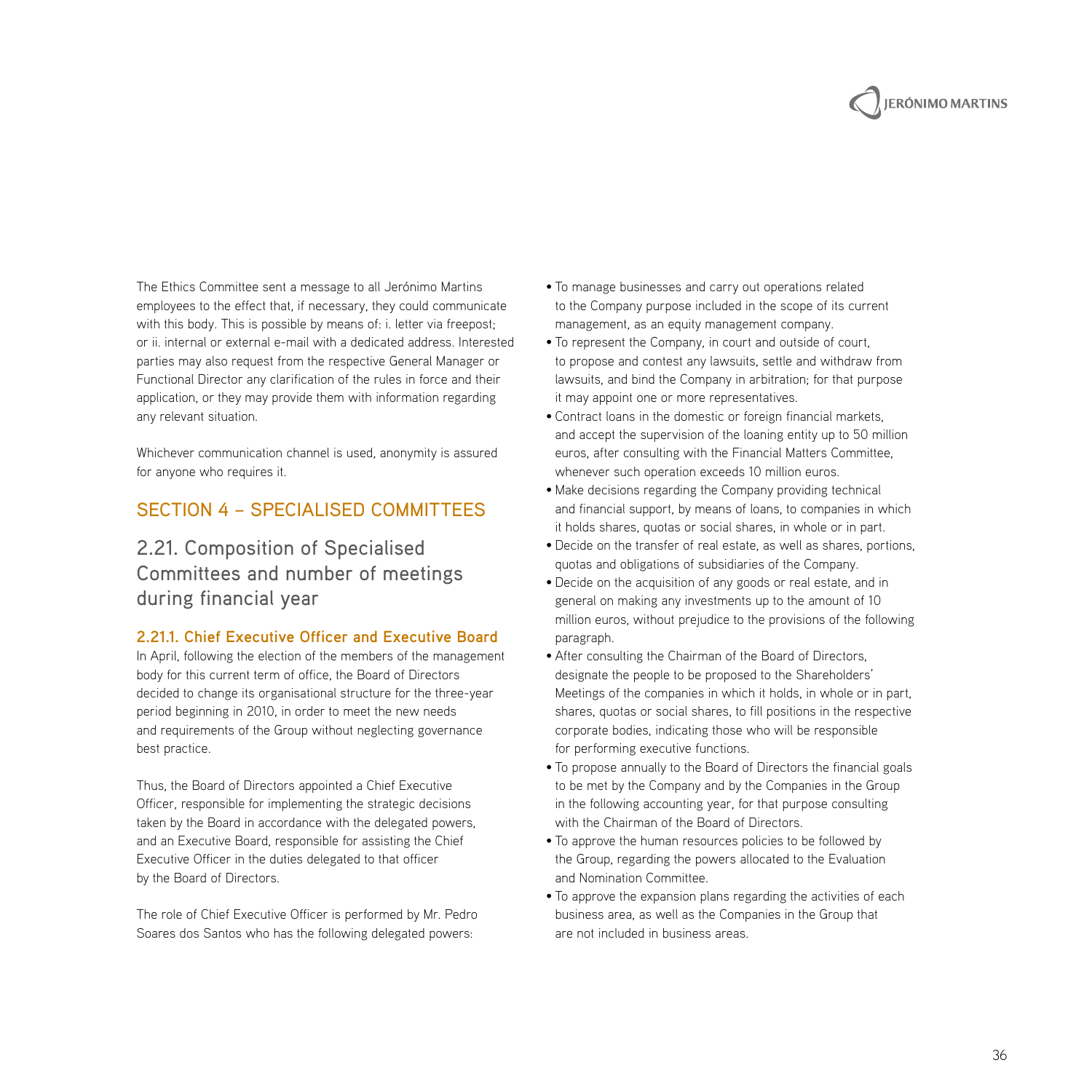

The Ethics Committee sent a message to all Jerónimo Martins employees to the effect that, if necessary, they could communicate with this body. This is possible by means of: i. letter via freepost; or ii. internal or external e-mail with a dedicated address. Interested parties may also request from the respective General Manager or Functional Director any clarification of the rules in force and their application, or they may provide them with information regarding any relevant situation.

Whichever communication channel is used, anonymity is assured for anyone who requires it.

#### Section 4 – Specialised Committees

## 2.21. Composition of Specialised Committees and number of meetings during financial year

#### **2.21.1. Chief Executive Officer and Executive Board**

In April, following the election of the members of the management body for this current term of office, the Board of Directors decided to change its organisational structure for the three-year period beginning in 2010, in order to meet the new needs and requirements of the Group without neglecting governance best practice.

Thus, the Board of Directors appointed a Chief Executive Officer, responsible for implementing the strategic decisions taken by the Board in accordance with the delegated powers, and an Executive Board, responsible for assisting the Chief Executive Officer in the duties delegated to that officer by the Board of Directors.

The role of Chief Executive Officer is performed by Mr. Pedro Soares dos Santos who has the following delegated powers:

- To manage businesses and carry out operations related to the Company purpose included in the scope of its current management, as an equity management company.
- To represent the Company, in court and outside of court, to propose and contest any lawsuits, settle and withdraw from lawsuits, and bind the Company in arbitration; for that purpose it may appoint one or more representatives.
- Contract loans in the domestic or foreign financial markets, and accept the supervision of the loaning entity up to 50 million euros, after consulting with the Financial Matters Committee, whenever such operation exceeds 10 million euros.
- Make decisions regarding the Company providing technical and financial support, by means of loans, to companies in which it holds shares, quotas or social shares, in whole or in part.
- Decide on the transfer of real estate, as well as shares, portions, quotas and obligations of subsidiaries of the Company.
- Decide on the acquisition of any goods or real estate, and in general on making any investments up to the amount of 10 million euros, without prejudice to the provisions of the following paragraph.
- After consulting the Chairman of the Board of Directors, designate the people to be proposed to the Shareholders' Meetings of the companies in which it holds, in whole or in part, shares, quotas or social shares, to fill positions in the respective corporate bodies, indicating those who will be responsible for performing executive functions.
- To propose annually to the Board of Directors the financial goals to be met by the Company and by the Companies in the Group in the following accounting year, for that purpose consulting with the Chairman of the Board of Directors.
- To approve the human resources policies to be followed by the Group, regarding the powers allocated to the Evaluation and Nomination Committee.
- To approve the expansion plans regarding the activities of each business area, as well as the Companies in the Group that are not included in business areas.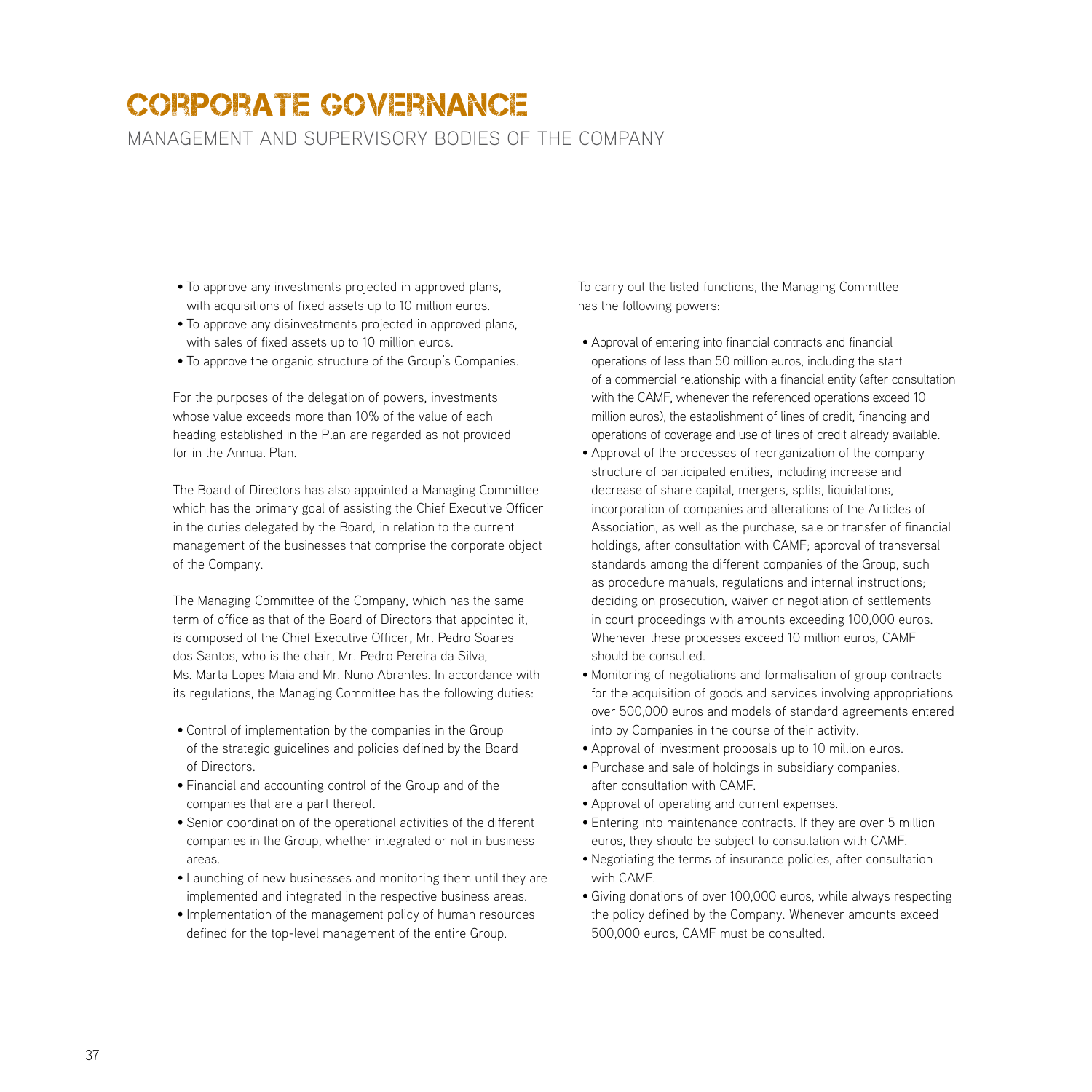management and supervisory bodies of the company

- To approve any investments projected in approved plans, with acquisitions of fixed assets up to 10 million euros.
- To approve any disinvestments projected in approved plans, with sales of fixed assets up to 10 million euros.
- To approve the organic structure of the Group's Companies.

For the purposes of the delegation of powers, investments whose value exceeds more than 10% of the value of each heading established in the Plan are regarded as not provided for in the Annual Plan.

The Board of Directors has also appointed a Managing Committee which has the primary goal of assisting the Chief Executive Officer in the duties delegated by the Board, in relation to the current management of the businesses that comprise the corporate object of the Company.

The Managing Committee of the Company, which has the same term of office as that of the Board of Directors that appointed it, is composed of the Chief Executive Officer, Mr. Pedro Soares dos Santos, who is the chair, Mr. Pedro Pereira da Silva, Ms. Marta Lopes Maia and Mr. Nuno Abrantes. In accordance with its regulations, the Managing Committee has the following duties:

- Control of implementation by the companies in the Group of the strategic guidelines and policies defined by the Board of Directors.
- Financial and accounting control of the Group and of the companies that are a part thereof.
- Senior coordination of the operational activities of the different companies in the Group, whether integrated or not in business areas.
- Launching of new businesses and monitoring them until they are implemented and integrated in the respective business areas.
- Implementation of the management policy of human resources defined for the top-level management of the entire Group.

To carry out the listed functions, the Managing Committee has the following powers:

- Approval of entering into financial contracts and financial operations of less than 50 million euros, including the start of a commercial relationship with a financial entity (after consultation with the CAMF, whenever the referenced operations exceed 10 million euros), the establishment of lines of credit, financing and operations of coverage and use of lines of credit already available.
- Approval of the processes of reorganization of the company structure of participated entities, including increase and decrease of share capital, mergers, splits, liquidations, incorporation of companies and alterations of the Articles of Association, as well as the purchase, sale or transfer of financial holdings, after consultation with CAMF; approval of transversal standards among the different companies of the Group, such as procedure manuals, regulations and internal instructions; deciding on prosecution, waiver or negotiation of settlements in court proceedings with amounts exceeding 100,000 euros. Whenever these processes exceed 10 million euros, CAMF should be consulted.
- Monitoring of negotiations and formalisation of group contracts for the acquisition of goods and services involving appropriations over 500,000 euros and models of standard agreements entered into by Companies in the course of their activity.
- Approval of investment proposals up to 10 million euros.
- Purchase and sale of holdings in subsidiary companies, after consultation with CAMF.
- Approval of operating and current expenses.
- Entering into maintenance contracts. If they are over 5 million euros, they should be subject to consultation with CAMF.
- Negotiating the terms of insurance policies, after consultation with CAMF.
- Giving donations of over 100,000 euros, while always respecting the policy defined by the Company. Whenever amounts exceed 500,000 euros, CAMF must be consulted.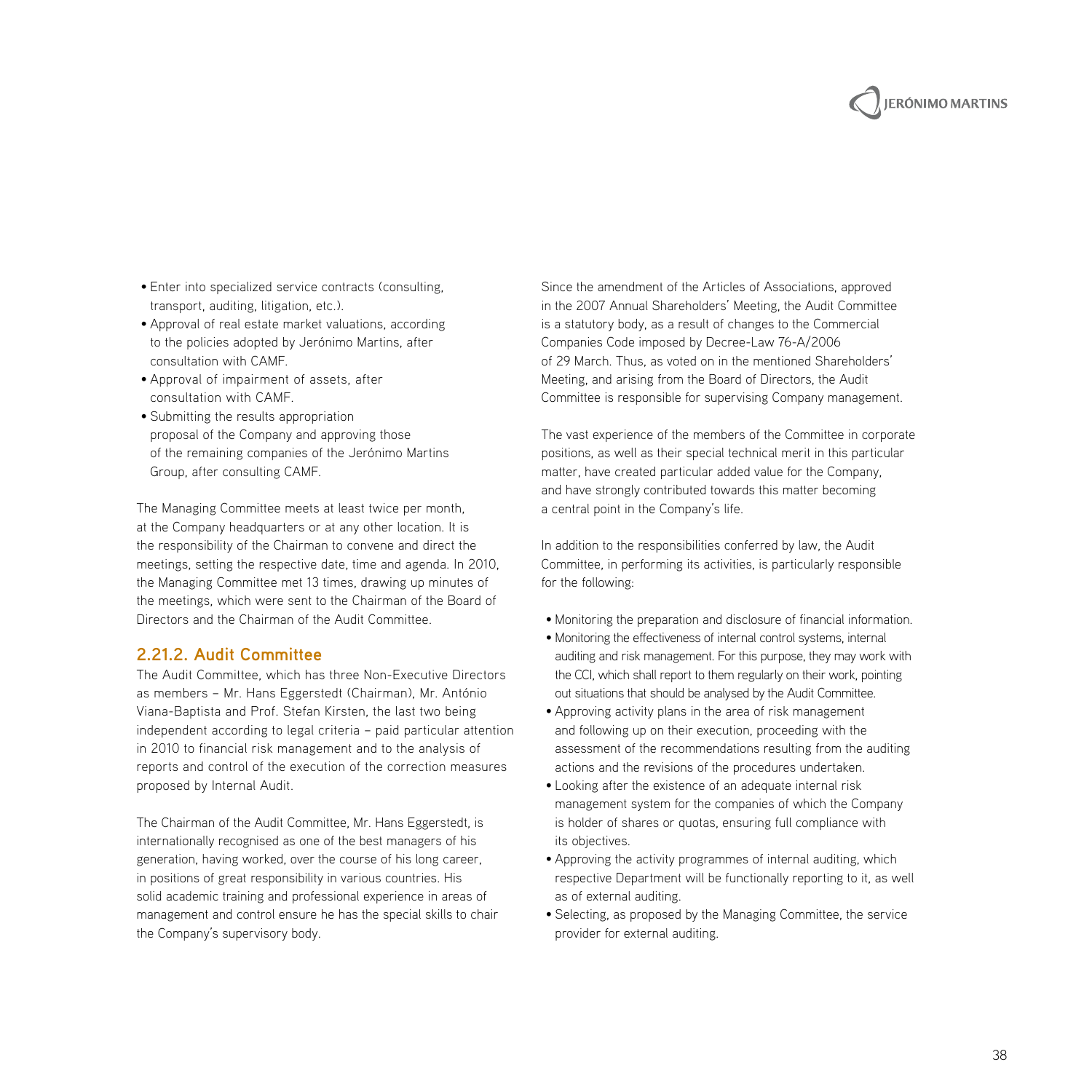# **JERÓNIMO MARTINS**

- Enter into specialized service contracts (consulting, transport, auditing, litigation, etc.).
- Approval of real estate market valuations, according to the policies adopted by Jerónimo Martins, after consultation with CAMF.
- Approval of impairment of assets, after consultation with CAMF.
- Submitting the results appropriation proposal of the Company and approving those of the remaining companies of the Jerónimo Martins Group, after consulting CAMF.

The Managing Committee meets at least twice per month, at the Company headquarters or at any other location. It is the responsibility of the Chairman to convene and direct the meetings, setting the respective date, time and agenda. In 2010, the Managing Committee met 13 times, drawing up minutes of the meetings, which were sent to the Chairman of the Board of Directors and the Chairman of the Audit Committee.

#### **2.21.2. Audit Committee**

The Audit Committee, which has three Non-Executive Directors as members – Mr. Hans Eggerstedt (Chairman), Mr. António Viana-Baptista and Prof. Stefan Kirsten, the last two being independent according to legal criteria – paid particular attention in 2010 to financial risk management and to the analysis of reports and control of the execution of the correction measures proposed by Internal Audit.

The Chairman of the Audit Committee, Mr. Hans Eggerstedt, is internationally recognised as one of the best managers of his generation, having worked, over the course of his long career, in positions of great responsibility in various countries. His solid academic training and professional experience in areas of management and control ensure he has the special skills to chair the Company's supervisory body.

Since the amendment of the Articles of Associations, approved in the 2007 Annual Shareholders' Meeting, the Audit Committee is a statutory body, as a result of changes to the Commercial Companies Code imposed by Decree-Law 76-A/2006 of 29 March. Thus, as voted on in the mentioned Shareholders' Meeting, and arising from the Board of Directors, the Audit Committee is responsible for supervising Company management.

The vast experience of the members of the Committee in corporate positions, as well as their special technical merit in this particular matter, have created particular added value for the Company, and have strongly contributed towards this matter becoming a central point in the Company's life.

In addition to the responsibilities conferred by law, the Audit Committee, in performing its activities, is particularly responsible for the following:

- Monitoring the preparation and disclosure of financial information.
- Monitoring the effectiveness of internal control systems, internal auditing and risk management. For this purpose, they may work with the CCI, which shall report to them regularly on their work, pointing out situations that should be analysed by the Audit Committee.
- Approving activity plans in the area of risk management and following up on their execution, proceeding with the assessment of the recommendations resulting from the auditing actions and the revisions of the procedures undertaken.
- Looking after the existence of an adequate internal risk management system for the companies of which the Company is holder of shares or quotas, ensuring full compliance with its objectives.
- Approving the activity programmes of internal auditing, which respective Department will be functionally reporting to it, as well as of external auditing.
- Selecting, as proposed by the Managing Committee, the service provider for external auditing.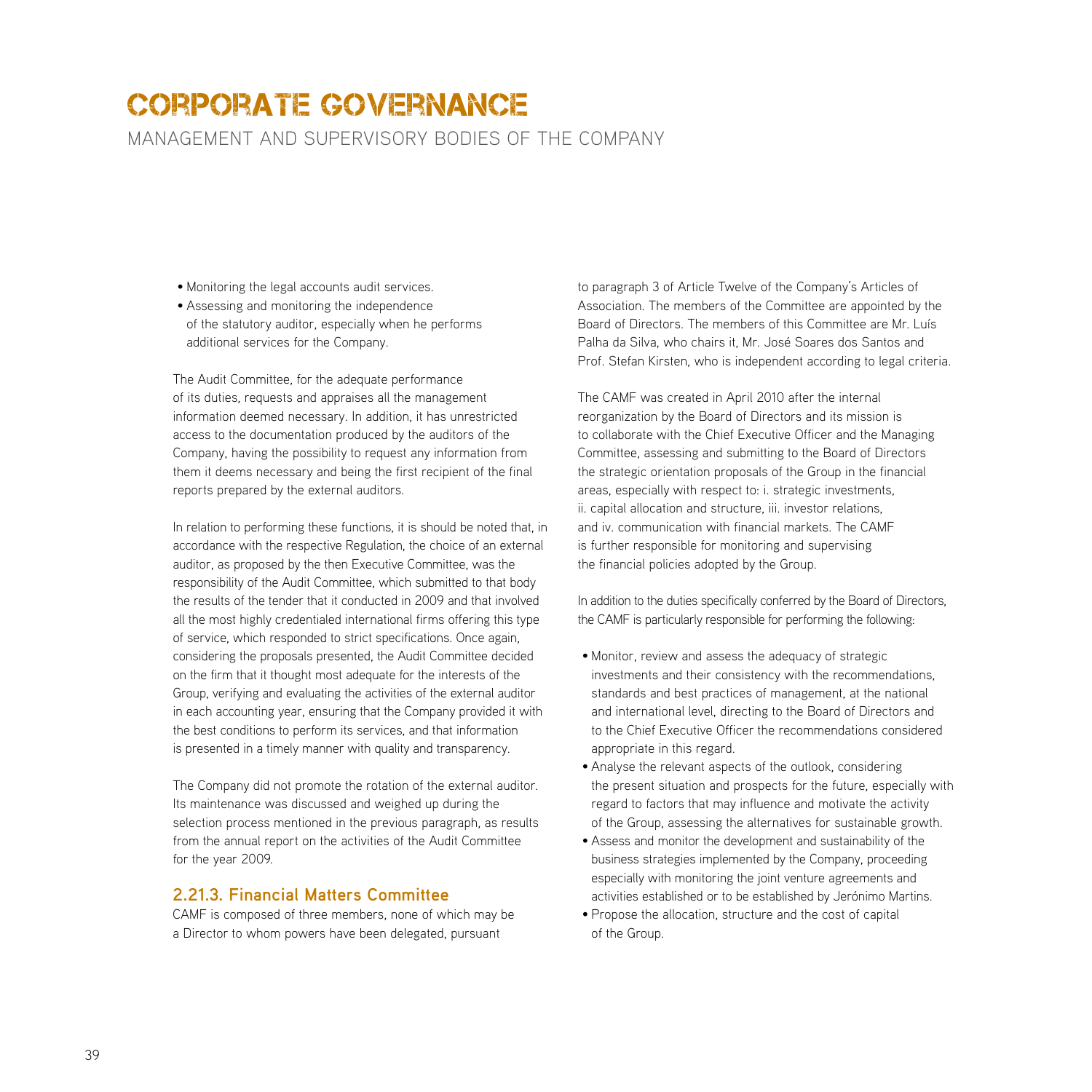management and supervisory bodies of the company

- Monitoring the legal accounts audit services.
- Assessing and monitoring the independence of the statutory auditor, especially when he performs additional services for the Company.

The Audit Committee, for the adequate performance of its duties, requests and appraises all the management information deemed necessary. In addition, it has unrestricted access to the documentation produced by the auditors of the Company, having the possibility to request any information from them it deems necessary and being the first recipient of the final reports prepared by the external auditors.

In relation to performing these functions, it is should be noted that, in accordance with the respective Regulation, the choice of an external auditor, as proposed by the then Executive Committee, was the responsibility of the Audit Committee, which submitted to that body the results of the tender that it conducted in 2009 and that involved all the most highly credentialed international firms offering this type of service, which responded to strict specifications. Once again, considering the proposals presented, the Audit Committee decided on the firm that it thought most adequate for the interests of the Group, verifying and evaluating the activities of the external auditor in each accounting year, ensuring that the Company provided it with the best conditions to perform its services, and that information is presented in a timely manner with quality and transparency.

The Company did not promote the rotation of the external auditor. Its maintenance was discussed and weighed up during the selection process mentioned in the previous paragraph, as results from the annual report on the activities of the Audit Committee for the year 2009.

#### **2.21.3. Financial Matters Committee**

CAMF is composed of three members, none of which may be a Director to whom powers have been delegated, pursuant

to paragraph 3 of Article Twelve of the Company's Articles of Association. The members of the Committee are appointed by the Board of Directors. The members of this Committee are Mr. Luís Palha da Silva, who chairs it, Mr. José Soares dos Santos and Prof. Stefan Kirsten, who is independent according to legal criteria.

The CAMF was created in April 2010 after the internal reorganization by the Board of Directors and its mission is to collaborate with the Chief Executive Officer and the Managing Committee, assessing and submitting to the Board of Directors the strategic orientation proposals of the Group in the financial areas, especially with respect to: i. strategic investments, ii. capital allocation and structure, iii. investor relations, and iv. communication with financial markets. The CAMF is further responsible for monitoring and supervising the financial policies adopted by the Group.

In addition to the duties specifically conferred by the Board of Directors, the CAMF is particularly responsible for performing the following:

- Monitor, review and assess the adequacy of strategic investments and their consistency with the recommendations, standards and best practices of management, at the national and international level, directing to the Board of Directors and to the Chief Executive Officer the recommendations considered appropriate in this regard.
- Analyse the relevant aspects of the outlook, considering the present situation and prospects for the future, especially with regard to factors that may influence and motivate the activity of the Group, assessing the alternatives for sustainable growth.
- Assess and monitor the development and sustainability of the business strategies implemented by the Company, proceeding especially with monitoring the joint venture agreements and activities established or to be established by Jerónimo Martins.
- Propose the allocation, structure and the cost of capital of the Group.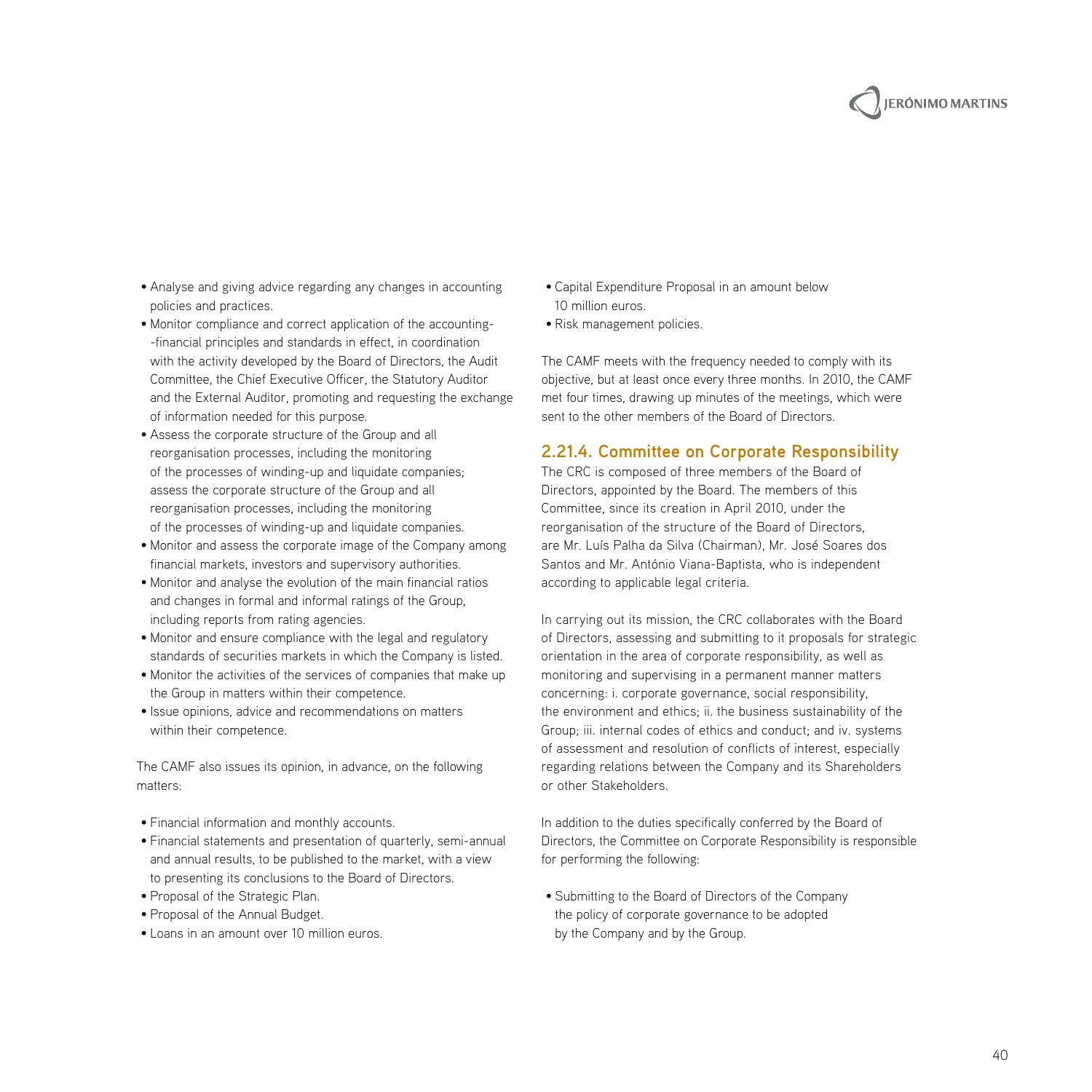

- Analyse and giving advice regarding any changes in accounting policies and practices.
- Monitor compliance and correct application of the accounting- -financial principles and standards in effect, in coordination with the activity developed by the Board of Directors, the Audit Committee, the Chief Executive Officer, the Statutory Auditor and the External Auditor, promoting and requesting the exchange of information needed for this purpose.
- Assess the corporate structure of the Group and all reorganisation processes, including the monitoring of the processes of winding-up and liquidate companies; assess the corporate structure of the Group and all reorganisation processes, including the monitoring of the processes of winding-up and liquidate companies.
- Monitor and assess the corporate image of the Company among financial markets, investors and supervisory authorities.
- Monitor and analyse the evolution of the main financial ratios and changes in formal and informal ratings of the Group, including reports from rating agencies.
- Monitor and ensure compliance with the legal and regulatory standards of securities markets in which the Company is listed.
- Monitor the activities of the services of companies that make up the Group in matters within their competence.
- Issue opinions, advice and recommendations on matters within their competence.

The CAMF also issues its opinion, in advance, on the following matters:

- Financial information and monthly accounts.
- Financial statements and presentation of quarterly, semi-annual and annual results, to be published to the market, with a view to presenting its conclusions to the Board of Directors.
- Proposal of the Strategic Plan.
- Proposal of the Annual Budget.
- Loans in an amount over 10 million euros.
- Capital Expenditure Proposal in an amount below 10 million euros.
- Risk management policies.

The CAMF meets with the frequency needed to comply with its objective, but at least once every three months. In 2010, the CAMF met four times, drawing up minutes of the meetings, which were sent to the other members of the Board of Directors.

#### **2.21.4. Committee on Corporate Responsibility**

The CRC is composed of three members of the Board of Directors, appointed by the Board. The members of this Committee, since its creation in April 2010, under the reorganisation of the structure of the Board of Directors, are Mr. Luís Palha da Silva (Chairman), Mr. José Soares dos Santos and Mr. António Viana-Baptista, who is independent according to applicable legal criteria.

In carrying out its mission, the CRC collaborates with the Board of Directors, assessing and submitting to it proposals for strategic orientation in the area of corporate responsibility, as well as monitoring and supervising in a permanent manner matters concerning: i. corporate governance, social responsibility, the environment and ethics; ii. the business sustainability of the Group; iii. internal codes of ethics and conduct; and iv. systems of assessment and resolution of conflicts of interest, especially regarding relations between the Company and its Shareholders or other Stakeholders.

In addition to the duties specifically conferred by the Board of Directors, the Committee on Corporate Responsibility is responsible for performing the following:

• Submitting to the Board of Directors of the Company the policy of corporate governance to be adopted by the Company and by the Group.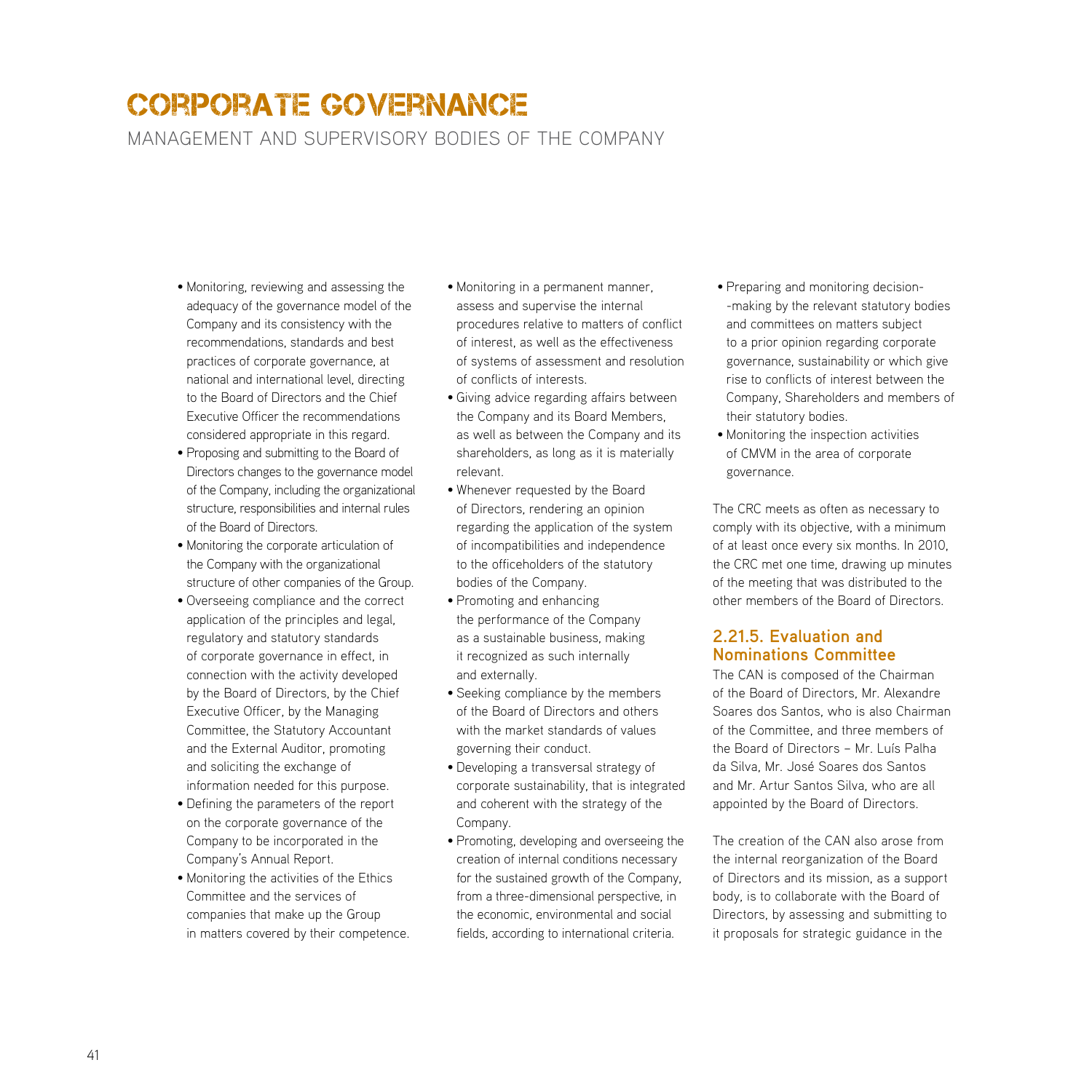management and supervisory bodies of the company

- Monitoring, reviewing and assessing the adequacy of the governance model of the Company and its consistency with the recommendations, standards and best practices of corporate governance, at national and international level, directing to the Board of Directors and the Chief Executive Officer the recommendations considered appropriate in this regard.
- Proposing and submitting to the Board of Directors changes to the governance model of the Company, including the organizational structure, responsibilities and internal rules of the Board of Directors.
- Monitoring the corporate articulation of the Company with the organizational structure of other companies of the Group.
- Overseeing compliance and the correct application of the principles and legal, regulatory and statutory standards of corporate governance in effect, in connection with the activity developed by the Board of Directors, by the Chief Executive Officer, by the Managing Committee, the Statutory Accountant and the External Auditor, promoting and soliciting the exchange of information needed for this purpose.
- Defining the parameters of the report on the corporate governance of the Company to be incorporated in the Company's Annual Report.
- Monitoring the activities of the Ethics Committee and the services of companies that make up the Group in matters covered by their competence.
- Monitoring in a permanent manner, assess and supervise the internal procedures relative to matters of conflict of interest, as well as the effectiveness of systems of assessment and resolution of conflicts of interests.
- Giving advice regarding affairs between the Company and its Board Members, as well as between the Company and its shareholders, as long as it is materially relevant.
- Whenever requested by the Board of Directors, rendering an opinion regarding the application of the system of incompatibilities and independence to the officeholders of the statutory bodies of the Company.
- Promoting and enhancing the performance of the Company as a sustainable business, making it recognized as such internally and externally.
- Seeking compliance by the members of the Board of Directors and others with the market standards of values governing their conduct.
- Developing a transversal strategy of corporate sustainability, that is integrated and coherent with the strategy of the Company.
- Promoting, developing and overseeing the creation of internal conditions necessary for the sustained growth of the Company, from a three-dimensional perspective, in the economic, environmental and social fields, according to international criteria.
- Preparing and monitoring decision- -making by the relevant statutory bodies and committees on matters subject to a prior opinion regarding corporate governance, sustainability or which give rise to conflicts of interest between the Company, Shareholders and members of their statutory bodies.
- Monitoring the inspection activities of CMVM in the area of corporate governance.

The CRC meets as often as necessary to comply with its objective, with a minimum of at least once every six months. In 2010, the CRC met one time, drawing up minutes of the meeting that was distributed to the other members of the Board of Directors.

#### **2.21.5. Evaluation and Nominations Committee**

The CAN is composed of the Chairman of the Board of Directors, Mr. Alexandre Soares dos Santos, who is also Chairman of the Committee, and three members of the Board of Directors – Mr. Luís Palha da Silva, Mr. José Soares dos Santos and Mr. Artur Santos Silva, who are all appointed by the Board of Directors.

The creation of the CAN also arose from the internal reorganization of the Board of Directors and its mission, as a support body, is to collaborate with the Board of Directors, by assessing and submitting to it proposals for strategic guidance in the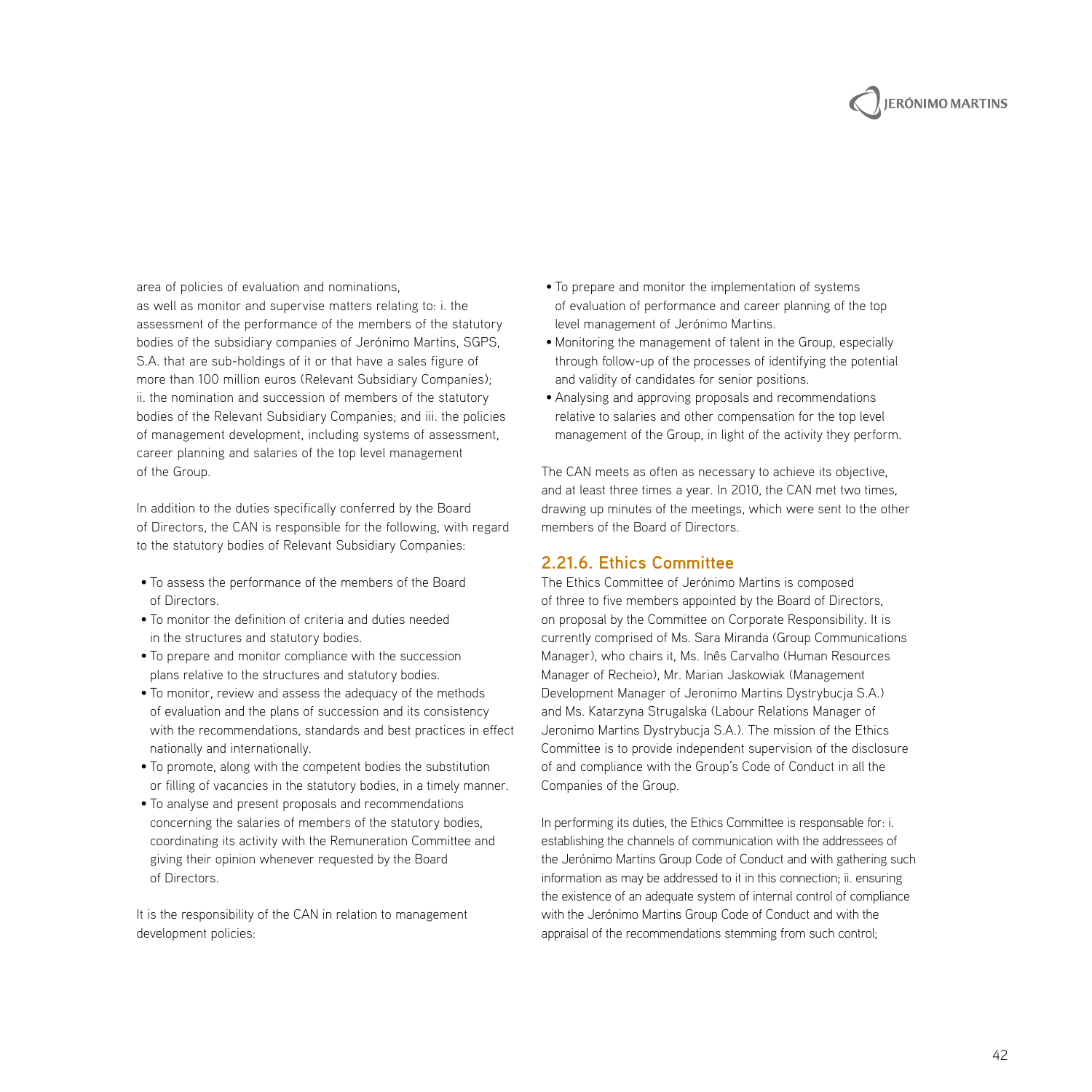

area of policies of evaluation and nominations, as well as monitor and supervise matters relating to: i. the assessment of the performance of the members of the statutory bodies of the subsidiary companies of Jerónimo Martins, SGPS, S.A. that are sub-holdings of it or that have a sales figure of more than 100 million euros (Relevant Subsidiary Companies); ii. the nomination and succession of members of the statutory bodies of the Relevant Subsidiary Companies; and iii. the policies of management development, including systems of assessment, career planning and salaries of the top level management of the Group.

In addition to the duties specifically conferred by the Board of Directors, the CAN is responsible for the following, with regard to the statutory bodies of Relevant Subsidiary Companies:

- To assess the performance of the members of the Board of Directors.
- To monitor the definition of criteria and duties needed in the structures and statutory bodies.
- To prepare and monitor compliance with the succession plans relative to the structures and statutory bodies.
- To monitor, review and assess the adequacy of the methods of evaluation and the plans of succession and its consistency with the recommendations, standards and best practices in effect nationally and internationally.
- To promote, along with the competent bodies the substitution or filling of vacancies in the statutory bodies, in a timely manner.
- To analyse and present proposals and recommendations concerning the salaries of members of the statutory bodies, coordinating its activity with the Remuneration Committee and giving their opinion whenever requested by the Board of Directors.

It is the responsibility of the CAN in relation to management development policies:

- To prepare and monitor the implementation of systems of evaluation of performance and career planning of the top level management of Jerónimo Martins.
- Monitoring the management of talent in the Group, especially through follow-up of the processes of identifying the potential and validity of candidates for senior positions.
- Analysing and approving proposals and recommendations relative to salaries and other compensation for the top level management of the Group, in light of the activity they perform.

The CAN meets as often as necessary to achieve its objective, and at least three times a year. In 2010, the CAN met two times, drawing up minutes of the meetings, which were sent to the other members of the Board of Directors.

#### **2.21.6. Ethics Committee**

The Ethics Committee of Jerónimo Martins is composed of three to five members appointed by the Board of Directors, on proposal by the Committee on Corporate Responsibility. It is currently comprised of Ms. Sara Miranda (Group Communications Manager), who chairs it, Ms. Inês Carvalho (Human Resources Manager of Recheio), Mr. Marian Jaskowiak (Management Development Manager of Jeronimo Martins Dystrybucja S.A.) and Ms. Katarzyna Strugalska (Labour Relations Manager of Jeronimo Martins Dystrybucja S.A.). The mission of the Ethics Committee is to provide independent supervision of the disclosure of and compliance with the Group's Code of Conduct in all the Companies of the Group.

In performing its duties, the Ethics Committee is responsable for: i. establishing the channels of communication with the addressees of the Jerónimo Martins Group Code of Conduct and with gathering such information as may be addressed to it in this connection; ii. ensuring the existence of an adequate system of internal control of compliance with the Jerónimo Martins Group Code of Conduct and with the appraisal of the recommendations stemming from such control;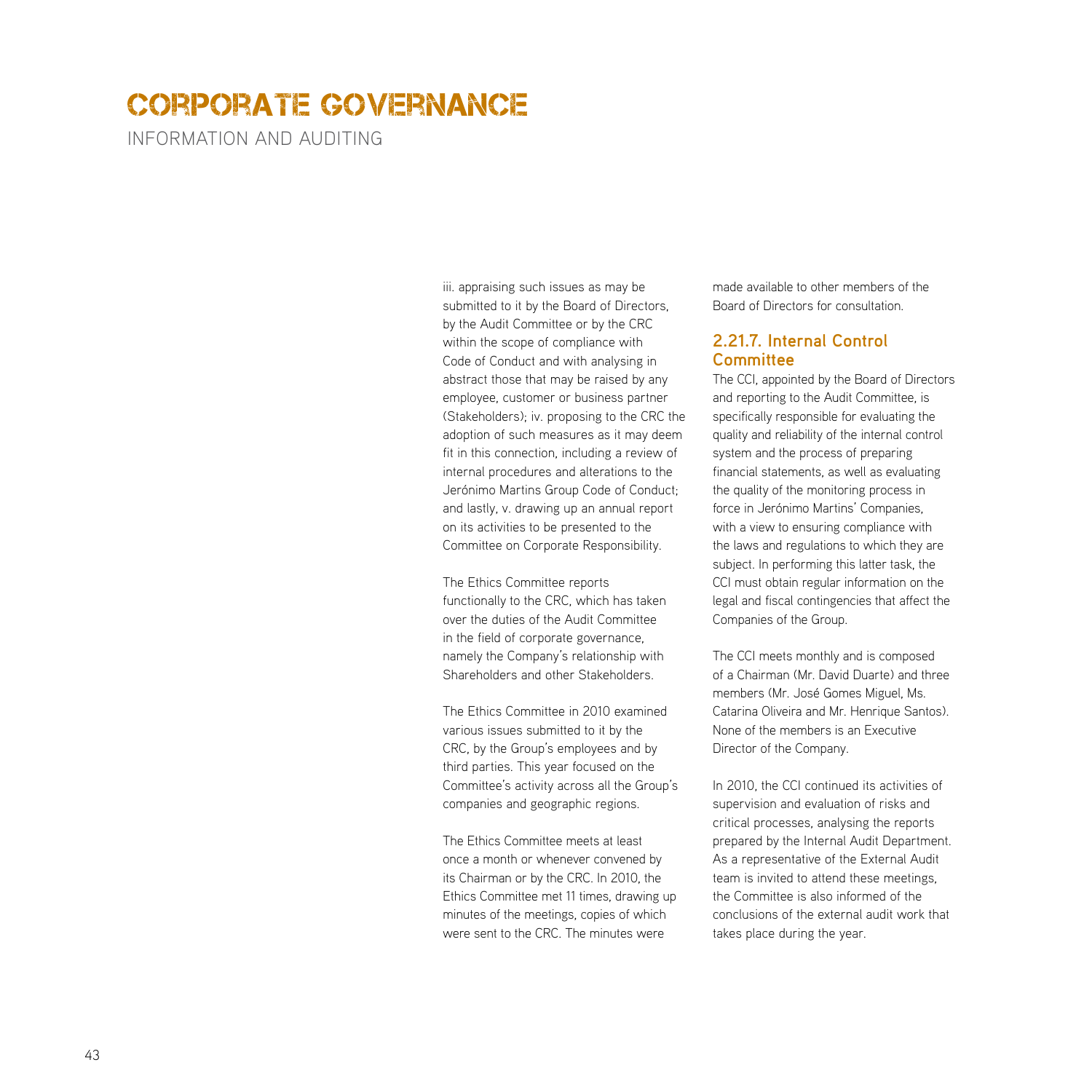information and auditing

iii. appraising such issues as may be submitted to it by the Board of Directors, by the Audit Committee or by the CRC within the scope of compliance with Code of Conduct and with analysing in abstract those that may be raised by any employee, customer or business partner (Stakeholders); iv. proposing to the CRC the adoption of such measures as it may deem fit in this connection, including a review of internal procedures and alterations to the Jerónimo Martins Group Code of Conduct; and lastly, v. drawing up an annual report on its activities to be presented to the Committee on Corporate Responsibility.

The Ethics Committee reports functionally to the CRC, which has taken over the duties of the Audit Committee in the field of corporate governance, namely the Company's relationship with Shareholders and other Stakeholders.

The Ethics Committee in 2010 examined various issues submitted to it by the CRC, by the Group's employees and by third parties. This year focused on the Committee's activity across all the Group's companies and geographic regions.

The Ethics Committee meets at least once a month or whenever convened by its Chairman or by the CRC. In 2010, the Ethics Committee met 11 times, drawing up minutes of the meetings, copies of which were sent to the CRC. The minutes were

made available to other members of the Board of Directors for consultation.

#### **2.21.7. Internal Control Committee**

The CCI, appointed by the Board of Directors and reporting to the Audit Committee, is specifically responsible for evaluating the quality and reliability of the internal control system and the process of preparing financial statements, as well as evaluating the quality of the monitoring process in force in Jerónimo Martins' Companies, with a view to ensuring compliance with the laws and regulations to which they are subject. In performing this latter task, the CCI must obtain regular information on the legal and fiscal contingencies that affect the Companies of the Group.

The CCI meets monthly and is composed of a Chairman (Mr. David Duarte) and three members (Mr. José Gomes Miguel, Ms. Catarina Oliveira and Mr. Henrique Santos). None of the members is an Executive Director of the Company.

In 2010, the CCI continued its activities of supervision and evaluation of risks and critical processes, analysing the reports prepared by the Internal Audit Department. As a representative of the External Audit team is invited to attend these meetings, the Committee is also informed of the conclusions of the external audit work that takes place during the year.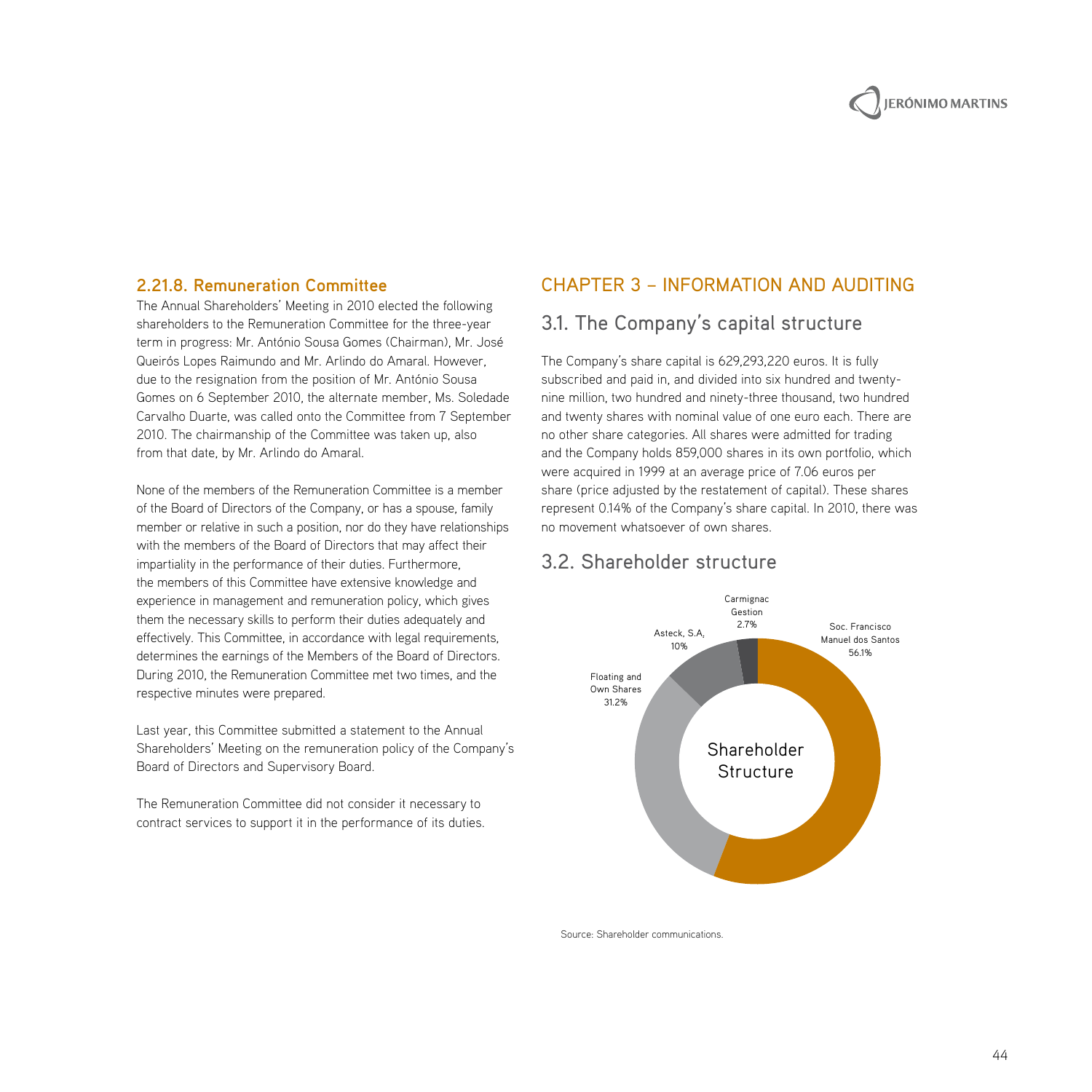#### **2.21.8. Remuneration Committee**

The Annual Shareholders' Meeting in 2010 elected the following shareholders to the Remuneration Committee for the three-year term in progress: Mr. António Sousa Gomes (Chairman), Mr. José Queirós Lopes Raimundo and Mr. Arlindo do Amaral. However, due to the resignation from the position of Mr. António Sousa Gomes on 6 September 2010, the alternate member, Ms. Soledade Carvalho Duarte, was called onto the Committee from 7 September 2010. The chairmanship of the Committee was taken up, also from that date, by Mr. Arlindo do Amaral.

None of the members of the Remuneration Committee is a member of the Board of Directors of the Company, or has a spouse, family member or relative in such a position, nor do they have relationships with the members of the Board of Directors that may affect their impartiality in the performance of their duties. Furthermore, the members of this Committee have extensive knowledge and experience in management and remuneration policy, which gives them the necessary skills to perform their duties adequately and effectively. This Committee, in accordance with legal requirements, determines the earnings of the Members of the Board of Directors. During 2010, the Remuneration Committee met two times, and the respective minutes were prepared.

Last year, this Committee submitted a statement to the Annual Shareholders' Meeting on the remuneration policy of the Company's Board of Directors and Supervisory Board.

The Remuneration Committee did not consider it necessary to contract services to support it in the performance of its duties.

#### Chapter 3 – Information and Auditing

## 3.1. The Company's capital structure

The Company's share capital is 629,293,220 euros. It is fully subscribed and paid in, and divided into six hundred and twentynine million, two hundred and ninety-three thousand, two hundred and twenty shares with nominal value of one euro each. There are no other share categories. All shares were admitted for trading and the Company holds 859,000 shares in its own portfolio, which were acquired in 1999 at an average price of 7.06 euros per share (price adjusted by the restatement of capital). These shares represent 0.14% of the Company's share capital. In 2010, there was no movement whatsoever of own shares.

#### 3.2. Shareholder structure



Source: Shareholder communications.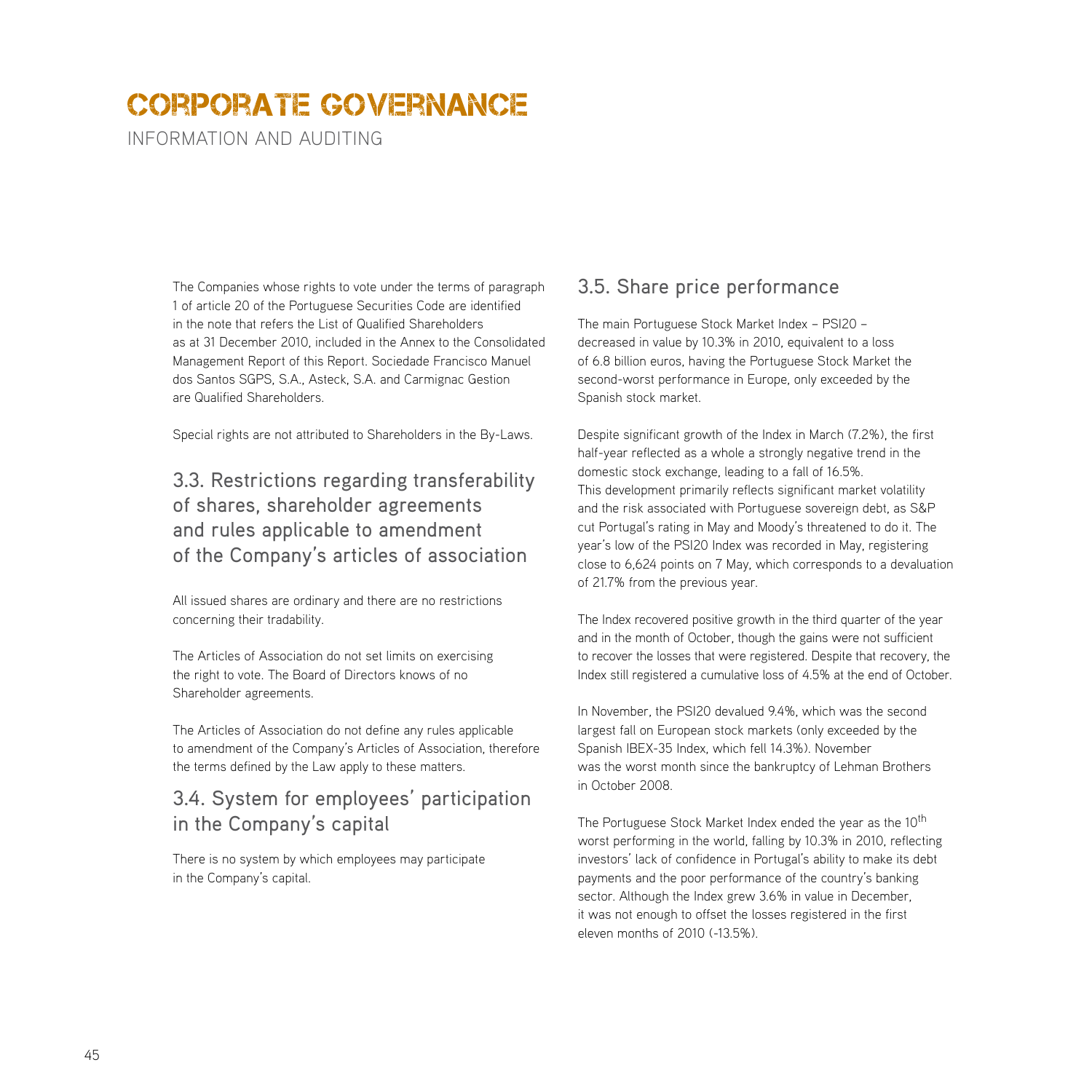INFORMATION AND AUDITING

The Companies whose rights to vote under the terms of paragraph 1 of article 20 of the Portuguese Securities Code are identified in the note that refers the List of Qualified Shareholders as at 31 December 2010, included in the Annex to the Consolidated Management Report of this Report. Sociedade Francisco Manuel dos Santos SGPS, S.A., Asteck, S.A. and Carmignac Gestion are Qualified Shareholders.

Special rights are not attributed to Shareholders in the By-Laws.

## 3.3. Restrictions regarding transferability of shares, shareholder agreements and rules applicable to amendment of the Company's articles of association

All issued shares are ordinary and there are no restrictions concerning their tradability.

The Articles of Association do not set limits on exercising the right to vote. The Board of Directors knows of no Shareholder agreements.

The Articles of Association do not define any rules applicable to amendment of the Company's Articles of Association, therefore the terms defined by the Law apply to these matters.

## 3.4. System for employees' participation in the Company's capital

There is no system by which employees may participate in the Company's capital.

## 3.5. Share price performance

The main Portuguese Stock Market Index – PSI20 – decreased in value by 10.3% in 2010, equivalent to a loss of 6.8 billion euros, having the Portuguese Stock Market the second-worst performance in Europe, only exceeded by the Spanish stock market.

Despite significant growth of the Index in March (7.2%), the first half-year reflected as a whole a strongly negative trend in the domestic stock exchange, leading to a fall of 16.5%. This development primarily reflects significant market volatility and the risk associated with Portuguese sovereign debt, as S&P cut Portugal's rating in May and Moody's threatened to do it. The year's low of the PSI20 Index was recorded in May, registering close to 6,624 points on 7 May, which corresponds to a devaluation of 21.7% from the previous year.

The Index recovered positive growth in the third quarter of the year and in the month of October, though the gains were not sufficient to recover the losses that were registered. Despite that recovery, the Index still registered a cumulative loss of 4.5% at the end of October.

In November, the PSI20 devalued 9.4%, which was the second largest fall on European stock markets (only exceeded by the Spanish IBEX-35 Index, which fell 14.3%). November was the worst month since the bankruptcy of Lehman Brothers in October 2008.

The Portuguese Stock Market Index ended the year as the 10<sup>th</sup> worst performing in the world, falling by 10.3% in 2010, reflecting investors' lack of confidence in Portugal's ability to make its debt payments and the poor performance of the country's banking sector. Although the Index grew 3.6% in value in December, it was not enough to offset the losses registered in the first eleven months of 2010 (-13.5%).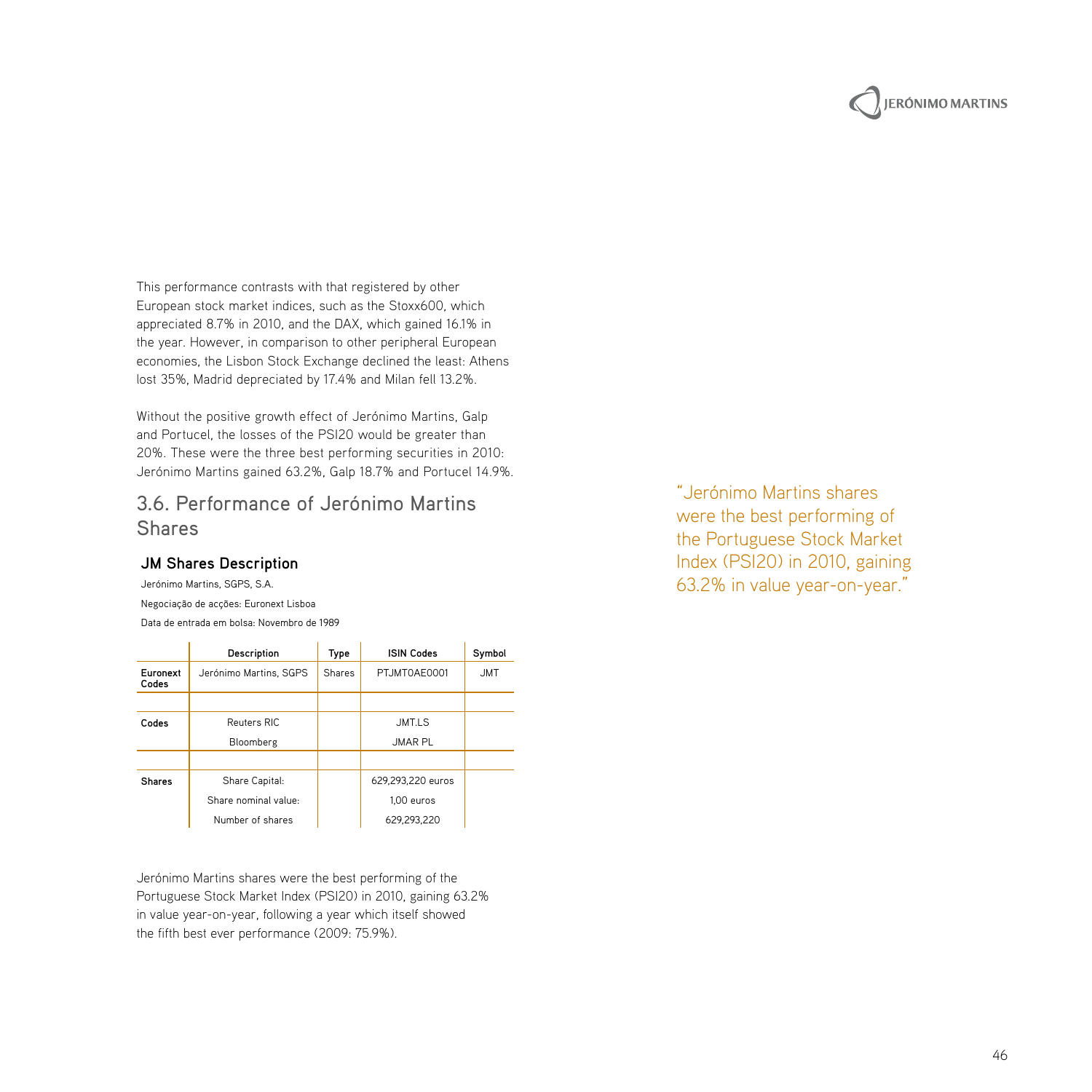

This performance contrasts with that registered by other European stock market indices, such as the Stoxx600, which appreciated 8.7% in 2010, and the DAX, which gained 16.1% in the year. However, in comparison to other peripheral European economies, the Lisbon Stock Exchange declined the least: Athens lost 35%, Madrid depreciated by 17.4% and Milan fell 13.2%.

Without the positive growth effect of Jerónimo Martins, Galp and Portucel, the losses of the PSI20 would be greater than 20%. These were the three best performing securities in 2010: Jerónimo Martins gained 63.2%, Galp 18.7% and Portucel 14.9%.

## 3.6. Performance of Jerónimo Martins Shares

#### **JM Shares Description**

Jerónimo Martins, SGPS, S.A. Negociação de acções: Euronext Lisboa Data de entrada em bolsa: Novembro de 1989

|                   | Description            | Type          | <b>ISIN Codes</b> | Symbol     |
|-------------------|------------------------|---------------|-------------------|------------|
| Euronext<br>Codes | Jerónimo Martins, SGPS | <b>Shares</b> | PTJMT0AE0001      | <b>JMT</b> |
|                   |                        |               |                   |            |
| Codes             | Reuters RIC            | JMT.LS        |                   |            |
|                   | Bloomberg              |               | JMAR PL           |            |
|                   |                        |               |                   |            |
| <b>Shares</b>     | Share Capital:         |               | 629.293.220 euros |            |
|                   | Share nominal value:   |               | 1.00 euros        |            |
|                   | Number of shares       |               | 629.293.220       |            |

Jerónimo Martins shares were the best performing of the Portuguese Stock Market Index (PSI20) in 2010, gaining 63.2% in value year-on-year, following a year which itself showed the fifth best ever performance (2009: 75.9%).

"Jerónimo Martins shares were the best performing of the Portuguese Stock Market Index (PSI20) in 2010, gaining 63.2% in value year-on-year."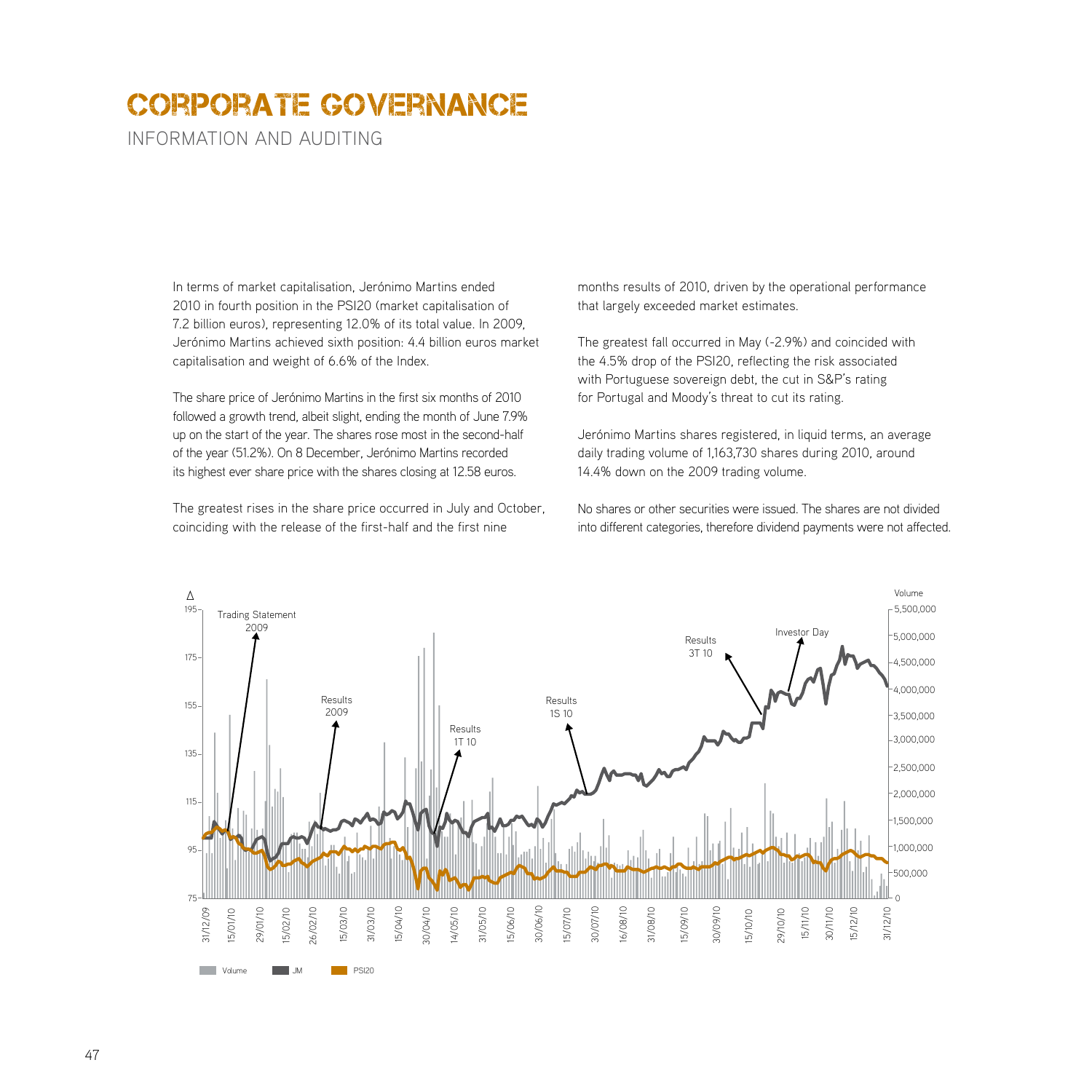INFORMATION AND AUDITING

In terms of market capitalisation, Jerónimo Martins ended 2010 in fourth position in the PSI20 (market capitalisation of 7.2 billion euros), representing 12.0% of its total value. In 2009, Jerónimo Martins achieved sixth position: 4.4 billion euros market capitalisation and weight of 6.6% of the Index.

The share price of Jerónimo Martins in the first six months of 2010 followed a growth trend, albeit slight, ending the month of June 7.9% up on the start of the year. The shares rose most in the second-half of the year (51.2%). On 8 December, Jerónimo Martins recorded its highest ever share price with the shares closing at 12.58 euros.

The greatest rises in the share price occurred in July and October, coinciding with the release of the first-half and the first nine

months results of 2010, driven by the operational performance that largely exceeded market estimates.

The greatest fall occurred in May (-2.9%) and coincided with the 4.5% drop of the PSI20, reflecting the risk associated with Portuguese sovereign debt, the cut in S&P's rating for Portugal and Moody's threat to cut its rating.

Jerónimo Martins shares registered, in liquid terms, an average daily trading volume of 1,163,730 shares during 2010, around 14.4% down on the 2009 trading volume.

No shares or other securities were issued. The shares are not divided into different categories, therefore dividend payments were not affected.

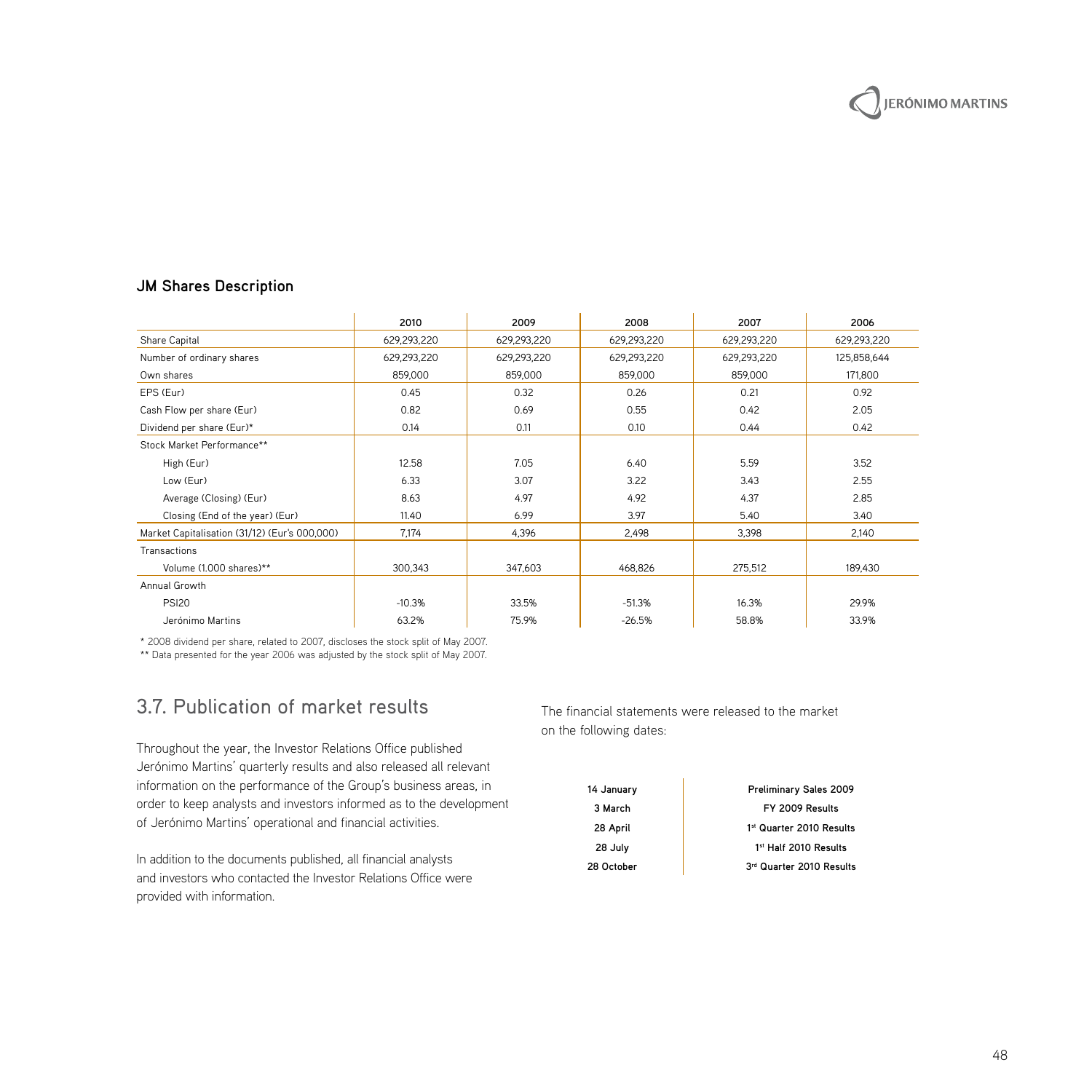## **JM Shares Description**

|                                               | 2010        | 2009        | 2008        | 2007        | 2006        |
|-----------------------------------------------|-------------|-------------|-------------|-------------|-------------|
| Share Capital                                 | 629,293,220 | 629,293,220 | 629,293,220 | 629,293,220 | 629,293,220 |
| Number of ordinary shares                     | 629,293,220 | 629,293,220 | 629,293,220 | 629,293,220 | 125,858,644 |
| Own shares                                    | 859,000     | 859,000     | 859,000     | 859,000     | 171,800     |
| EPS (Eur)                                     | 0.45        | 0.32        | 0.26        | 0.21        | 0.92        |
| Cash Flow per share (Eur)                     | 0.82        | 0.69        | 0.55        | 0.42        | 2.05        |
| Dividend per share (Eur)*                     | 0.14        | 0.11        | 0.10        | 0.44        | 0.42        |
| Stock Market Performance**                    |             |             |             |             |             |
| High (Eur)                                    | 12.58       | 7.05        | 6.40        | 5.59        | 3.52        |
| Low (Eur)                                     | 6.33        | 3.07        | 3.22        | 3.43        | 2.55        |
| Average (Closing) (Eur)                       | 8.63        | 4.97        | 4.92        | 4.37        | 2.85        |
| Closing (End of the year) (Eur)               | 11.40       | 6.99        | 3.97        | 5.40        | 3.40        |
| Market Capitalisation (31/12) (Eur's 000,000) | 7,174       | 4,396       | 2,498       | 3,398       | 2,140       |
| Transactions                                  |             |             |             |             |             |
| Volume (1.000 shares)**                       | 300,343     | 347,603     | 468,826     | 275,512     | 189.430     |
| Annual Growth                                 |             |             |             |             |             |
| <b>PSI20</b>                                  | $-10.3%$    | 33.5%       | $-51.3%$    | 16.3%       | 29.9%       |
| Jerónimo Martins                              | 63.2%       | 75.9%       | $-26.5%$    | 58.8%       | 33.9%       |

\* 2008 dividend per share, related to 2007, discloses the stock split of May 2007. \*\* Data presented for the year 2006 was adjusted by the stock split of May 2007.

## 3.7. Publication of market results

Throughout the year, the Investor Relations Office published Jerónimo Martins' quarterly results and also released all relevant information on the performance of the Group's business areas, in order to keep analysts and investors informed as to the development of Jerónimo Martins' operational and financial activities.

In addition to the documents published, all financial analysts and investors who contacted the Investor Relations Office were provided with information.

The financial statements were released to the market on the following dates:

| 14 January | Preliminary Sales 2009   |
|------------|--------------------------|
| 3 March    | FY 2009 Results          |
| 28 April   | 1st Quarter 2010 Results |
| 28 July    | 1st Half 2010 Results    |
| 28 October | 3rd Quarter 2010 Results |

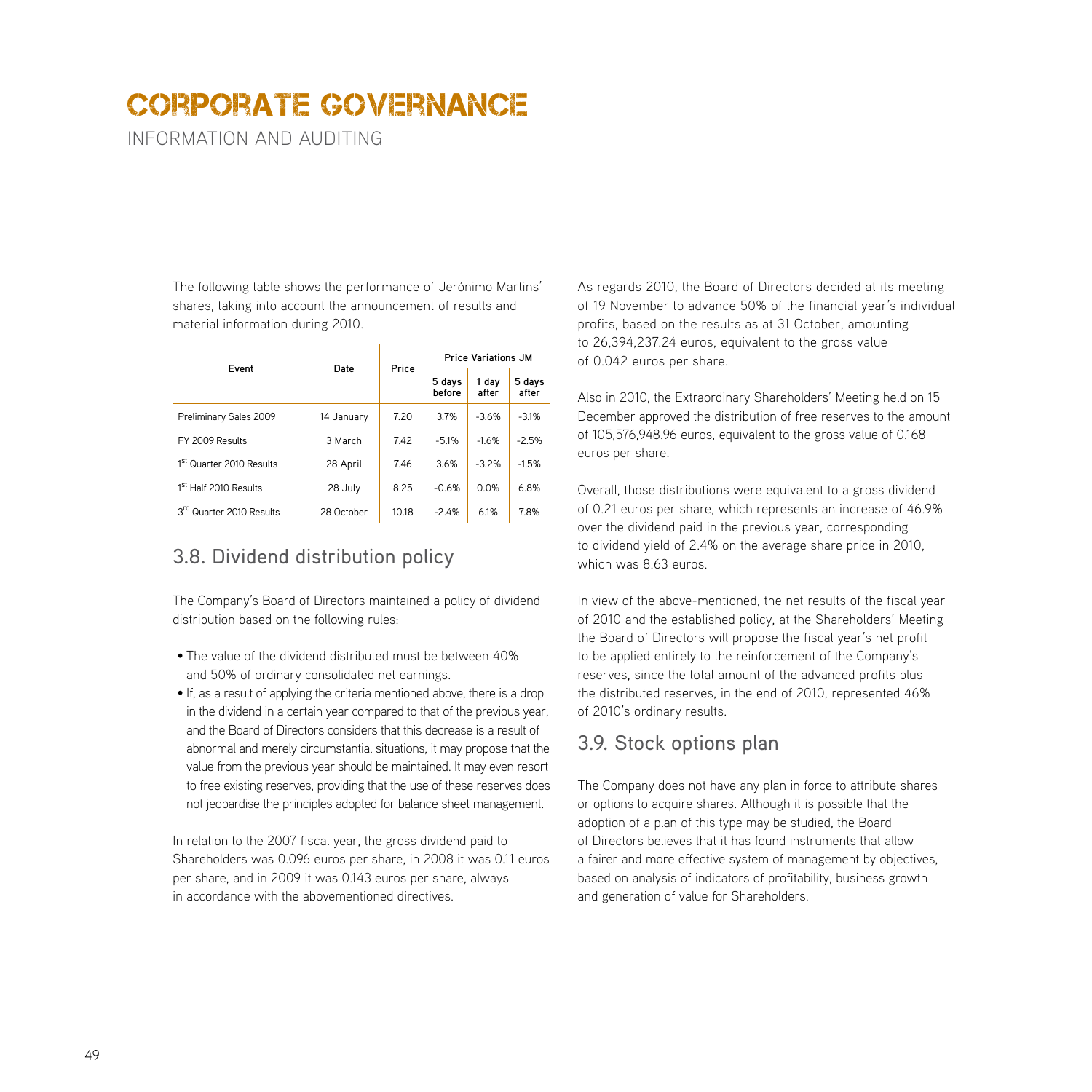INFORMATION AND AUDITING

The following table shows the performance of Jerónimo Martins' shares, taking into account the announcement of results and material information during 2010.

| Event                                | Date       | Price | <b>Price Variations JM</b> |                |                 |
|--------------------------------------|------------|-------|----------------------------|----------------|-----------------|
|                                      |            |       | 5 days<br>before           | 1 day<br>after | 5 days<br>after |
| Preliminary Sales 2009               | 14 January | 7.20  | 3.7%                       | $-3.6%$        | $-3.1%$         |
| FY 2009 Results                      | 3 March    | 7.42  | $-5.1%$                    | $-1.6%$        | $-2.5%$         |
| 1 <sup>st</sup> Quarter 2010 Results | 28 April   | 7.46  | 3.6%                       | $-3.2%$        | $-1.5%$         |
| 1 <sup>st</sup> Half 2010 Results    | 28 July    | 8.25  | $-0.6%$                    | 0.0%           | 6.8%            |
| 3 <sup>rd</sup> Quarter 2010 Results | 28 October | 10.18 | $-2.4%$                    | 6.1%           | 7.8%            |

## 3.8. Dividend distribution policy

The Company's Board of Directors maintained a policy of dividend distribution based on the following rules:

- The value of the dividend distributed must be between 40% and 50% of ordinary consolidated net earnings.
- If, as a result of applying the criteria mentioned above, there is a drop in the dividend in a certain year compared to that of the previous year, and the Board of Directors considers that this decrease is a result of abnormal and merely circumstantial situations, it may propose that the value from the previous year should be maintained. It may even resort to free existing reserves, providing that the use of these reserves does not jeopardise the principles adopted for balance sheet management.

In relation to the 2007 fiscal year, the gross dividend paid to Shareholders was 0.096 euros per share, in 2008 it was 0.11 euros per share, and in 2009 it was 0.143 euros per share, always in accordance with the abovementioned directives.

As regards 2010, the Board of Directors decided at its meeting of 19 November to advance 50% of the financial year's individual profits, based on the results as at 31 October, amounting to 26,394,237.24 euros, equivalent to the gross value of 0.042 euros per share.

Also in 2010, the Extraordinary Shareholders' Meeting held on 15 December approved the distribution of free reserves to the amount of 105,576,948.96 euros, equivalent to the gross value of 0.168 euros per share.

Overall, those distributions were equivalent to a gross dividend of 0.21 euros per share, which represents an increase of 46.9% over the dividend paid in the previous year, corresponding to dividend yield of 2.4% on the average share price in 2010, which was 8.63 euros.

In view of the above-mentioned, the net results of the fiscal year of 2010 and the established policy, at the Shareholders' Meeting the Board of Directors will propose the fiscal year's net profit to be applied entirely to the reinforcement of the Company's reserves, since the total amount of the advanced profits plus the distributed reserves, in the end of 2010, represented 46% of 2010's ordinary results.

## 3.9. Stock options plan

The Company does not have any plan in force to attribute shares or options to acquire shares. Although it is possible that the adoption of a plan of this type may be studied, the Board of Directors believes that it has found instruments that allow a fairer and more effective system of management by objectives, based on analysis of indicators of profitability, business growth and generation of value for Shareholders.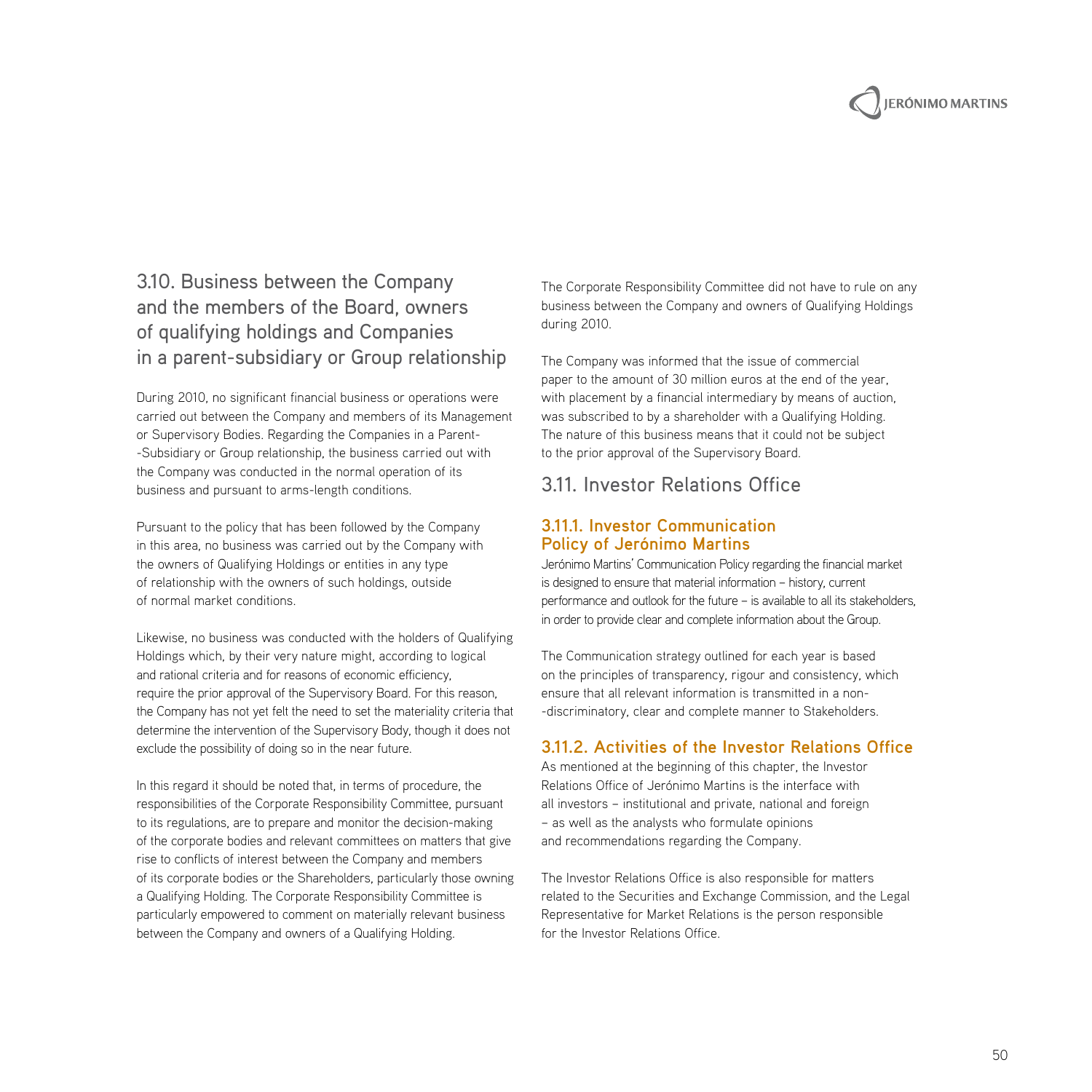

## 3.10. Business between the Company and the members of the Board, owners of qualifying holdings and Companies in a parent-subsidiary or Group relationship

During 2010, no significant financial business or operations were carried out between the Company and members of its Management or Supervisory Bodies. Regarding the Companies in a Parent- -Subsidiary or Group relationship, the business carried out with the Company was conducted in the normal operation of its business and pursuant to arms-length conditions.

Pursuant to the policy that has been followed by the Company in this area, no business was carried out by the Company with the owners of Qualifying Holdings or entities in any type of relationship with the owners of such holdings, outside of normal market conditions.

Likewise, no business was conducted with the holders of Qualifying Holdings which, by their very nature might, according to logical and rational criteria and for reasons of economic efficiency, require the prior approval of the Supervisory Board. For this reason, the Company has not yet felt the need to set the materiality criteria that determine the intervention of the Supervisory Body, though it does not exclude the possibility of doing so in the near future.

In this regard it should be noted that, in terms of procedure, the responsibilities of the Corporate Responsibility Committee, pursuant to its regulations, are to prepare and monitor the decision-making of the corporate bodies and relevant committees on matters that give rise to conflicts of interest between the Company and members of its corporate bodies or the Shareholders, particularly those owning a Qualifying Holding. The Corporate Responsibility Committee is particularly empowered to comment on materially relevant business between the Company and owners of a Qualifying Holding.

The Corporate Responsibility Committee did not have to rule on any business between the Company and owners of Qualifying Holdings during 2010.

The Company was informed that the issue of commercial paper to the amount of 30 million euros at the end of the year, with placement by a financial intermediary by means of auction, was subscribed to by a shareholder with a Qualifying Holding. The nature of this business means that it could not be subject to the prior approval of the Supervisory Board.

## 3.11. Investor Relations Office

#### **3.11.1. Investor Communication Policy of Jerónimo Martins**

Jerónimo Martins' Communication Policy regarding the financial market is designed to ensure that material information – history, current performance and outlook for the future – is available to all its stakeholders, in order to provide clear and complete information about the Group.

The Communication strategy outlined for each year is based on the principles of transparency, rigour and consistency, which ensure that all relevant information is transmitted in a non- -discriminatory, clear and complete manner to Stakeholders.

#### **3.11.2. Activities of the Investor Relations Office**

As mentioned at the beginning of this chapter, the Investor Relations Office of Jerónimo Martins is the interface with all investors – institutional and private, national and foreign – as well as the analysts who formulate opinions and recommendations regarding the Company.

The Investor Relations Office is also responsible for matters related to the Securities and Exchange Commission, and the Legal Representative for Market Relations is the person responsible for the Investor Relations Office.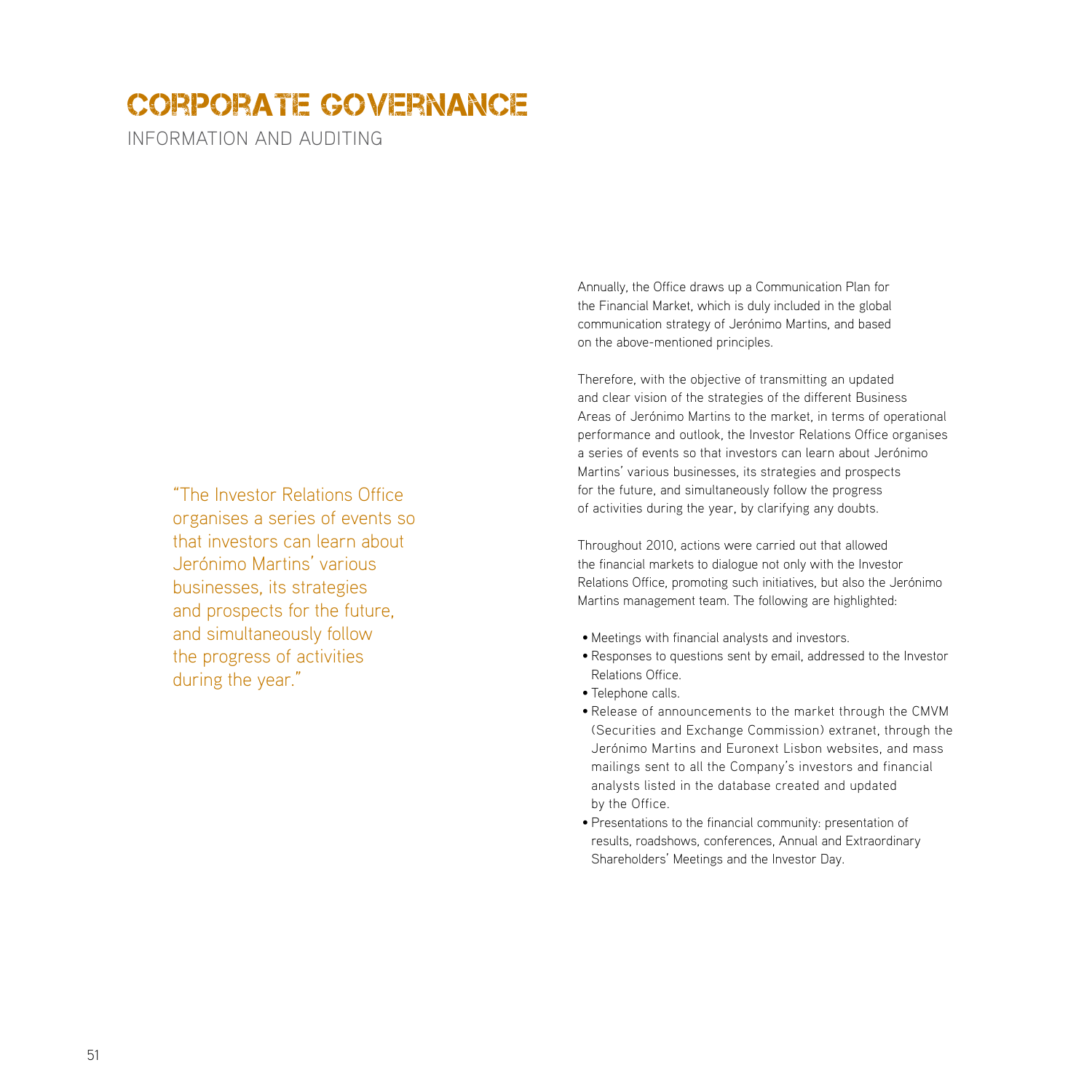INFORMATION AND AUDITING

"The Investor Relations Office organises a series of events so that investors can learn about Jerónimo Martins' various businesses, its strategies and prospects for the future, and simultaneously follow the progress of activities during the year."

Annually, the Office draws up a Communication Plan for the Financial Market, which is duly included in the global communication strategy of Jerónimo Martins, and based on the above-mentioned principles.

Therefore, with the objective of transmitting an updated and clear vision of the strategies of the different Business Areas of Jerónimo Martins to the market, in terms of operational performance and outlook, the Investor Relations Office organises a series of events so that investors can learn about Jerónimo Martins' various businesses, its strategies and prospects for the future, and simultaneously follow the progress of activities during the year, by clarifying any doubts.

Throughout 2010, actions were carried out that allowed the financial markets to dialogue not only with the Investor Relations Office, promoting such initiatives, but also the Jerónimo Martins management team. The following are highlighted:

- Meetings with financial analysts and investors.
- Responses to questions sent by email, addressed to the Investor Relations Office.
- Telephone calls.
- Release of announcements to the market through the CMVM (Securities and Exchange Commission) extranet, through the Jerónimo Martins and Euronext Lisbon websites, and mass mailings sent to all the Company's investors and financial analysts listed in the database created and updated by the Office.
- Presentations to the financial community: presentation of results, roadshows, conferences, Annual and Extraordinary Shareholders' Meetings and the Investor Day.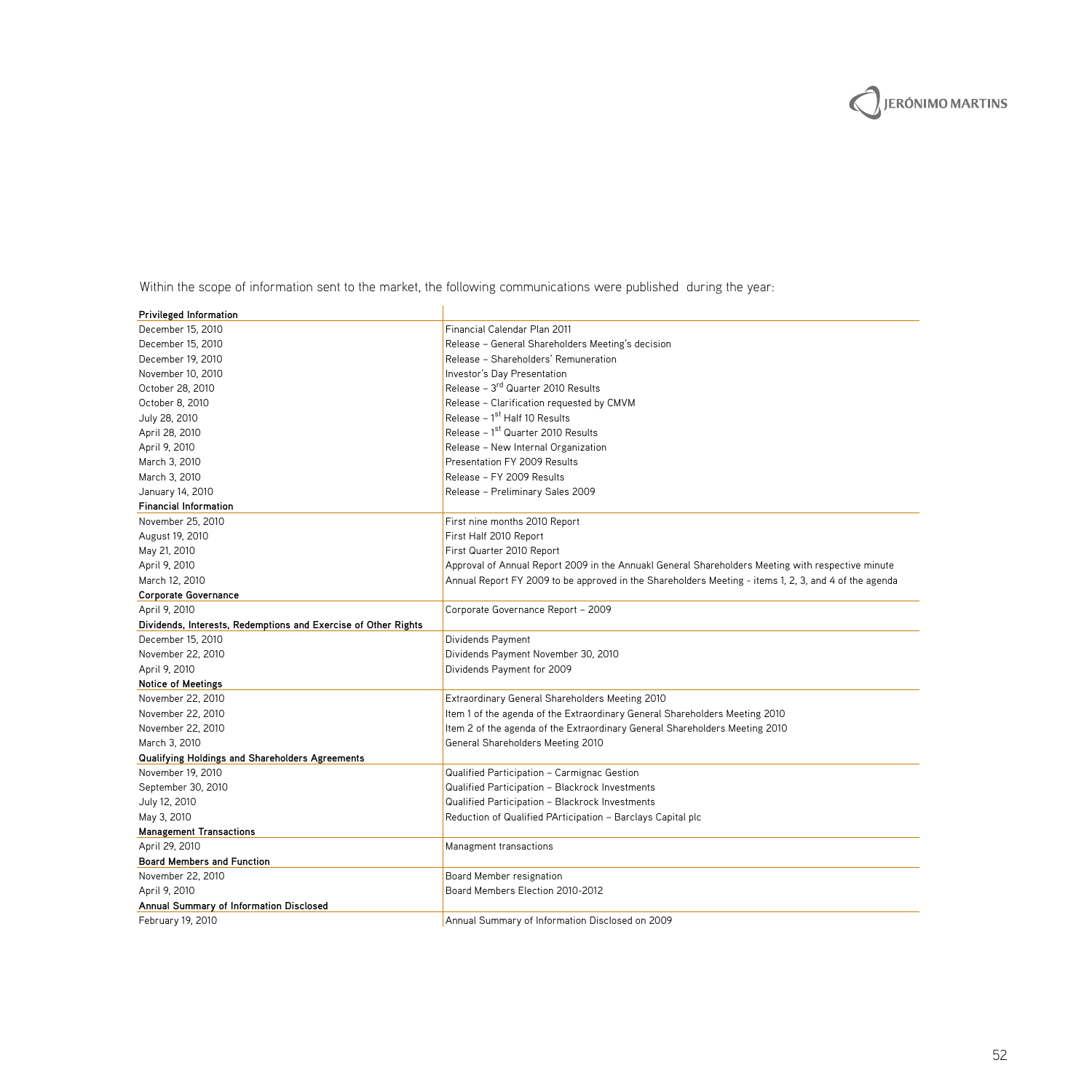ERÓNIMO MARTINS

Within the scope of information sent to the market, the following communications were published during the year:

| <b>Privileged Information</b>                                  |                                                                                                       |
|----------------------------------------------------------------|-------------------------------------------------------------------------------------------------------|
| December 15, 2010                                              | Financial Calendar Plan 2011                                                                          |
| December 15, 2010                                              | Release - General Shareholders Meeting's decision                                                     |
| December 19, 2010                                              | Release - Shareholders' Remuneration                                                                  |
| November 10, 2010                                              | Investor's Day Presentation                                                                           |
| October 28, 2010                                               | Release - 3rd Quarter 2010 Results                                                                    |
| October 8, 2010                                                | Release - Clarification requested by CMVM                                                             |
| July 28, 2010                                                  | Release - 1st Half 10 Results                                                                         |
| April 28, 2010                                                 | Release - 1 <sup>st</sup> Quarter 2010 Results                                                        |
| April 9, 2010                                                  | Release - New Internal Organization                                                                   |
| March 3, 2010                                                  | Presentation FY 2009 Results                                                                          |
| March 3, 2010                                                  | Release - FY 2009 Results                                                                             |
| January 14, 2010                                               | Release - Preliminary Sales 2009                                                                      |
| <b>Financial Information</b>                                   |                                                                                                       |
| November 25, 2010                                              | First nine months 2010 Report                                                                         |
| August 19, 2010                                                | First Half 2010 Report                                                                                |
| May 21, 2010                                                   | First Quarter 2010 Report                                                                             |
| April 9, 2010                                                  | Approval of Annual Report 2009 in the Annuakl General Shareholders Meeting with respective minute     |
| March 12, 2010                                                 | Annual Report FY 2009 to be approved in the Shareholders Meeting - items 1, 2, 3, and 4 of the agenda |
| Corporate Governance                                           |                                                                                                       |
| April 9, 2010                                                  | Corporate Governance Report - 2009                                                                    |
| Dividends, Interests, Redemptions and Exercise of Other Rights |                                                                                                       |
| December 15, 2010                                              | Dividends Payment                                                                                     |
| November 22, 2010                                              | Dividends Payment November 30, 2010                                                                   |
| April 9, 2010                                                  | Dividends Payment for 2009                                                                            |
| <b>Notice of Meetings</b>                                      |                                                                                                       |
| November 22, 2010                                              | Extraordinary General Shareholders Meeting 2010                                                       |
| November 22, 2010                                              | Item 1 of the agenda of the Extraordinary General Shareholders Meeting 2010                           |
| November 22, 2010                                              | Item 2 of the agenda of the Extraordinary General Shareholders Meeting 2010                           |
| March 3, 2010                                                  | General Shareholders Meeting 2010                                                                     |
| Qualifying Holdings and Shareholders Agreements                |                                                                                                       |
| November 19, 2010                                              | Qualified Participation - Carmignac Gestion                                                           |
| September 30, 2010                                             | Qualified Participation - Blackrock Investments                                                       |
| July 12, 2010                                                  | Qualified Participation - Blackrock Investments                                                       |
| May 3, 2010                                                    | Reduction of Qualified PArticipation - Barclays Capital plc                                           |
| <b>Management Transactions</b>                                 |                                                                                                       |
| April 29, 2010                                                 | Managment transactions                                                                                |
| <b>Board Members and Function</b>                              |                                                                                                       |
| November 22, 2010                                              | Board Member resignation                                                                              |
| April 9, 2010                                                  | Board Members Election 2010-2012                                                                      |
| Annual Summary of Information Disclosed                        |                                                                                                       |
| February 19, 2010                                              | Annual Summary of Information Disclosed on 2009                                                       |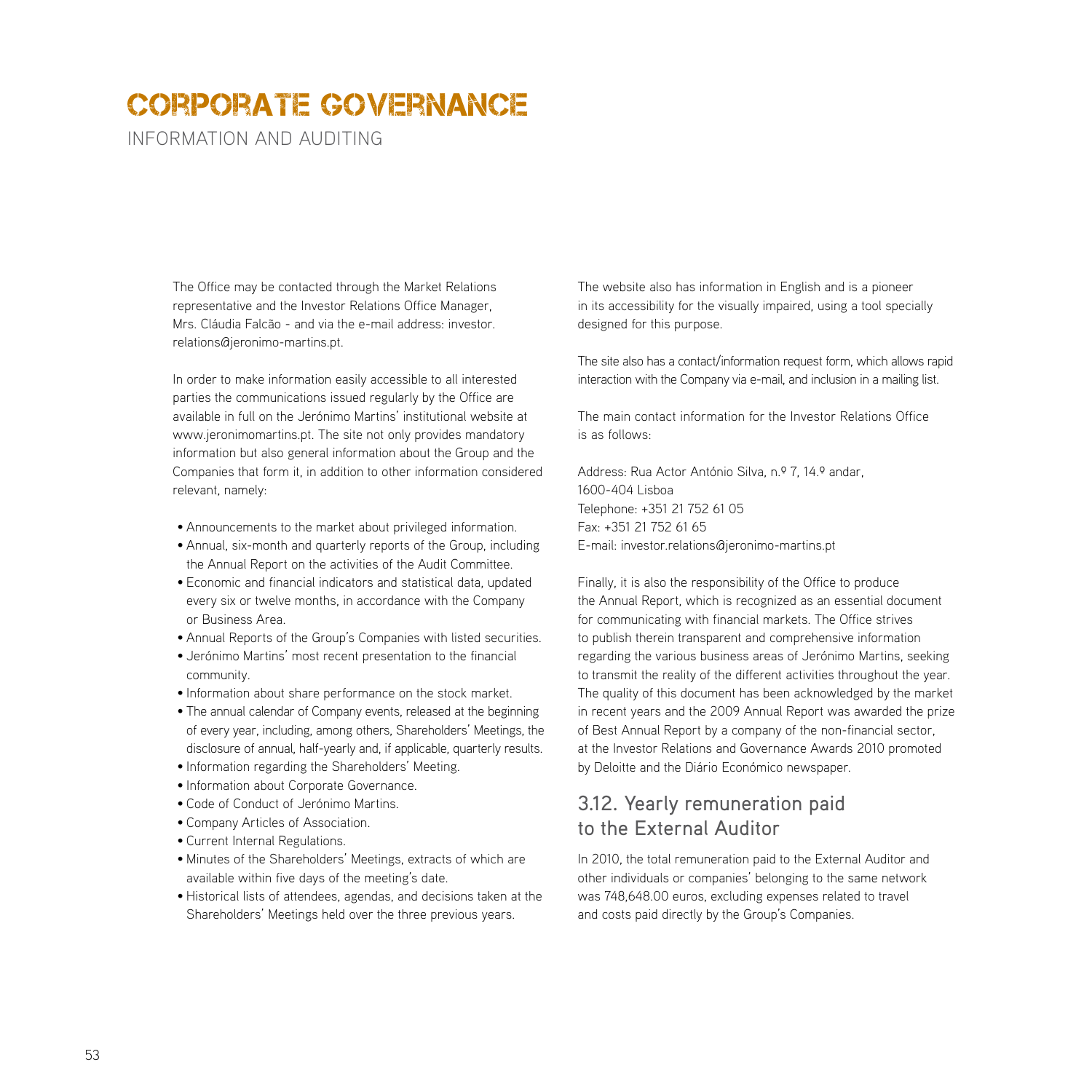information and auditing

The Office may be contacted through the Market Relations representative and the Investor Relations Office Manager, Mrs. Cláudia Falcão - and via the e-mail address: investor. relations@jeronimo-martins.pt.

In order to make information easily accessible to all interested parties the communications issued regularly by the Office are available in full on the Jerónimo Martins' institutional website at www.jeronimomartins.pt. The site not only provides mandatory information but also general information about the Group and the Companies that form it, in addition to other information considered relevant, namely:

- Announcements to the market about privileged information.
- Annual, six-month and quarterly reports of the Group, including the Annual Report on the activities of the Audit Committee.
- Economic and financial indicators and statistical data, updated every six or twelve months, in accordance with the Company or Business Area.
- Annual Reports of the Group's Companies with listed securities.
- Jerónimo Martins' most recent presentation to the financial community.
- Information about share performance on the stock market.
- The annual calendar of Company events, released at the beginning of every year, including, among others, Shareholders' Meetings, the disclosure of annual, half-yearly and, if applicable, quarterly results.
- Information regarding the Shareholders' Meeting.
- Information about Corporate Governance.
- Code of Conduct of Jerónimo Martins.
- Company Articles of Association.
- Current Internal Regulations.
- Minutes of the Shareholders' Meetings, extracts of which are available within five days of the meeting's date.
- Historical lists of attendees, agendas, and decisions taken at the Shareholders' Meetings held over the three previous years.

The website also has information in English and is a pioneer in its accessibility for the visually impaired, using a tool specially designed for this purpose.

The site also has a contact/information request form, which allows rapid interaction with the Company via e-mail, and inclusion in a mailing list.

The main contact information for the Investor Relations Office is as follows:

Address: Rua Actor António Silva, n.º 7, 14.º andar, 1600-404 Lisboa Telephone: +351 21 752 61 05 Fax: +351 21 752 61 65 E-mail: investor.relations@jeronimo-martins.pt

Finally, it is also the responsibility of the Office to produce the Annual Report, which is recognized as an essential document for communicating with financial markets. The Office strives to publish therein transparent and comprehensive information regarding the various business areas of Jerónimo Martins, seeking to transmit the reality of the different activities throughout the year. The quality of this document has been acknowledged by the market in recent years and the 2009 Annual Report was awarded the prize of Best Annual Report by a company of the non-financial sector, at the Investor Relations and Governance Awards 2010 promoted by Deloitte and the Diário Económico newspaper.

## 3.12. Yearly remuneration paid to the External Auditor

In 2010, the total remuneration paid to the External Auditor and other individuals or companies' belonging to the same network was 748,648.00 euros, excluding expenses related to travel and costs paid directly by the Group's Companies.